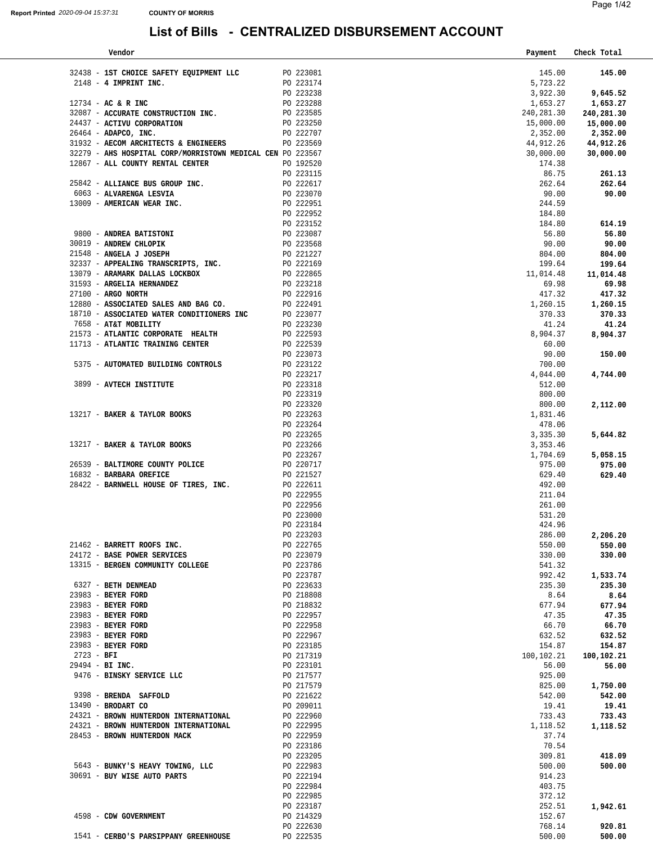| Vendor                                                                                                                                                                                                           |                        |                        | Payment    | Check Total       |
|------------------------------------------------------------------------------------------------------------------------------------------------------------------------------------------------------------------|------------------------|------------------------|------------|-------------------|
|                                                                                                                                                                                                                  |                        |                        |            |                   |
| 32438 - 1ST CHOICE SAFETY EQUIPMENT LLC PO 223081                                                                                                                                                                |                        |                        | 145.00     | 145.00            |
| $2148 - 4$ IMPRINT INC.                                                                                                                                                                                          |                        | PO 223174              | 5,723.22   |                   |
|                                                                                                                                                                                                                  |                        | PO 223238              | 3,922.30   | 9,645.52          |
| $12734 - AC & R$ INC                                                                                                                                                                                             |                        |                        | 1,653.27   | 1,653.27          |
| 32087 - ACCURATE CONSTRUCTION INC.                                                                                                                                                                               |                        | PO 223288<br>PO 223585 | 240,281.30 | 240,281.30        |
| 24437 - ACTIVU CORPORATION                                                                                                                                                                                       |                        |                        | 15,000.00  | 15,000.00         |
| 26464 - ADAPCO, INC.                                                                                                                                                                                             |                        | PO 223250<br>PO 222707 | 2,352.00   | 2,352.00          |
| 31932 - AECOM ARCHITECTS & ENGINEERS PO 223569                                                                                                                                                                   |                        |                        | 44,912.26  | 44,912.26         |
| 32279 - AHS HOSPITAL CORP/MORRISTOWN MEDICAL CEN PO 223567                                                                                                                                                       |                        |                        | 30,000.00  |                   |
|                                                                                                                                                                                                                  |                        |                        |            | 30,000.00         |
| 12867 - ALL COUNTY RENTAL CENTER                                                                                                                                                                                 |                        | PO 192520              | 174.38     |                   |
|                                                                                                                                                                                                                  |                        | PO 223115<br>PO 222617 | 86.75      | 261.13            |
| 25842 - ALLIANCE BUS GROUP INC.                                                                                                                                                                                  |                        |                        | 262.64     | 262.64            |
| 6063 - ALVARENGA LESVIA                                                                                                                                                                                          |                        | PO 223070              | 90.00      | 90.00             |
| 13009 - AMERICAN WEAR INC.                                                                                                                                                                                       |                        | PO 222951              | 244.59     |                   |
|                                                                                                                                                                                                                  |                        | PO 222952              | 184.80     |                   |
|                                                                                                                                                                                                                  |                        |                        | 184.80     | 614.19            |
| $\begin{tabular}{lllllllll} 9800 & - & \textbf{ANDREA BATISTONI} & \multicolumn{2}{c }{\textbf{PO} & 223152} \\ \end{tabular}$                                                                                   |                        |                        | 56.80      | 56.80             |
| 30019 - ANDREW CHLOPIK                                                                                                                                                                                           |                        |                        | 90.00      | 90.00             |
| 21548 - ANGELA J JOSEPH                                                                                                                                                                                          | PO 223568<br>PO 221227 |                        | 804.00     | 804.00            |
| 32337 - APPEALING TRANSCRIPTS, INC.                                                                                                                                                                              |                        |                        | 199.64     | 199.64            |
| PO 222169<br>PO 222865<br>PO 223218<br>13079 - ARAMARK DALLAS LOCKBOX                                                                                                                                            |                        |                        | 11,014.48  |                   |
|                                                                                                                                                                                                                  |                        |                        |            | 11,014.48         |
| 31593 - ARGELIA HERNANDEZ                                                                                                                                                                                        |                        |                        | 69.98      | 69.98             |
| $\begin{tabular}{lllllllll} \bf 27100 & & \textbf{ARGO NORTH} & \textbf{PO} & \textbf{222916} \\ \bf 12880 & - & \textbf{ASSOCIATED} & \textbf{SALES AND BAG CO.} & \textbf{PO} & \textbf{222491} \end{tabular}$ |                        |                        | 417.32     | 417.32            |
|                                                                                                                                                                                                                  |                        |                        |            | 1,260.15 1,260.15 |
| 18710 - ASSOCIATED WATER CONDITIONERS INC $_{\rm P0}$ 223077                                                                                                                                                     |                        |                        | 370.33     | 370.33            |
| 7658 - AT&T MOBILITY                                                                                                                                                                                             |                        | PO 223230              | 41.24      | 41.24             |
| 21573 - ATLANTIC CORPORATE HEALTH PO 222593                                                                                                                                                                      |                        |                        | 8,904.37   | 8,904.37          |
| 11713 - ATLANTIC TRAINING CENTER                                                                                                                                                                                 |                        |                        | 60.00      |                   |
|                                                                                                                                                                                                                  |                        | PO 222539<br>PO 223073 | 90.00      | 150.00            |
| 5375 - AUTOMATED BUILDING CONTROLS                                                                                                                                                                               | PO 223122<br>PO 223217 |                        | 700.00     |                   |
|                                                                                                                                                                                                                  |                        |                        | 4,044.00   | 4,744.00          |
| 3899 - AVTECH INSTITUTE                                                                                                                                                                                          |                        | PO 223318              | 512.00     |                   |
|                                                                                                                                                                                                                  |                        | PO 223319              | 800.00     |                   |
|                                                                                                                                                                                                                  |                        |                        | 800.00     | 2,112.00          |
| $\begin{tabular}{lllllll} \bf 13217 & - BAKER & TAYLOR BOOKS & & & & \bf 223320 \\ \bf \end{tabular}$                                                                                                            |                        |                        | 1,831.46   |                   |
|                                                                                                                                                                                                                  | PO 223264              |                        | 478.06     |                   |
|                                                                                                                                                                                                                  |                        |                        |            |                   |
| $\begin{tabular}{lllllll} \bf 13217 & - BAKER & ATXLOR BOKS & \multicolumn{2}{c }{\bf 13217 & - BAKER & TAYLOR BOKS & \multicolumn{2}{c }{\bf 13218 & -1323266} \\ \end{tabular}$                                |                        |                        | 3,335.30   | 5,644.82          |
|                                                                                                                                                                                                                  |                        |                        | 3,353.46   |                   |
|                                                                                                                                                                                                                  |                        | PO 223267<br>PO 220717 | 1,704.69   | 5,058.15          |
| 26539 - BALTIMORE COUNTY POLICE                                                                                                                                                                                  |                        |                        | 975.00     | 975.00            |
| 16832 - BARBARA OREFICE                                                                                                                                                                                          |                        | PO 221527              | 629.40     | 629.40            |
| 28422 - BARNWELL HOUSE OF TIRES, INC.                                                                                                                                                                            |                        | PO 222611              | 492.00     |                   |
|                                                                                                                                                                                                                  |                        | PO 222955              | 211.04     |                   |
|                                                                                                                                                                                                                  |                        | PO 222956              | 261.00     |                   |
|                                                                                                                                                                                                                  |                        | PO 223000              | 531.20     |                   |
|                                                                                                                                                                                                                  |                        | PO 223184              | 424.96     |                   |
|                                                                                                                                                                                                                  |                        | PO 223203              | 286.00     | 2,206.20          |
| 21462 - BARRETT ROOFS INC.                                                                                                                                                                                       |                        | PO 222765              | 550.00     | 550.00            |
| 24172 - BASE POWER SERVICES                                                                                                                                                                                      |                        | PO 223079              | 330.00     | 330.00            |
| 13315 - BERGEN COMMUNITY COLLEGE                                                                                                                                                                                 |                        | PO 223786              | 541.32     |                   |
|                                                                                                                                                                                                                  |                        | PO 223787              | 992.42     |                   |
|                                                                                                                                                                                                                  |                        |                        |            | 1,533.74          |
| 6327 - BETH DENMEAD                                                                                                                                                                                              |                        | PO 223633              | 235.30     | 235.30            |
| 23983 - BEYER FORD                                                                                                                                                                                               |                        | PO 218808              | 8.64       | 8.64              |
| 23983 - BEYER FORD                                                                                                                                                                                               |                        | PO 218832              | 677.94     | 677.94            |
| 23983 - BEYER FORD                                                                                                                                                                                               |                        | PO 222957              | 47.35      | 47.35             |
| 23983 - BEYER FORD                                                                                                                                                                                               |                        | PO 222958              | 66.70      | 66.70             |
| 23983 - BEYER FORD                                                                                                                                                                                               |                        | PO 222967              | 632.52     | 632.52            |
| 23983 - BEYER FORD                                                                                                                                                                                               |                        | PO 223185              | 154.87     | 154.87            |
| $2723 - BFI$                                                                                                                                                                                                     |                        | PO 217319              | 100,102.21 | 100,102.21        |
| 29494 - BI INC.                                                                                                                                                                                                  |                        | PO 223101              | 56.00      | 56.00             |
| 9476 - BINSKY SERVICE LLC                                                                                                                                                                                        |                        | PO 217577              | 925.00     |                   |
|                                                                                                                                                                                                                  |                        | PO 217579              | 825.00     | 1,750.00          |
| 9398 - BRENDA SAFFOLD                                                                                                                                                                                            |                        | PO 221622              | 542.00     | 542.00            |
| 13490 - BRODART CO                                                                                                                                                                                               |                        | PO 209011              | 19.41      | 19.41             |
| 24321 - BROWN HUNTERDON INTERNATIONAL                                                                                                                                                                            |                        | PO 222960              | 733.43     | 733.43            |
|                                                                                                                                                                                                                  |                        |                        |            |                   |
| 24321 - BROWN HUNTERDON INTERNATIONAL                                                                                                                                                                            |                        | PO 222995              | 1,118.52   | 1,118.52          |
| 28453 - BROWN HUNTERDON MACK                                                                                                                                                                                     |                        | PO 222959              | 37.74      |                   |
|                                                                                                                                                                                                                  |                        | PO 223186              | 70.54      |                   |
|                                                                                                                                                                                                                  |                        | PO 223205              | 309.81     | 418.09            |
| 5643 - BUNKY'S HEAVY TOWING, LLC                                                                                                                                                                                 |                        | PO 222983              | 500.00     | 500.00            |
| 30691 - BUY WISE AUTO PARTS                                                                                                                                                                                      |                        | PO 222194              | 914.23     |                   |
|                                                                                                                                                                                                                  |                        | PO 222984              | 403.75     |                   |
|                                                                                                                                                                                                                  |                        | PO 222985              | 372.12     |                   |
|                                                                                                                                                                                                                  |                        | PO 223187              | 252.51     | 1,942.61          |
| 4598 - CDW GOVERNMENT                                                                                                                                                                                            |                        | PO 214329              | 152.67     |                   |
|                                                                                                                                                                                                                  |                        | PO 222630              | 768.14     | 920.81            |
| 1541 - CERBO'S PARSIPPANY GREENHOUSE                                                                                                                                                                             |                        | PO 222535              | 500.00     | 500.00            |
|                                                                                                                                                                                                                  |                        |                        |            |                   |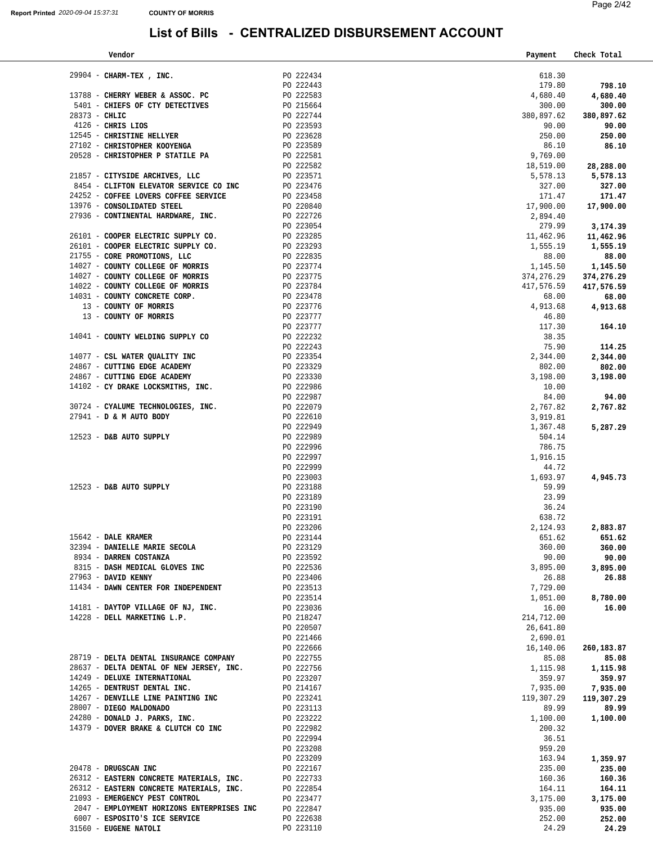| Vendor                                     |                        | Payment     | Check Total |
|--------------------------------------------|------------------------|-------------|-------------|
|                                            |                        |             |             |
| 29904 - CHARM-TEX, INC.                    | PO 222434              | 618.30      |             |
|                                            | PO 222443              | 179.80      | 798.10      |
| 13788 - CHERRY WEBER & ASSOC. PC           | PO 222583              | 4,680.40    | 4,680.40    |
| 5401 - CHIEFS OF CTY DETECTIVES            | PO 215664              | 300.00      | 300.00      |
| $28373 - \text{CHLIC}$                     | PO 222744              | 380,897.62  | 380,897.62  |
| $4126$ - CHRIS LIOS                        | PO 223593              | 90.00       | 90.00       |
| 12545 - CHRISTINE HELLYER                  | PO 223628<br>PO 223589 | 250.00      | 250.00      |
| 27102 - CHRISTOPHER KOOYENGA               |                        | 86.10       | 86.10       |
| 20528 - CHRISTOPHER P STATILE PA           | PO 222581              | 9,769.00    |             |
|                                            | PO 222582              | 18,519.00   | 28,288.00   |
| 21857 - CITYSIDE ARCHIVES, LLC             | PO 223571              | 5,578.13    | 5,578.13    |
| 8454 - CLIFTON ELEVATOR SERVICE CO INC     | PO 223476              | 327.00      | 327.00      |
| 24252 - COFFEE LOVERS COFFEE SERVICE       | PO 223458              | 171.47      | 171.47      |
| 13976 - CONSOLIDATED STEEL                 | PO 220840              | 17,900.00   | 17,900.00   |
|                                            | PO 222726              |             |             |
| 27936 - CONTINENTAL HARDWARE, INC.         |                        | 2,894.40    |             |
|                                            | PO 223054<br>PO 223285 | 279.99      | 3,174.39    |
| 26101 - COOPER ELECTRIC SUPPLY CO.         |                        | 11,462.96   | 11,462.96   |
| 26101 - COOPER ELECTRIC SUPPLY CO.         | PO 223293              | 1,555.19    | 1,555.19    |
| 21755 - CORE PROMOTIONS, LLC               | PO 222835              | 88.00       | 88.00       |
| 14027 - COUNTY COLLEGE OF MORRIS           | PO 223774              | 1,145.50    | 1,145.50    |
| 14027 - COUNTY COLLEGE OF MORRIS           | PO 223775              | 374, 276.29 | 374,276.29  |
| 14022 - COUNTY COLLEGE OF MORRIS           | PO 223784              | 417,576.59  | 417,576.59  |
| 14031 - COUNTY CONCRETE CORP.              | PO 223478              | 68.00       | 68.00       |
| 13 - COUNTY OF MORRIS                      | PO 223776              | 4,913.68    | 4,913.68    |
| 13 - COUNTY OF MORRIS                      | PO 223777              | 46.80       |             |
|                                            | PO 223777              | 117.30      | 164.10      |
| 14041 - COUNTY WELDING SUPPLY CO           | PO 222232              | 38.35       |             |
|                                            | PO 222243              | 75.90       | 114.25      |
| 14077 - CSL WATER QUALITY INC              | PO 223354              | 2,344.00    | 2,344.00    |
| 24867 - CUTTING EDGE ACADEMY               | PO 223329              | 802.00      | 802.00      |
| 24867 - CUTTING EDGE ACADEMY               | PO 223330              | 3,198.00    | 3,198.00    |
| 14102 - CY DRAKE LOCKSMITHS, INC.          | PO 222986              | 10.00       |             |
|                                            | PO 222987              | 84.00       | 94.00       |
| 30724 - CYALUME TECHNOLOGIES, INC.         | PO 222079              | 2,767.82    | 2,767.82    |
| 27941 - D & M AUTO BODY                    | PO 222610              | 3,919.81    |             |
|                                            | PO 222949              | 1,367.48    |             |
| 12523 - D&B AUTO SUPPLY                    | PO 222989              | 504.14      | 5,287.29    |
|                                            |                        |             |             |
|                                            | PO 222996              | 786.75      |             |
|                                            | PO 222997              | 1,916.15    |             |
|                                            | PO 222999              | 44.72       |             |
|                                            | PO 223003              | 1,693.97    | 4,945.73    |
| $12523$ - D&B AUTO SUPPLY                  | PO 223188              | 59.99       |             |
|                                            | PO 223189              | 23.99       |             |
|                                            | PO 223190              | 36.24       |             |
|                                            | PO 223191              | 638.72      |             |
|                                            | PO 223206              | 2,124.93    | 2,883.87    |
| 15642 - DALE KRAMER                        | PO 223144              | 651.62      | 651.62      |
| 32394 - DANIELLE MARIE SECOLA              | PO 223129              | 360.00      | 360.00      |
| 8934 - DARREN COSTANZA                     | PO 223592              | 90.00       | 90.00       |
| 8315 - DASH MEDICAL GLOVES INC             | PO 222536              | 3,895.00    | 3,895.00    |
| 27963 - DAVID KENNY                        | PO 223406              | 26.88       | 26.88       |
| 11434 - DAWN CENTER FOR INDEPENDENT        | PO 223513              | 7,729.00    |             |
|                                            | PO 223514              | 1,051.00    | 8,780.00    |
| 14181 - DAYTOP VILLAGE OF NJ, INC.         | PO 223036              | 16.00       | 16.00       |
| 14228 - DELL MARKETING L.P.                | PO 218247              | 214,712.00  |             |
|                                            | PO 220507              | 26,641.80   |             |
|                                            | PO 221466              | 2,690.01    |             |
|                                            | PO 222666              | 16,140.06   | 260,183.87  |
| 28719 - DELTA DENTAL INSURANCE COMPANY     | PO 222755              | 85.08       | 85.08       |
| 28637 - DELTA DENTAL OF NEW JERSEY, INC.   | PO 222756              | 1,115.98    | 1,115.98    |
| 14249 - DELUXE INTERNATIONAL               | PO 223207              | 359.97      | 359.97      |
|                                            |                        |             |             |
| 14265 - DENTRUST DENTAL INC.               | PO 214167              | 7,935.00    | 7,935.00    |
| 14267 - DENVILLE LINE PAINTING INC         | PO 223241              | 119,307.29  | 119,307.29  |
| 28007 - DIEGO MALDONADO                    | PO 223113              | 89.99       | 89.99       |
| 24280 - DONALD J. PARKS, INC.              | PO 223222              | 1,100.00    | 1,100.00    |
| 14379 - DOVER BRAKE & CLUTCH CO INC        | PO 222982              | 200.32      |             |
|                                            | PO 222994              | 36.51       |             |
|                                            | PO 223208              | 959.20      |             |
|                                            | PO 223209              | 163.94      | 1,359.97    |
| 20478 - DRUGSCAN INC                       | PO 222167              | 235.00      | 235.00      |
| 26312 - EASTERN CONCRETE MATERIALS, INC.   | PO 222733              | 160.36      | 160.36      |
| 26312 - EASTERN CONCRETE MATERIALS, INC.   | PO 222854              | 164.11      | 164.11      |
| 21093 - EMERGENCY PEST CONTROL             | PO 223477              | 3,175.00    | 3,175.00    |
| 2047 - EMPLOYMENT HORIZONS ENTERPRISES INC | PO 222847              | 935.00      | 935.00      |
| 6007 - ESPOSITO'S ICE SERVICE              | PO 222638              | 252.00      | 252.00      |
| 31560 - EUGENE NATOLI                      | PO 223110              | 24.29       | 24.29       |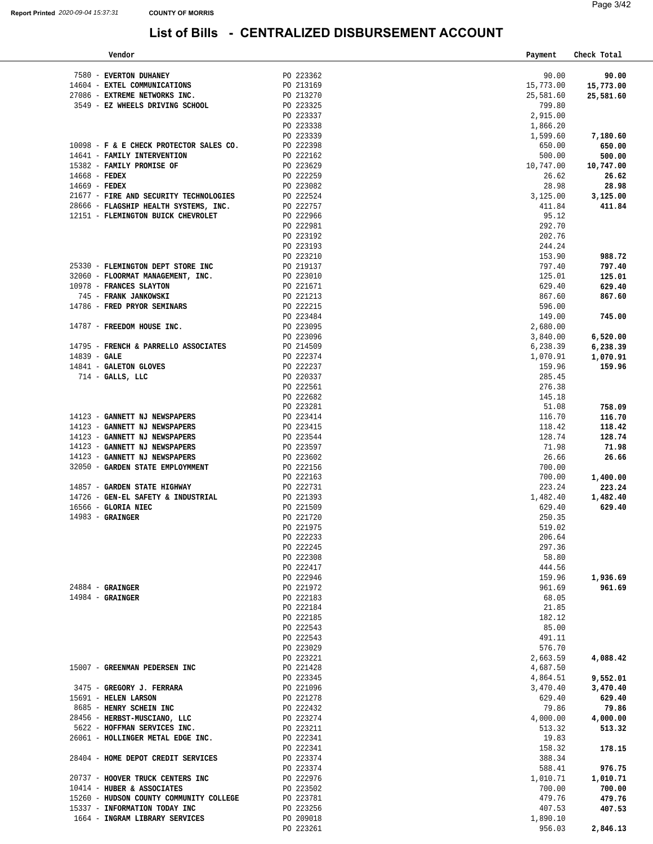| Vendor                                                         |                        | Payment           | Check Total       |
|----------------------------------------------------------------|------------------------|-------------------|-------------------|
| 7580 - EVERTON DUHANEY                                         | PO 223362              | 90.00             | 90.00             |
| 14604 - EXTEL COMMUNICATIONS                                   | PO 213169              | 15,773.00         | 15,773.00         |
| 27086 - EXTREME NETWORKS INC.                                  | PO 213270              | 25,581.60         | 25,581.60         |
| 3549 - EZ WHEELS DRIVING SCHOOL                                | PO 223325              | 799.80            |                   |
|                                                                | PO 223337              | 2,915.00          |                   |
|                                                                | PO 223338              | 1,866.20          |                   |
|                                                                | PO 223339              | 1,599.60          | 7,180.60          |
| 10098 - F & E CHECK PROTECTOR SALES CO.                        | PO 222398              | 650.00            | 650.00            |
| 14641 - FAMILY INTERVENTION                                    | PO 222162              | 500.00            | 500.00            |
| 15382 - FAMILY PROMISE OF                                      | PO 223629              | 10,747.00         | 10,747.00         |
| 14668 - FEDEX                                                  | PO 222259              | 26.62             | 26.62             |
| 14669 - FEDEX                                                  | PO 223082              | 28.98             | 28.98             |
| 21677 - FIRE AND SECURITY TECHNOLOGIES                         | PO 222524              | 3,125.00          | 3,125.00          |
| 28666 - FLAGSHIP HEALTH SYSTEMS, INC.                          | PO 222757              | 411.84            | 411.84            |
| 12151 - FLEMINGTON BUICK CHEVROLET                             | PO 222966              | 95.12             |                   |
|                                                                | PO 222981              | 292.70            |                   |
|                                                                | PO 223192              | 202.76            |                   |
|                                                                | PO 223193              | 244.24            |                   |
| 25330 - FLEMINGTON DEPT STORE INC                              | PO 223210              | 153.90            | 988.72            |
| 32060 - FLOORMAT MANAGEMENT, INC.                              | PO 219137<br>PO 223010 | 797.40<br>125.01  | 797.40            |
| 10978 - FRANCES SLAYTON                                        | PO 221671              | 629.40            | 125.01<br>629.40  |
| 745 - FRANK JANKOWSKI                                          | PO 221213              | 867.60            | 867.60            |
| 14786 - FRED PRYOR SEMINARS                                    | PO 222215              | 596.00            |                   |
|                                                                | PO 223484              | 149.00            | 745.00            |
| 14787 - FREEDOM HOUSE INC.                                     | PO 223095              | 2,680.00          |                   |
|                                                                | PO 223096              | 3,840.00          | 6,520.00          |
| 14795 - FRENCH & PARRELLO ASSOCIATES                           | PO 214509              | 6,238.39          | 6,238.39          |
| 14839 - GALE                                                   | PO 222374              | 1,070.91          | 1,070.91          |
| 14841 - GALETON GLOVES                                         | PO 222237              | 159.96            | 159.96            |
| $714$ - GALLS, LLC                                             | PO 220337              | 285.45            |                   |
|                                                                | PO 222561              | 276.38            |                   |
|                                                                | PO 222682              | 145.18            |                   |
|                                                                | PO 223281              | 51.08             | 758.09            |
| 14123 - GANNETT NJ NEWSPAPERS<br>14123 - GANNETT NJ NEWSPAPERS | PO 223414<br>PO 223415 | 116.70<br>118.42  | 116.70            |
| 14123 - GANNETT NJ NEWSPAPERS                                  | PO 223544              | 128.74            | 118.42<br>128.74  |
| 14123 - GANNETT NJ NEWSPAPERS                                  | PO 223597              | 71.98             | 71.98             |
| 14123 - GANNETT NJ NEWSPAPERS                                  | PO 223602              | 26.66             | 26.66             |
| 32050 - GARDEN STATE EMPLOYMMENT                               | PO 222156              | 700.00            |                   |
|                                                                | PO 222163              | 700.00            | 1,400.00          |
| 14857 - GARDEN STATE HIGHWAY                                   | PO 222731              | 223.24            | 223.24            |
| 14726 - GEN-EL SAFETY & INDUSTRIAL                             | PO 221393              | 1,482.40          | 1,482.40          |
| 16566 - GLORIA NIEC                                            | PO 221509              | 629.40            | 629.40            |
| $14983$ - GRAINGER                                             | PO 221720              | 250.35            |                   |
|                                                                | PO 221975              | 519.02            |                   |
|                                                                | PO 222233              | 206.64            |                   |
|                                                                | PO 222245              | 297.36            |                   |
|                                                                | PO 222308<br>PO 222417 | 58.80<br>444.56   |                   |
|                                                                | PO 222946              | 159.96            | 1,936.69          |
| $24884$ - GRAINGER                                             | PO 221972              | 961.69            | 961.69            |
| $14984$ - GRAINGER                                             | PO 222183              | 68.05             |                   |
|                                                                | PO 222184              | 21.85             |                   |
|                                                                | PO 222185              | 182.12            |                   |
|                                                                | PO 222543              | 85.00             |                   |
|                                                                | PO 222543              | 491.11            |                   |
|                                                                | PO 223029              | 576.70            |                   |
|                                                                | PO 223221              | 2,663.59          | 4,088.42          |
| 15007 - GREENMAN PEDERSEN INC                                  | PO 221428              | 4,687.50          |                   |
|                                                                | PO 223345              | 4,864.51          | 9,552.01          |
| 3475 - GREGORY J. FERRARA                                      | PO 221096              | 3,470.40          | 3,470.40          |
| 15691 - HELEN LARSON                                           | PO 221278              | 629.40            | 629.40            |
| 8685 - HENRY SCHEIN INC<br>28456 - HERBST-MUSCIANO, LLC        | PO 222432<br>PO 223274 | 79.86<br>4,000.00 | 79.86<br>4,000.00 |
| 5622 - HOFFMAN SERVICES INC.                                   | PO 223211              | 513.32            | 513.32            |
| 26061 - HOLLINGER METAL EDGE INC.                              | PO 222341              | 19.83             |                   |
|                                                                | PO 222341              | 158.32            | 178.15            |
| 28404 - HOME DEPOT CREDIT SERVICES                             | PO 223374              | 388.34            |                   |
|                                                                | PO 223374              | 588.41            | 976.75            |
| 20737 - HOOVER TRUCK CENTERS INC                               | PO 222976              | 1,010.71          | 1,010.71          |
| 10414 - HUBER & ASSOCIATES                                     | PO 223502              | 700.00            | 700.00            |
| 15260 - HUDSON COUNTY COMMUNITY COLLEGE                        | PO 223781              | 479.76            | 479.76            |
| 15337 - INFORMATION TODAY INC                                  | PO 223256              | 407.53            | 407.53            |
| 1664 - INGRAM LIBRARY SERVICES                                 | PO 209018              | 1,890.10          |                   |
|                                                                | PO 223261              | 956.03            | 2,846.13          |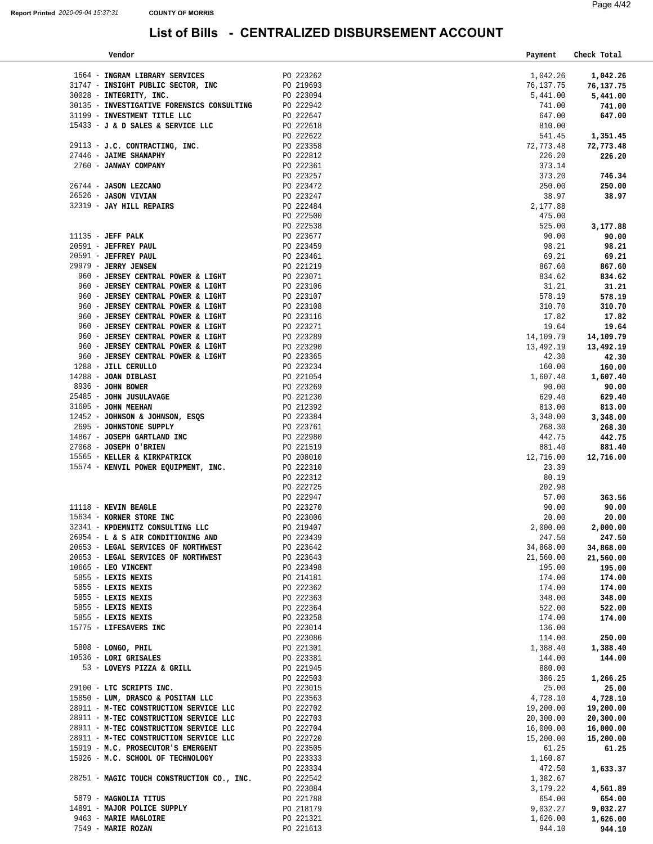| Vendor                                                                               |                        | Payment            | Check Total        |
|--------------------------------------------------------------------------------------|------------------------|--------------------|--------------------|
| 1664 - INGRAM LIBRARY SERVICES                                                       | PO 223262              | 1,042.26           |                    |
|                                                                                      |                        |                    | 1,042.26           |
| 31747 - INSIGHT PUBLIC SECTOR, INC                                                   | PO 219693<br>PO 223094 | 76,137.75          | 76,137.75          |
| 30028 - INTEGRITY, INC.                                                              |                        | 5,441.00<br>741.00 | 5,441.00<br>741.00 |
| 30135 - INVESTIGATIVE FORENSICS CONSULTING PO 222942<br>31199 - INVESTMENT TITLE LLC | PO 222647              | 647.00             | 647.00             |
| 15433 - J & D SALES & SERVICE LLC                                                    | PO 222618              | 810.00             |                    |
|                                                                                      | PO 222622              | 541.45             | 1,351.45           |
| 29113 - J.C. CONTRACTING, INC.                                                       | PO 223358              | 72,773.48          | 72,773.48          |
| 27446 - JAIME SHANAPHY                                                               | PO 222812              | 226.20             | 226.20             |
| 2760 - JANWAY COMPANY                                                                | PO 222361              | 373.14             |                    |
|                                                                                      | PO 223257              | 373.20             | 746.34             |
| 26744 - JASON LEZCANO                                                                | PO 223472              | 250.00             | 250.00             |
| 26526 - JASON VIVIAN                                                                 | PO 223247              | 38.97              | 38.97              |
| 32319 - JAY HILL REPAIRS                                                             | PO 222484              | 2,177.88           |                    |
|                                                                                      | PO 222500              | 475.00             |                    |
|                                                                                      | PO 222538              | 525.00             | 3,177.88           |
| $11135 - JEFF$ PALK                                                                  | PO 223677              | 90.00              | 90.00              |
| 20591 - JEFFREY PAUL                                                                 | PO 223459              | 98.21              | 98.21              |
| 20591 - JEFFREY PAUL                                                                 | PO 223461              | 69.21              | 69.21              |
| 29979 - JERRY JENSEN                                                                 | PO 221219              | 867.60             | 867.60             |
| 960 - JERSEY CENTRAL POWER & LIGHT                                                   | PO 223071              | 834.62             | 834.62             |
| 960 - JERSEY CENTRAL POWER & LIGHT                                                   | PO 223106              | 31.21              | 31.21              |
| 960 - JERSEY CENTRAL POWER & LIGHT                                                   | PO 223107              | 578.19             | 578.19             |
| 960 - JERSEY CENTRAL POWER & LIGHT                                                   | PO 223108              | 310.70             | 310.70             |
| 960 - JERSEY CENTRAL POWER & LIGHT                                                   | PO 223116              | 17.82              | 17.82              |
| 960 - JERSEY CENTRAL POWER & LIGHT                                                   | PO 223271              | 19.64              | 19.64              |
| 960 - JERSEY CENTRAL POWER & LIGHT                                                   | PO 223289              | 14,109.79          | 14,109.79          |
| 960 - JERSEY CENTRAL POWER & LIGHT                                                   | PO 223290              | 13,492.19          | 13,492.19          |
| 960 - JERSEY CENTRAL POWER & LIGHT                                                   | PO 223365              | 42.30              | 42.30              |
| 1288 - JILL CERULLO                                                                  | PO 223234              | 160.00             | 160.00             |
| 14288 - JOAN DIBLASI<br>8936 - JOHN BOWER                                            | PO 221054<br>PO 223269 | 1,607.40<br>90.00  | 1,607.40<br>90.00  |
| 25485 - JOHN JUSULAVAGE                                                              | PO 221230              | 629.40             | 629.40             |
| 31605 - JOHN MEEHAN                                                                  | PO 212392              | 813.00             | 813.00             |
| 12452 - JOHNSON & JOHNSON, ESQS                                                      | PO 223384              | 3,348.00           | 3,348.00           |
| 2695 - JOHNSTONE SUPPLY                                                              | PO 223761              | 268.30             | 268.30             |
| 14867 - JOSEPH GARTLAND INC                                                          | PO 222980              | 442.75             | 442.75             |
| 27068 - JOSEPH O'BRIEN                                                               | PO 221519              | 881.40             | 881.40             |
| 15565 - KELLER & KIRKPATRICK                                                         | PO 208010              | 12,716.00          | 12,716.00          |
| 15574 - KENVIL POWER EQUIPMENT, INC.                                                 | PO 222310              | 23.39              |                    |
|                                                                                      | PO 222312              | 80.19              |                    |
|                                                                                      | PO 222725              | 202.98             |                    |
|                                                                                      | PO 222947              | 57.00              | 363.56             |
| 11118 - KEVIN BEAGLE                                                                 | PO 223270              | 90.00              | 90.00              |
| 15634 - KORNER STORE INC                                                             | PO 223006              | 20.00              | 20.00              |
| 32341 - KPDEMNITZ CONSULTING LLC                                                     | PO 219407              | 2,000.00           | 2,000.00           |
| 26954 - L & S AIR CONDITIONING AND                                                   | PO 223439              | 247.50             | 247.50             |
| 20653 - LEGAL SERVICES OF NORTHWEST                                                  | PO 223642              | 34,868.00          | 34,868.00          |
| 20653 - LEGAL SERVICES OF NORTHWEST                                                  | PO 223643              | 21,560.00          | 21,560.00          |
| 10665 - LEO VINCENT<br>5855 - LEXIS NEXIS                                            | PO 223498<br>PO 214181 | 195.00<br>174.00   | 195.00<br>174.00   |
| 5855 - LEXIS NEXIS                                                                   | PO 222362              | 174.00             | 174.00             |
| 5855 - LEXIS NEXIS                                                                   | PO 222363              | 348.00             | 348.00             |
| 5855 - LEXIS NEXIS                                                                   | PO 222364              | 522.00             | 522.00             |
| 5855 - LEXIS NEXIS                                                                   | PO 223258              | 174.00             | 174.00             |
| 15775 - LIFESAVERS INC                                                               | PO 223014              | 136.00             |                    |
|                                                                                      | PO 223086              | 114.00             | 250.00             |
| 5808 - LONGO, PHIL                                                                   | PO 221301              | 1,388.40           | 1,388.40           |
| 10536 - LORI GRISALES                                                                | PO 223381              | 144.00             | 144.00             |
| 53 - LOVEYS PIZZA & GRILL                                                            | PO 221945              | 880.00             |                    |
|                                                                                      | PO 222503              | 386.25             | 1,266.25           |
| 29100 - LTC SCRIPTS INC.                                                             | PO 223015              | 25.00              | 25.00              |
| 15850 - LUM, DRASCO & POSITAN LLC                                                    | PO 223563              | 4,728.10           | 4,728.10           |
| 28911 - M-TEC CONSTRUCTION SERVICE LLC                                               | PO 222702              | 19,200.00          | 19,200.00          |
| 28911 - M-TEC CONSTRUCTION SERVICE LLC                                               | PO 222703              | 20,300.00          | 20,300.00          |
| 28911 - M-TEC CONSTRUCTION SERVICE LLC                                               | PO 222704              | 16,000.00          | 16,000.00          |
| 28911 - M-TEC CONSTRUCTION SERVICE LLC                                               | PO 222720              | 15,200.00          | 15,200.00          |
| 15919 - M.C. PROSECUTOR'S EMERGENT<br>15926 - M.C. SCHOOL OF TECHNOLOGY              | PO 223505              | 61.25              | 61.25              |
|                                                                                      | PO 223333<br>PO 223334 | 1,160.87<br>472.50 | 1,633.37           |
| 28251 - MAGIC TOUCH CONSTRUCTION CO., INC.                                           | PO 222542              | 1,382.67           |                    |
|                                                                                      | PO 223084              | 3,179.22           | 4,561.89           |
| 5879 - MAGNOLIA TITUS                                                                | PO 221788              | 654.00             | 654.00             |
| 14891 - MAJOR POLICE SUPPLY                                                          | PO 218179              | 9,032.27           | 9,032.27           |
| 9463 - MARIE MAGLOIRE                                                                | PO 221321              | 1,626.00           | 1,626.00           |
| 7549 - MARIE ROZAN                                                                   | PO 221613              | 944.10             | 944.10             |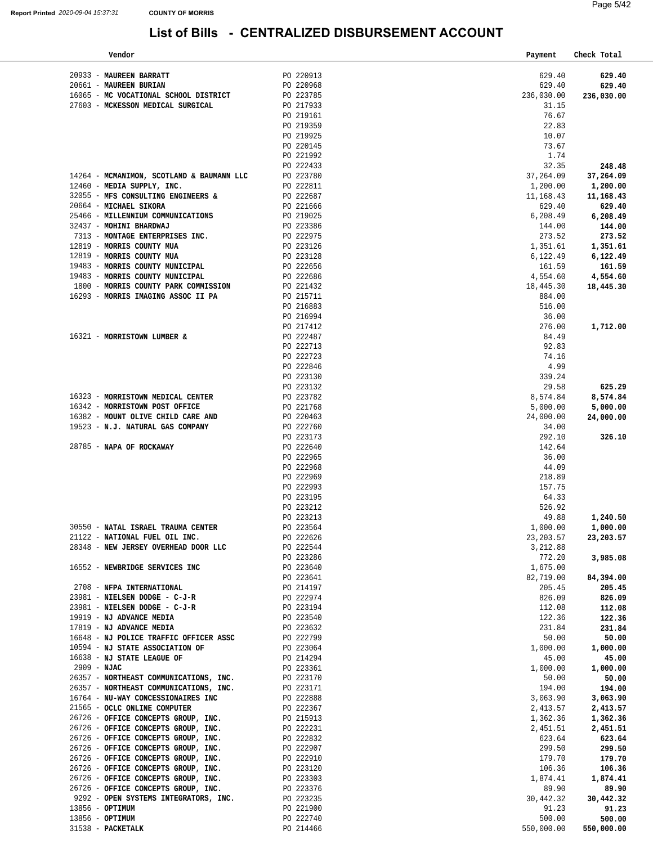| Vendor                                                                     |                        | Payment    | Check Total |
|----------------------------------------------------------------------------|------------------------|------------|-------------|
|                                                                            |                        |            |             |
| 20933 - MAUREEN BARRATT                                                    | PO 220913              | 629.40     | 629.40      |
| 20661 - MAUREEN BURIAN                                                     | PO 220968              | 629.40     | 629.40      |
| 16065 - MC VOCATIONAL SCHOOL DISTRICT                                      | PO 223785              | 236,030.00 | 236,030.00  |
| 27603 - MCKESSON MEDICAL SURGICAL                                          | PO 217933              | 31.15      |             |
|                                                                            | PO 219161              | 76.67      |             |
|                                                                            | PO 219359              | 22.83      |             |
|                                                                            | PO 219925              | 10.07      |             |
|                                                                            | PO 220145              | 73.67      |             |
|                                                                            | PO 221992              | 1.74       |             |
|                                                                            | PO 222433              | 32.35      | 248.48      |
|                                                                            | PO 223780              |            |             |
| 14264 - MCMANIMON, SCOTLAND & BAUMANN LLC                                  |                        | 37,264.09  | 37,264.09   |
| 12460 - MEDIA SUPPLY, INC.                                                 | PO 222811              | 1,200.00   | 1,200.00    |
| 32055 - MFS CONSULTING ENGINEERS &                                         | PO 222687              | 11,168.43  | 11,168.43   |
| 20664 - MICHAEL SIKORA                                                     | PO 221666              | 629.40     | 629.40      |
| 25466 - MILLENNIUM COMMUNICATIONS                                          | PO 219025              | 6,208.49   | 6,208.49    |
| 32437 - MOHINI BHARDWAJ                                                    | PO 223386              | 144.00     | 144.00      |
| 7313 - MONTAGE ENTERPRISES INC.                                            | PO 222975              | 273.52     | 273.52      |
| 12819 - MORRIS COUNTY MUA                                                  | PO 223126              | 1,351.61   | 1,351.61    |
| 12819 - MORRIS COUNTY MUA                                                  | PO 223128              | 6,122.49   | 6,122.49    |
| 19483 - MORRIS COUNTY MUNICIPAL                                            | PO 222656              | 161.59     | 161.59      |
| 19483 - MORRIS COUNTY MUNICIPAL                                            | PO 222686              | 4,554.60   | 4,554.60    |
| 1800 - MORRIS COUNTY PARK COMMISSION                                       | PO 221432              | 18,445.30  | 18,445.30   |
| 16293 - MORRIS IMAGING ASSOC II PA                                         | PO 215711              | 884.00     |             |
|                                                                            | PO 216883              | 516.00     |             |
|                                                                            | PO 216994              | 36.00      |             |
|                                                                            | PO 217412              | 276.00     |             |
|                                                                            |                        |            | 1,712.00    |
| 16321 - MORRISTOWN LUMBER &                                                | PO 222487              | 84.49      |             |
|                                                                            | PO 222713              | 92.83      |             |
|                                                                            | PO 222723              | 74.16      |             |
|                                                                            | PO 222846              | 4.99       |             |
|                                                                            | PO 223130              | 339.24     |             |
|                                                                            | PO 223132              | 29.58      | 625.29      |
| 16323 - MORRISTOWN MEDICAL CENTER                                          | PO 223782              | 8,574.84   | 8,574.84    |
| 16342 - MORRISTOWN POST OFFICE                                             | PO 221768              | 5,000.00   | 5,000.00    |
| 16382 - MOUNT OLIVE CHILD CARE AND                                         | PO 220463              | 24,000.00  | 24,000.00   |
| 19523 - N.J. NATURAL GAS COMPANY                                           | PO 222760              | 34.00      |             |
|                                                                            | PO 223173              | 292.10     | 326.10      |
| 28785 - NAPA OF ROCKAWAY                                                   | PO 222640              | 142.64     |             |
|                                                                            | PO 222965              | 36.00      |             |
|                                                                            | PO 222968              | 44.09      |             |
|                                                                            | PO 222969              | 218.89     |             |
|                                                                            | PO 222993              | 157.75     |             |
|                                                                            | PO 223195              | 64.33      |             |
|                                                                            | PO 223212              | 526.92     |             |
|                                                                            | PO 223213              | 49.88      | 1,240.50    |
| 30550 - NATAL ISRAEL TRAUMA CENTER                                         | PO 223564              | 1,000.00   | 1,000.00    |
|                                                                            |                        |            |             |
| 21122 - NATIONAL FUEL OIL INC.<br>28348 - NEW JERSEY OVERHEAD DOOR LLC     | PO 222626              | 23, 203.57 | 23,203.57   |
|                                                                            | PO 222544              | 3,212.88   |             |
|                                                                            | PO 223286              | 772.20     | 3,985.08    |
| 16552 - NEWBRIDGE SERVICES INC                                             | PO 223640              | 1,675.00   |             |
|                                                                            | PO 223641              | 82,719.00  | 84,394.00   |
| 2708 - NFPA INTERNATIONAL                                                  | PO 214197              | 205.45     | 205.45      |
| 23981 - NIELSEN DODGE - C-J-R                                              | PO 222974              | 826.09     | 826.09      |
| $23981$ - NIELSEN DODGE - C-J-R                                            | PO 223194              | 112.08     | 112.08      |
| 19919 - NJ ADVANCE MEDIA                                                   | PO 223540              | 122.36     | 122.36      |
| 17819 - NJ ADVANCE MEDIA                                                   | PO 223632              | 231.84     | 231.84      |
| 16648 - NJ POLICE TRAFFIC OFFICER ASSC                                     | PO 222799              | 50.00      | 50.00       |
| 10594 - NJ STATE ASSOCIATION OF                                            | PO 223064              | 1,000.00   | 1,000.00    |
| 16638 - NJ STATE LEAGUE OF                                                 | PO 214294              | 45.00      | 45.00       |
| 2909 - NJAC                                                                | PO 223361              | 1,000.00   | 1,000.00    |
| 26357 - NORTHEAST COMMUNICATIONS, INC.                                     | PO 223170              | 50.00      | 50.00       |
| 26357 - NORTHEAST COMMUNICATIONS, INC.                                     | PO 223171              | 194.00     | 194.00      |
| 16764 - NU-WAY CONCESSIONAIRES INC                                         | PO 222888              | 3,063.90   | 3,063.90    |
| 21565 - OCLC ONLINE COMPUTER                                               | PO 222367              |            |             |
| 26726 - OFFICE CONCEPTS GROUP, INC.                                        | PO 215913              | 2,413.57   | 2,413.57    |
|                                                                            | PO 222231              | 1,362.36   | 1,362.36    |
| 26726 - OFFICE CONCEPTS GROUP, INC.                                        | PO 222832              | 2,451.51   | 2,451.51    |
| 26726 - OFFICE CONCEPTS GROUP, INC.                                        |                        | 623.64     | 623.64      |
| 26726 - OFFICE CONCEPTS GROUP, INC.<br>26726 - OFFICE CONCEPTS GROUP, INC. | PO 222907              | 299.50     | 299.50      |
|                                                                            | PO 222910              | 179.70     | 179.70      |
| 26726 - OFFICE CONCEPTS GROUP, INC.                                        | PO 223120<br>PO 223303 | 106.36     | 106.36      |
| 26726 - OFFICE CONCEPTS GROUP, INC.                                        |                        | 1,874.41   | 1,874.41    |
| 26726 - OFFICE CONCEPTS GROUP, INC. PO 223376                              |                        | 89.90      | 89.90       |
| 9292 - OPEN SYSTEMS INTEGRATORS, INC.                                      | PO 223235              | 30,442.32  | 30,442.32   |
| 13856 - OPTIMUM                                                            | PO 221900              | 91.23      | 91.23       |
| 13856 - OPTIMUM                                                            | PO 222740              | 500.00     | 500.00      |
| 31538 - PACKETALK                                                          | PO 214466              | 550,000.00 | 550,000.00  |
|                                                                            |                        |            |             |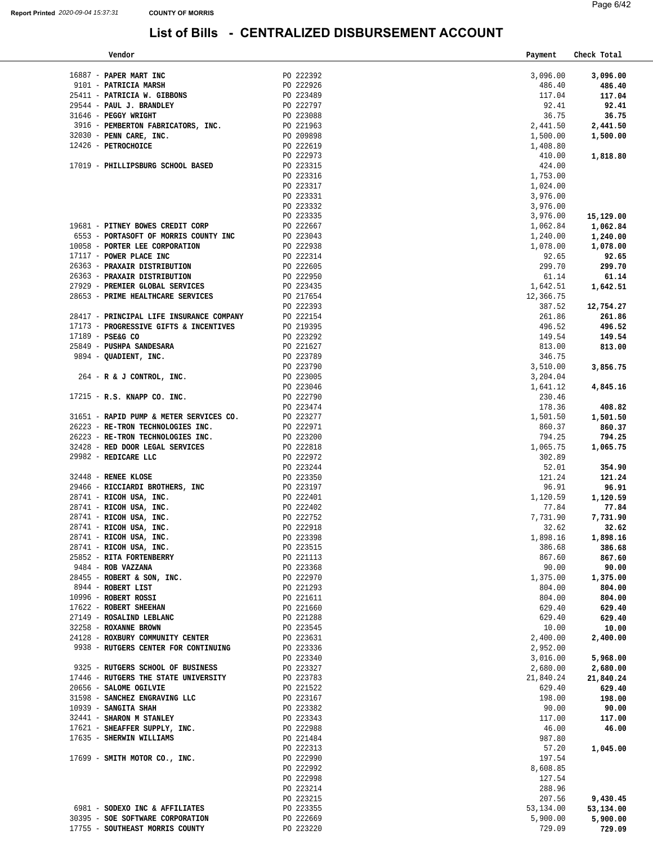| Vendor                                                                                                                                      |                        | Payment         | Check Total     |
|---------------------------------------------------------------------------------------------------------------------------------------------|------------------------|-----------------|-----------------|
|                                                                                                                                             |                        |                 |                 |
| 16887 - PAPER MART INC<br>9101 - PATRICIA MARSH<br>25411 - PATRICIA W. GIBBONS                                                              | PO 222392              | 3,096.00        | 3,096.00        |
|                                                                                                                                             | PO 222926<br>PO 223489 | 486.40          | 486.40          |
| 29544 - PAUL J. BRANDLEY                                                                                                                    |                        | 117.04<br>92.41 | 117.04          |
| 31646 - PEGGY WRIGHT                                                                                                                        | PO 222797<br>PO 223088 | 36.75           | 92.41<br>36.75  |
| 3916 - PEMBERTON FABRICATORS, INC. PO 221963                                                                                                |                        | 2,441.50        | 2,441.50        |
| $32030$ - PENN CARE, INC.                                                                                                                   |                        | 1,500.00        | 1,500.00        |
| 12426 - PETROCHOICE                                                                                                                         | PO 209898<br>PO 222619 | 1,408.80        |                 |
|                                                                                                                                             | PO 222973              | 410.00          | 1,818.80        |
| 17019 - PHILLIPSBURG SCHOOL BASED                                                                                                           | PO 223315              | 424.00          |                 |
|                                                                                                                                             | PO 223316              | 1,753.00        |                 |
|                                                                                                                                             | PO 223317              | 1,024.00        |                 |
|                                                                                                                                             | PO 223331              | 3,976.00        |                 |
|                                                                                                                                             | PO 223332              | 3,976.00        |                 |
|                                                                                                                                             | PO 223335              | 3,976.00        | 15,129.00       |
| 19681 - PITNEY BOWES CREDIT CORP                                                                                                            |                        | 1,062.84        | 1,062.84        |
| 6553 - PORTASOFT OF MORRIS COUNTY INC                                                                                                       | PO 222667<br>PO 223043 | 1,240.00        | 1,240.00        |
| 10058 - PORTER LEE CORPORATION                                                                                                              | PO 222938              | 1,078.00        | 1,078.00        |
| 17117 - POWER PLACE INC                                                                                                                     | PO 222314              | 92.65           | 92.65           |
| 26363 - PRAXAIR DISTRIBUTION                                                                                                                |                        | 299.70          | 299.70          |
| 26363 - PRAXAIR DISTRIBUTION                                                                                                                | PO 222605<br>PO 222950 | 61.14           | 61.14           |
| 27929 - PREMIER GLOBAL SERVICES                                                                                                             | $PO$ 223435            | 1,642.51        | 1,642.51        |
| 28653 - PRIME HEALTHCARE SERVICES                                                                                                           | PO 217654              | 12,366.75       |                 |
|                                                                                                                                             | PO 222393              | 387.52          | 12,754.27       |
| 28417 - PRINCIPAL LIFE INSURANCE COMPANY                                                                                                    | PO 222154              | 261.86          | 261.86          |
| 17173 - PROGRESSIVE GIFTS & INCENTIVES                                                                                                      | PO 219395              | 496.52          | 496.52          |
| 17189 - PSE&G CO                                                                                                                            | PO 223292              | 149.54          | 149.54          |
| 25849 - PUSHPA SANDESARA                                                                                                                    | PO 221627              | 813.00          | 813.00          |
| 9894 - QUADIENT, INC.                                                                                                                       | PO 223789              | 346.75          |                 |
| $264$ - R & J CONTROL, INC.                                                                                                                 | PO 223790<br>PO 223005 | 3,510.00        | 3,856.75        |
|                                                                                                                                             |                        | 3,204.04        |                 |
|                                                                                                                                             | PO 223046              | 1,641.12        | 4,845.16        |
| 17215 - R.S. KNAPP CO. INC.                                                                                                                 | PO 222790              | 230.46          |                 |
|                                                                                                                                             | PO 223474              | 178.36          | 408.82          |
| 31651 - RAPID PUMP & METER SERVICES CO.                                                                                                     | PO 223277<br>PO 222971 | 1,501.50        | 1,501.50        |
| 26223 - RE-TRON TECHNOLOGIES INC.                                                                                                           |                        | 860.37          | 860.37          |
| 26223 - RE-TRON TECHNOLOGIES INC.<br>32428 - RED DOOR LEGAL SERVICES                                                                        | PO 223200<br>PO 222818 | 794.25          | 794.25          |
| 29982 - REDICARE LLC                                                                                                                        |                        | 1,065.75        | 1,065.75        |
|                                                                                                                                             | PO 222972<br>PO 223244 | 302.89<br>52.01 | 354.90          |
| 32448 - RENEE KLOSE                                                                                                                         | PO 223350              | 121.24          | 121.24          |
|                                                                                                                                             | PO 223197              | 96.91           | 96.91           |
| 29466 - RICCIARDI BROTHERS, INC<br>28741 - RICOH USA, INC.<br>28741 - RICOH USA, INC.<br>28741 - RICOH USA, INC.<br>28741 - RICOH USA, INC. | PO 222401              | 1,120.59        | 1,120.59        |
|                                                                                                                                             |                        | 77.84           | 77.84           |
|                                                                                                                                             | PO 222402<br>PO 222752 | 7,731.90        | 7,731.90        |
|                                                                                                                                             | PO 222918              | 32.62           | 32.62           |
| 28741 - RICOH USA, INC.                                                                                                                     | PO 223398              | 1,898.16        | 1,898.16        |
| $28741$ - RICOH USA, INC.                                                                                                                   | PO 223515              | 386.68          | 386.68          |
| 25852 - RITA FORTENBERRY                                                                                                                    | PO 221113              | 867.60          | 867.60          |
| 9484 - ROB VAZZANA                                                                                                                          | PO 223368              | 90.00           | 90.00           |
| 28455 - ROBERT & SON, INC.                                                                                                                  | PO 222970              | 1,375.00        | 1,375.00        |
| 8944 - ROBERT LIST                                                                                                                          | PO 221293              | 804.00          | 804.00          |
| 10996 - ROBERT ROSSI                                                                                                                        | PO 221611              | 804.00          | 804.00          |
| 17622 - ROBERT SHEEHAN                                                                                                                      | PO 221660              | 629.40          | 629.40          |
| 27149 - ROSALIND LEBLANC                                                                                                                    | PO 221288              | 629.40          | 629.40          |
| 32258 - ROXANNE BROWN                                                                                                                       | PO 223545              | 10.00           | 10.00           |
| 24128 - ROXBURY COMMUNITY CENTER                                                                                                            | PO 223631              | 2,400.00        | 2,400.00        |
| 9938 - RUTGERS CENTER FOR CONTINUING                                                                                                        | PO 223336              | 2,952.00        |                 |
|                                                                                                                                             | PO 223340              | 3,016.00        | 5,968.00        |
| 9325 - RUTGERS SCHOOL OF BUSINESS                                                                                                           | PO 223327              | 2,680.00        | 2,680.00        |
| 17446 - RUTGERS THE STATE UNIVERSITY                                                                                                        | PO 223783              | 21,840.24       | 21,840.24       |
| 20656 - SALOME OGILVIE<br>31598 - SANCHEZ ENGRAVING LLC                                                                                     | PO 221522              | 629.40          | 629.40          |
| $10939$ - SANGITA SHAH                                                                                                                      | PO 223167<br>PO 223382 | 198.00<br>90.00 | 198.00<br>90.00 |
| 32441 - SHARON M STANLEY                                                                                                                    | PO 223343              | 117.00          | 117.00          |
| 17621 - SHEAFFER SUPPLY, INC.                                                                                                               | PO 222988              | 46.00           | 46.00           |
| 17635 - SHERWIN WILLIAMS                                                                                                                    | PO 221484              | 987.80          |                 |
|                                                                                                                                             | PO 222313              | 57.20           | 1,045.00        |
| 17699 - SMITH MOTOR CO., INC.                                                                                                               | PO 222990              | 197.54          |                 |
|                                                                                                                                             | PO 222992              | 8,608.85        |                 |
|                                                                                                                                             | PO 222998              | 127.54          |                 |
|                                                                                                                                             | PO 223214              | 288.96          |                 |
|                                                                                                                                             | PO 223215              | 207.56          | 9,430.45        |
| 6981 - SODEXO INC & AFFILIATES                                                                                                              | PO 223355              | 53,134.00       | 53,134.00       |
| 30395 - SOE SOFTWARE CORPORATION                                                                                                            | PO 222669              | 5,900.00        | 5,900.00        |
| 17755 - SOUTHEAST MORRIS COUNTY                                                                                                             | PO 223220              | 729.09          | 729.09          |
|                                                                                                                                             |                        |                 |                 |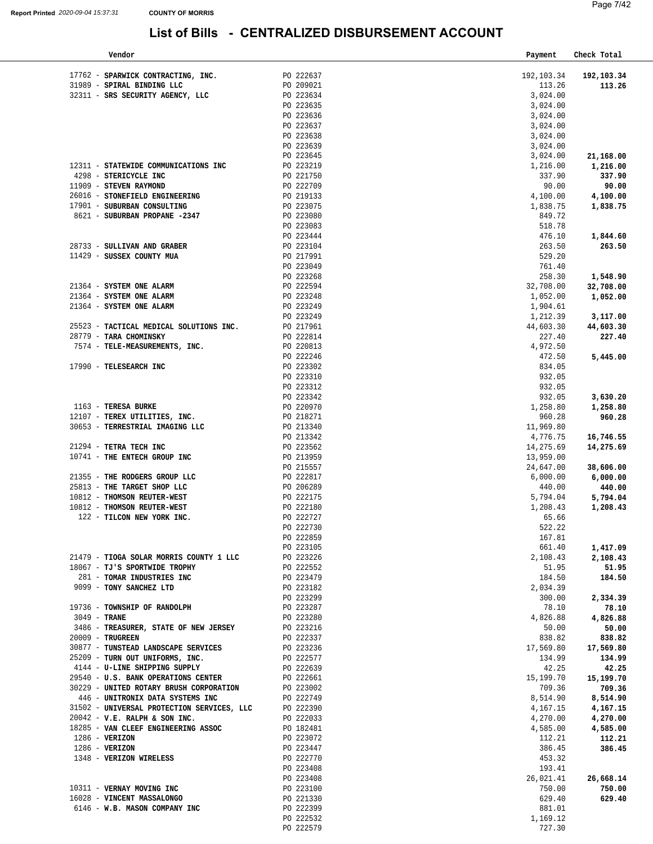| Vendor                                               |                        | Payment     | Check Total |
|------------------------------------------------------|------------------------|-------------|-------------|
|                                                      |                        |             |             |
| 17762 - SPARWICK CONTRACTING, INC.                   | PO 222637              | 192, 103.34 | 192,103.34  |
| 31989 - SPIRAL BINDING LLC                           | PO 209021              | 113.26      | 113.26      |
| 32311 - SRS SECURITY AGENCY, LLC                     | PO 223634              | 3,024.00    |             |
|                                                      | PO 223635              | 3,024.00    |             |
|                                                      | PO 223636              | 3,024.00    |             |
|                                                      | PO 223637              | 3,024.00    |             |
|                                                      | PO 223638              | 3,024.00    |             |
|                                                      | PO 223639              | 3,024.00    |             |
|                                                      | PO 223645              | 3,024.00    | 21,168.00   |
| 12311 - STATEWIDE COMMUNICATIONS INC                 | PO 223219              | 1,216.00    | 1,216.00    |
| 4298 - STERICYCLE INC                                | PO 221750              | 337.90      | 337.90      |
| 11909 - STEVEN RAYMOND                               | PO 222709              | 90.00       | 90.00       |
| 26016 - STONEFIELD ENGINEERING                       | PO 219133              | 4,100.00    | 4,100.00    |
| 17901 - SUBURBAN CONSULTING                          | PO 223075              | 1,838.75    | 1,838.75    |
| 8621 - SUBURBAN PROPANE -2347                        | PO 223080              | 849.72      |             |
|                                                      | PO 223083              | 518.78      |             |
|                                                      | PO 223444              | 476.10      | 1,844.60    |
| 28733 - SULLIVAN AND GRABER                          | PO 223104              | 263.50      | 263.50      |
| 11429 - SUSSEX COUNTY MUA                            | PO 217991              | 529.20      |             |
|                                                      | PO 223049              | 761.40      |             |
|                                                      | PO 223268              | 258.30      | 1,548.90    |
| 21364 - SYSTEM ONE ALARM                             | PO 222594              | 32,708.00   | 32,708.00   |
| 21364 - SYSTEM ONE ALARM                             | PO 223248              | 1,052.00    | 1,052.00    |
| 21364 - SYSTEM ONE ALARM                             | PO 223249              | 1,904.61    |             |
|                                                      | PO 223249              | 1,212.39    | 3,117.00    |
| 25523 - TACTICAL MEDICAL SOLUTIONS INC.              | PO 217961              | 44,603.30   | 44,603.30   |
| 28779 - TARA CHOMINSKY                               | PO 222814              | 227.40      | 227.40      |
| 7574 - TELE-MEASUREMENTS, INC.                       | PO 220813              | 4,972.50    |             |
|                                                      | PO 222246              | 472.50      | 5,445.00    |
| 17990 - TELESEARCH INC                               | PO 223302              | 834.05      |             |
|                                                      | PO 223310              | 932.05      |             |
|                                                      | PO 223312              | 932.05      |             |
|                                                      | PO 223342              | 932.05      | 3,630.20    |
| 1163 - TERESA BURKE                                  | PO 220970              | 1,258.80    | 1,258.80    |
| 12107 - TEREX UTILITIES, INC.                        | PO 218271              | 960.28      | 960.28      |
| 30653 - TERRESTRIAL IMAGING LLC                      | PO 213340              | 11,969.80   |             |
|                                                      | PO 213342              | 4,776.75    | 16,746.55   |
| 21294 - TETRA TECH INC                               | PO 223562              | 14,275.69   | 14,275.69   |
| 10741 - THE ENTECH GROUP INC                         | PO 213959              | 13,959.00   |             |
|                                                      | PO 215557              | 24,647.00   | 38,606.00   |
| 21355 - THE RODGERS GROUP LLC                        | PO 222817              | 6,000.00    | 6,000.00    |
| 25813 - THE TARGET SHOP LLC                          | PO 206289              | 440.00      | 440.00      |
| 10812 - THOMSON REUTER-WEST                          | PO 222175              | 5,794.04    | 5,794.04    |
| 10812 - THOMSON REUTER-WEST                          | PO 222180              | 1,208.43    | 1,208.43    |
| 122 - TILCON NEW YORK INC.                           | PO 222727              | 65.66       |             |
|                                                      | PO 222730              | 522.22      |             |
|                                                      | PO 222859              | 167.81      |             |
|                                                      | PO 223105              | 661.40      | 1,417.09    |
| 21479 - TIOGA SOLAR MORRIS COUNTY 1 LLC              | PO 223226              | 2,108.43    | 2,108.43    |
| 18067 - TJ'S SPORTWIDE TROPHY                        | PO 222552              | 51.95       | 51.95       |
| 281 - TOMAR INDUSTRIES INC                           | PO 223479              | 184.50      | 184.50      |
| 9099 - TONY SANCHEZ LTD                              | PO 223182              | 2,034.39    |             |
|                                                      | PO 223299              | 300.00      | 2,334.39    |
| 19736 - TOWNSHIP OF RANDOLPH                         | PO 223287              | 78.10       | 78.10       |
| 3049 - TRANE                                         | PO 223280              | 4,826.88    | 4,826.88    |
| 3486 - TREASURER, STATE OF NEW JERSEY                | PO 223216              | 50.00       | 50.00       |
| $20009$ - TRUGREEN                                   | PO 222337              | 838.82      | 838.82      |
| 30877 - TUNSTEAD LANDSCAPE SERVICES                  | PO 223236              | 17,569.80   | 17,569.80   |
| 25209 - TURN OUT UNIFORMS, INC.                      | PO 222577              | 134.99      | 134.99      |
| 4144 - U-LINE SHIPPING SUPPLY                        | PO 222639<br>PO 222661 | 42.25       | 42.25       |
| 29540 - U.S. BANK OPERATIONS CENTER                  |                        | 15,199.70   | 15,199.70   |
| 30229 - UNITED ROTARY BRUSH CORPORATION PO 223002    |                        | 709.36      | 709.36      |
| 446 - UNITRONIX DATA SYSTEMS INC                     | PO 222749              | 8,514.90    | 8,514.90    |
| 31502 - UNIVERSAL PROTECTION SERVICES, LLC PO 222390 |                        | 4,167.15    | 4,167.15    |
| $20042 - V.E. RALPH & SON INC.$                      | PO 222033              | 4,270.00    | 4,270.00    |
| 18285 - VAN CLEEF ENGINEERING ASSOC                  | PO 182481              | 4,585.00    | 4,585.00    |
| $1286 - VERIZON$                                     | PO 223072              | 112.21      | 112.21      |
| 1286 - VERIZON                                       | PO 223447              | 386.45      | 386.45      |
| 1348 - VERIZON WIRELESS                              | PO 222770              | 453.32      |             |
|                                                      | PO 223408              | 193.41      |             |
|                                                      | PO 223408              | 26,021.41   | 26,668.14   |
| 10311 - VERNAY MOVING INC                            | PO 223100              | 750.00      | 750.00      |
| 16028 - VINCENT MASSALONGO                           | PO 221330              | 629.40      | 629.40      |
| 6146 - W.B. MASON COMPANY INC                        | PO 222399              | 881.01      |             |
|                                                      | PO 222532              | 1,169.12    |             |
|                                                      | PO 222579              | 727.30      |             |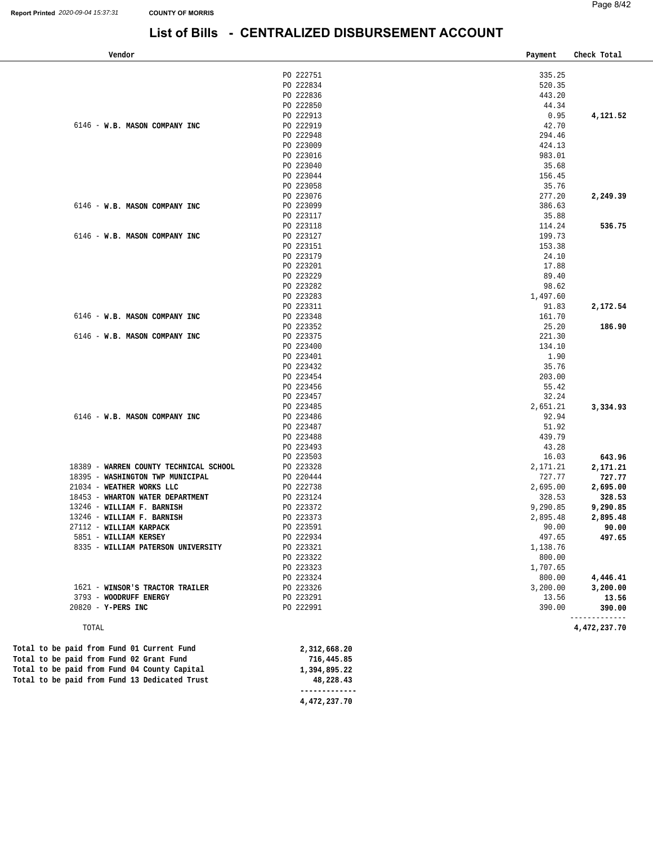### **List of Bills - CENTRALIZED DISBURSEMENT ACCOUNT**

| Vendor                                        |              | Payment        | Check Total  |
|-----------------------------------------------|--------------|----------------|--------------|
|                                               | PO 222751    | 335.25         |              |
|                                               | PO 222834    | 520.35         |              |
|                                               | PO 222836    | 443.20         |              |
|                                               | PO 222850    | 44.34          |              |
|                                               | PO 222913    | 0.95           | 4,121.52     |
| 6146 - W.B. MASON COMPANY INC                 | PO 222919    | 42.70          |              |
|                                               | PO 222948    | 294.46         |              |
|                                               | PO 223009    | 424.13         |              |
|                                               | PO 223016    | 983.01         |              |
|                                               | PO 223040    | 35.68          |              |
|                                               | PO 223044    | 156.45         |              |
|                                               | PO 223058    | 35.76          |              |
|                                               | PO 223076    | 277.20         | 2,249.39     |
| 6146 - W.B. MASON COMPANY INC                 | PO 223099    | 386.63         |              |
|                                               | PO 223117    | 35.88          |              |
|                                               | PO 223118    | 114.24         | 536.75       |
| 6146 - W.B. MASON COMPANY INC                 | PO 223127    | 199.73         |              |
|                                               | PO 223151    | 153.38         |              |
|                                               | PO 223179    | 24.10          |              |
|                                               | PO 223201    | 17.88          |              |
|                                               | PO 223229    |                |              |
|                                               | PO 223282    | 89.40<br>98.62 |              |
|                                               |              |                |              |
|                                               | PO 223283    | 1,497.60       |              |
|                                               | PO 223311    | 91.83          | 2,172.54     |
| 6146 - W.B. MASON COMPANY INC                 | PO 223348    | 161.70         |              |
|                                               | PO 223352    | 25.20          | 186.90       |
| 6146 - W.B. MASON COMPANY INC                 | PO 223375    | 221.30         |              |
|                                               | PO 223400    | 134.10         |              |
|                                               | PO 223401    | 1.90           |              |
|                                               | PO 223432    | 35.76          |              |
|                                               | PO 223454    | 203.00         |              |
|                                               | PO 223456    | 55.42          |              |
|                                               | PO 223457    | 32.24          |              |
|                                               | PO 223485    | 2,651.21       | 3,334.93     |
| 6146 - W.B. MASON COMPANY INC                 | PO 223486    | 92.94          |              |
|                                               | PO 223487    | 51.92          |              |
|                                               | PO 223488    | 439.79         |              |
|                                               | PO 223493    | 43.28          |              |
|                                               | PO 223503    | 16.03          | 643.96       |
| 18389 - WARREN COUNTY TECHNICAL SCHOOL        | PO 223328    | 2,171.21       | 2,171.21     |
| 18395 - WASHINGTON TWP MUNICIPAL              | PO 220444    | 727.77         | 727.77       |
| 21034 - WEATHER WORKS LLC                     | PO 222738    | 2,695.00       | 2,695.00     |
| 18453 - WHARTON WATER DEPARTMENT              | PO 223124    | 328.53         | 328.53       |
| 13246 - WILLIAM F. BARNISH                    | PO 223372    | 9,290.85       | 9,290.85     |
| 13246 - WILLIAM F. BARNISH                    | PO 223373    | 2,895.48       | 2,895.48     |
| 27112 - WILLIAM KARPACK                       | PO 223591    | 90.00          | 90.00        |
| 5851 - WILLIAM KERSEY                         | PO 222934    | 497.65         | 497.65       |
| 8335 - WILLIAM PATERSON UNIVERSITY            | PO 223321    | 1,138.76       |              |
|                                               | PO 223322    | 800.00         |              |
|                                               | PO 223323    | 1,707.65       |              |
|                                               | PO 223324    | 800.00         | 4,446.41     |
| 1621 - WINSOR'S TRACTOR TRAILER               | PO 223326    | 3,200.00       | 3,200.00     |
| 3793 - WOODRUFF ENERGY                        | PO 223291    | 13.56          | 13.56        |
| 20820 - Y-PERS INC                            | PO 222991    | 390.00         | 390.00       |
| TOTAL                                         |              |                | 4,472,237.70 |
|                                               |              |                |              |
| Total to be paid from Fund 01 Current Fund    | 2,312,668.20 |                |              |
| Total to be paid from Fund 02 Grant Fund      | 716,445.85   |                |              |
| Total to be paid from Fund 04 County Capital  | 1,394,895.22 |                |              |
| Total to be paid from Fund 13 Dedicated Trust | 48,228.43    |                |              |

 **-------------**

**[4,472,237.70](https://4,472,237.70)**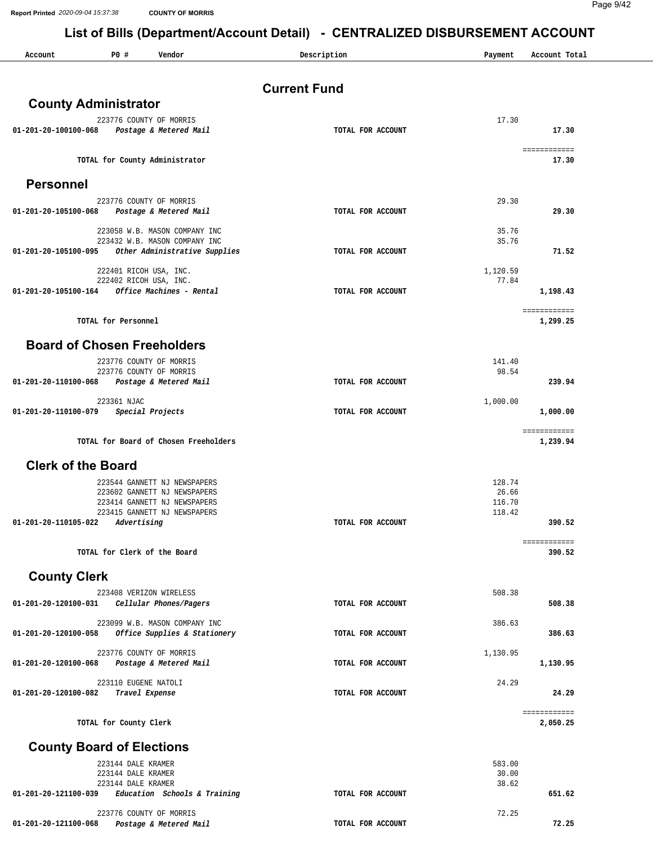**Report Printed** *2020-09-04 15:37:38* **COUNTY OF MORRIS**

Page 9/42

#### **List of Bills (Department/Account Detail) - CENTRALIZED DISBURSEMENT ACCOUNT**

| Account                   | P0#                                      | Vendor                                                         | Description         | Payment          | Account Total            |
|---------------------------|------------------------------------------|----------------------------------------------------------------|---------------------|------------------|--------------------------|
|                           |                                          |                                                                | <b>Current Fund</b> |                  |                          |
|                           | <b>County Administrator</b>              |                                                                |                     |                  |                          |
| 01-201-20-100100-068      |                                          | 223776 COUNTY OF MORRIS<br>Postage & Metered Mail              | TOTAL FOR ACCOUNT   | 17.30            | 17.30                    |
|                           |                                          |                                                                |                     |                  | ============             |
|                           | TOTAL for County Administrator           |                                                                |                     |                  | 17.30                    |
| <b>Personnel</b>          |                                          |                                                                |                     |                  |                          |
| 01-201-20-105100-068      |                                          | 223776 COUNTY OF MORRIS<br>Postage & Metered Mail              | TOTAL FOR ACCOUNT   | 29.30            | 29.30                    |
|                           |                                          | 223058 W.B. MASON COMPANY INC                                  |                     | 35.76            |                          |
| 01-201-20-105100-095      |                                          | 223432 W.B. MASON COMPANY INC<br>Other Administrative Supplies | TOTAL FOR ACCOUNT   | 35.76            | 71.52                    |
|                           | 222401 RICOH USA, INC.                   |                                                                |                     | 1,120.59         |                          |
| 01-201-20-105100-164      | 222402 RICOH USA, INC.                   | Office Machines - Rental                                       | TOTAL FOR ACCOUNT   | 77.84            | 1,198.43                 |
|                           |                                          |                                                                |                     |                  | ============             |
|                           | TOTAL for Personnel                      |                                                                |                     |                  | 1,299.25                 |
|                           | <b>Board of Chosen Freeholders</b>       |                                                                |                     |                  |                          |
|                           |                                          | 223776 COUNTY OF MORRIS<br>223776 COUNTY OF MORRIS             |                     | 141.40<br>98.54  |                          |
| 01-201-20-110100-068      |                                          | Postage & Metered Mail                                         | TOTAL FOR ACCOUNT   |                  | 239.94                   |
| 01-201-20-110100-079      | 223361 NJAC                              | Special Projects                                               | TOTAL FOR ACCOUNT   | 1,000.00         | 1,000.00                 |
|                           |                                          |                                                                |                     |                  | ============             |
|                           |                                          | TOTAL for Board of Chosen Freeholders                          |                     |                  | 1,239.94                 |
| <b>Clerk of the Board</b> |                                          |                                                                |                     |                  |                          |
|                           |                                          | 223544 GANNETT NJ NEWSPAPERS<br>223602 GANNETT NJ NEWSPAPERS   |                     | 128.74<br>26.66  |                          |
|                           |                                          | 223414 GANNETT NJ NEWSPAPERS<br>223415 GANNETT NJ NEWSPAPERS   |                     | 116.70<br>118.42 |                          |
| 01-201-20-110105-022      | Advertising                              |                                                                | TOTAL FOR ACCOUNT   |                  | 390.52                   |
|                           | TOTAL for Clerk of the Board             |                                                                |                     |                  | ============<br>390.52   |
| <b>County Clerk</b>       |                                          |                                                                |                     |                  |                          |
| 01-201-20-120100-031      |                                          | 223408 VERIZON WIRELESS<br>Cellular Phones/Pagers              | TOTAL FOR ACCOUNT   | 508.38           | 508.38                   |
|                           |                                          | 223099 W.B. MASON COMPANY INC                                  |                     | 386.63           |                          |
| 01-201-20-120100-058      |                                          | Office Supplies & Stationery                                   | TOTAL FOR ACCOUNT   |                  | 386.63                   |
| 01-201-20-120100-068      |                                          | 223776 COUNTY OF MORRIS<br>Postage & Metered Mail              | TOTAL FOR ACCOUNT   | 1,130.95         | 1,130.95                 |
|                           | 223110 EUGENE NATOLI                     |                                                                |                     | 24.29            |                          |
| 01-201-20-120100-082      |                                          | Travel Expense                                                 | TOTAL FOR ACCOUNT   |                  | 24.29                    |
|                           | TOTAL for County Clerk                   |                                                                |                     |                  | ============<br>2,050.25 |
|                           | <b>County Board of Elections</b>         |                                                                |                     |                  |                          |
|                           | 223144 DALE KRAMER                       |                                                                |                     | 583.00           |                          |
|                           | 223144 DALE KRAMER<br>223144 DALE KRAMER |                                                                |                     | 30.00<br>38.62   |                          |
| 01-201-20-121100-039      |                                          | Education Schools & Training                                   | TOTAL FOR ACCOUNT   |                  | 651.62                   |
|                           |                                          | 223776 COUNTY OF MORRIS                                        |                     | 72.25            |                          |

 **01-201-20-121100-068** *Postage & Metered Mail* **TOTAL FOR ACCOUNT 72.25**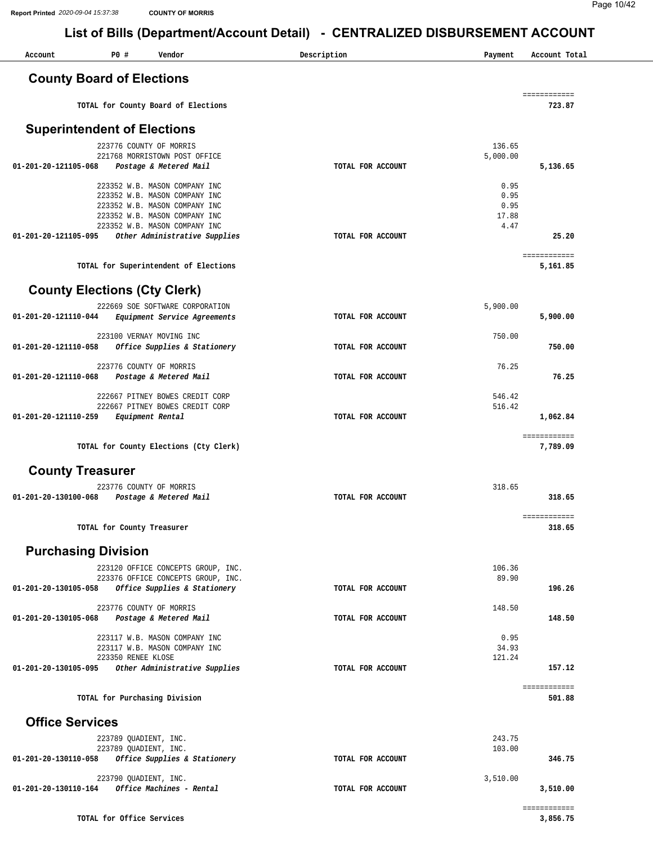| Account                                       | P0#                       | Vendor                                                         | Description       | Payment         | Account Total            |
|-----------------------------------------------|---------------------------|----------------------------------------------------------------|-------------------|-----------------|--------------------------|
| <b>County Board of Elections</b>              |                           |                                                                |                   |                 |                          |
|                                               |                           | TOTAL for County Board of Elections                            |                   |                 | ============<br>723.87   |
| <b>Superintendent of Elections</b>            |                           |                                                                |                   |                 |                          |
|                                               |                           | 223776 COUNTY OF MORRIS                                        |                   | 136.65          |                          |
|                                               |                           | 221768 MORRISTOWN POST OFFICE                                  |                   | 5,000.00        |                          |
| 01-201-20-121105-068                          |                           | Postage & Metered Mail                                         | TOTAL FOR ACCOUNT |                 | 5,136.65                 |
|                                               |                           | 223352 W.B. MASON COMPANY INC                                  |                   | 0.95            |                          |
|                                               |                           | 223352 W.B. MASON COMPANY INC<br>223352 W.B. MASON COMPANY INC |                   | 0.95<br>0.95    |                          |
|                                               |                           | 223352 W.B. MASON COMPANY INC                                  |                   | 17.88           |                          |
|                                               |                           | 223352 W.B. MASON COMPANY INC                                  |                   | 4.47            |                          |
| 01-201-20-121105-095                          |                           | Other Administrative Supplies                                  | TOTAL FOR ACCOUNT |                 | 25.20                    |
|                                               |                           | TOTAL for Superintendent of Elections                          |                   |                 | ============<br>5,161.85 |
| <b>County Elections (Cty Clerk)</b>           |                           |                                                                |                   |                 |                          |
|                                               |                           | 222669 SOE SOFTWARE CORPORATION                                |                   | 5,900.00        |                          |
| 01-201-20-121110-044                          |                           | <i>Equipment Service Agreements</i>                            | TOTAL FOR ACCOUNT |                 | 5,900.00                 |
|                                               |                           | 223100 VERNAY MOVING INC                                       |                   | 750.00          |                          |
| 01-201-20-121110-058                          |                           | Office Supplies & Stationery                                   | TOTAL FOR ACCOUNT |                 | 750.00                   |
|                                               |                           | 223776 COUNTY OF MORRIS                                        |                   | 76.25           |                          |
| 01-201-20-121110-068                          |                           | Postage & Metered Mail                                         | TOTAL FOR ACCOUNT |                 | 76.25                    |
|                                               |                           | 222667 PITNEY BOWES CREDIT CORP                                |                   | 546.42          |                          |
|                                               |                           | 222667 PITNEY BOWES CREDIT CORP                                |                   | 516.42          |                          |
| 01-201-20-121110-259                          |                           | Equipment Rental                                               | TOTAL FOR ACCOUNT |                 | 1,062.84                 |
|                                               |                           | TOTAL for County Elections (Cty Clerk)                         |                   |                 | ============<br>7,789.09 |
| <b>County Treasurer</b>                       |                           |                                                                |                   |                 |                          |
|                                               |                           | 223776 COUNTY OF MORRIS                                        |                   | 318.65          |                          |
| 01-201-20-130100-068                          |                           | Postage & Metered Mail                                         | TOTAL FOR ACCOUNT |                 | 318.65                   |
|                                               |                           |                                                                |                   |                 | ============             |
|                                               |                           | TOTAL for County Treasurer                                     |                   |                 | 318.65                   |
| <b>Purchasing Division</b>                    |                           |                                                                |                   |                 |                          |
|                                               |                           | 223120 OFFICE CONCEPTS GROUP, INC.                             |                   | 106.36          |                          |
|                                               |                           | 223376 OFFICE CONCEPTS GROUP, INC.                             |                   | 89.90           |                          |
| 01-201-20-130105-058                          |                           | Office Supplies & Stationery                                   | TOTAL FOR ACCOUNT |                 | 196.26                   |
| 01-201-20-130105-068                          |                           | 223776 COUNTY OF MORRIS<br>Postage & Metered Mail              | TOTAL FOR ACCOUNT | 148.50          | 148.50                   |
|                                               |                           |                                                                |                   |                 |                          |
|                                               |                           | 223117 W.B. MASON COMPANY INC                                  |                   | 0.95            |                          |
|                                               | 223350 RENEE KLOSE        | 223117 W.B. MASON COMPANY INC                                  |                   | 34.93<br>121.24 |                          |
| 01-201-20-130105-095                          |                           | Other Administrative Supplies                                  | TOTAL FOR ACCOUNT |                 | 157.12                   |
|                                               |                           |                                                                |                   |                 | ============             |
|                                               |                           | TOTAL for Purchasing Division                                  |                   |                 | 501.88                   |
| <b>Office Services</b>                        |                           |                                                                |                   |                 |                          |
|                                               | 223789 QUADIENT, INC.     |                                                                |                   | 243.75          |                          |
| 01-201-20-130110-058                          | 223789 QUADIENT, INC.     | Office Supplies & Stationery                                   | TOTAL FOR ACCOUNT | 103.00          | 346.75                   |
|                                               |                           |                                                                |                   |                 |                          |
| 01-201-20-130110-164 Office Machines - Rental | 223790 QUADIENT, INC.     |                                                                | TOTAL FOR ACCOUNT | 3,510.00        | 3,510.00                 |
|                                               |                           |                                                                |                   |                 | ============             |
|                                               | TOTAL for Office Services |                                                                |                   |                 | 3,856.75                 |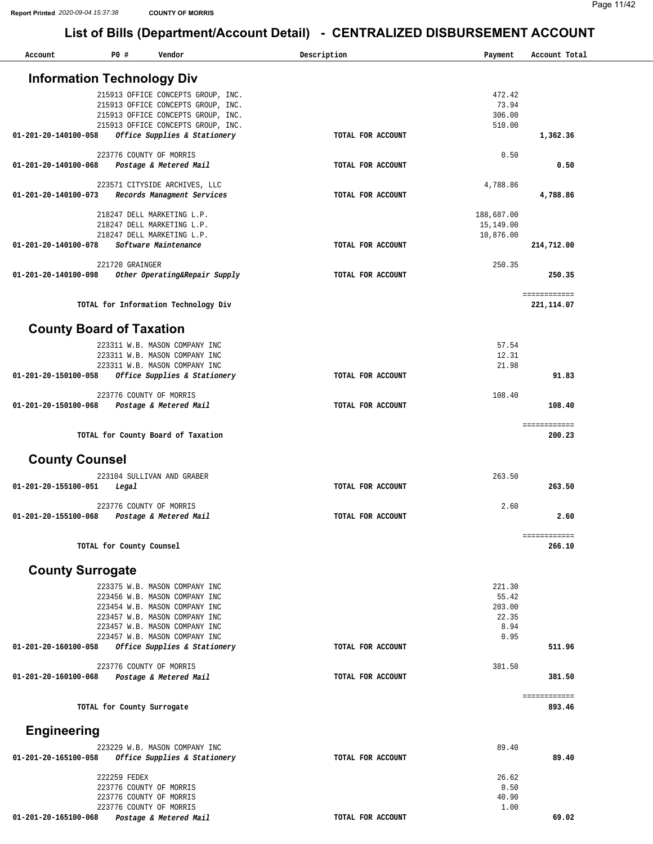#### Page 11/42

| Account               | P0 #                              | Vendor                                                                   | Description       | Payment         | Account Total |
|-----------------------|-----------------------------------|--------------------------------------------------------------------------|-------------------|-----------------|---------------|
|                       |                                   |                                                                          |                   |                 |               |
|                       | <b>Information Technology Div</b> |                                                                          |                   |                 |               |
|                       |                                   | 215913 OFFICE CONCEPTS GROUP, INC.                                       |                   | 472.42          |               |
|                       |                                   | 215913 OFFICE CONCEPTS GROUP, INC.<br>215913 OFFICE CONCEPTS GROUP, INC. |                   | 73.94<br>306.00 |               |
|                       |                                   | 215913 OFFICE CONCEPTS GROUP, INC.                                       |                   | 510.00          |               |
| 01-201-20-140100-058  |                                   | Office Supplies & Stationery                                             | TOTAL FOR ACCOUNT |                 | 1,362.36      |
|                       |                                   | 223776 COUNTY OF MORRIS                                                  |                   | 0.50            |               |
| 01-201-20-140100-068  |                                   | Postage & Metered Mail                                                   | TOTAL FOR ACCOUNT |                 | 0.50          |
|                       |                                   |                                                                          |                   |                 |               |
|                       |                                   | 223571 CITYSIDE ARCHIVES, LLC                                            |                   | 4,788.86        |               |
| 01-201-20-140100-073  |                                   | Records Managment Services                                               | TOTAL FOR ACCOUNT |                 | 4,788.86      |
|                       |                                   | 218247 DELL MARKETING L.P.                                               |                   | 188,687.00      |               |
|                       |                                   | 218247 DELL MARKETING L.P.                                               |                   | 15,149.00       |               |
|                       |                                   | 218247 DELL MARKETING L.P.                                               |                   | 10,876.00       |               |
| 01-201-20-140100-078  |                                   | Software Maintenance                                                     | TOTAL FOR ACCOUNT |                 | 214,712.00    |
|                       | 221720 GRAINGER                   |                                                                          |                   | 250.35          |               |
| 01-201-20-140100-098  |                                   | Other Operating&Repair Supply                                            | TOTAL FOR ACCOUNT |                 | 250.35        |
|                       |                                   |                                                                          |                   |                 |               |
|                       |                                   |                                                                          |                   |                 | ============  |
|                       |                                   | TOTAL for Information Technology Div                                     |                   |                 | 221, 114.07   |
|                       | <b>County Board of Taxation</b>   |                                                                          |                   |                 |               |
|                       |                                   |                                                                          |                   |                 |               |
|                       |                                   | 223311 W.B. MASON COMPANY INC                                            |                   | 57.54           |               |
|                       |                                   | 223311 W.B. MASON COMPANY INC<br>223311 W.B. MASON COMPANY INC           |                   | 12.31<br>21.98  |               |
| 01-201-20-150100-058  |                                   | Office Supplies & Stationery                                             | TOTAL FOR ACCOUNT |                 | 91.83         |
|                       |                                   |                                                                          |                   |                 |               |
|                       |                                   | 223776 COUNTY OF MORRIS                                                  |                   | 108.40          |               |
| 01-201-20-150100-068  |                                   | Postage & Metered Mail                                                   | TOTAL FOR ACCOUNT |                 | 108.40        |
|                       |                                   |                                                                          |                   |                 | ============  |
|                       |                                   | TOTAL for County Board of Taxation                                       |                   |                 | 200.23        |
|                       |                                   |                                                                          |                   |                 |               |
| <b>County Counsel</b> |                                   |                                                                          |                   |                 |               |
|                       |                                   | 223104 SULLIVAN AND GRABER                                               |                   | 263.50          |               |
| 01-201-20-155100-051  | Legal                             |                                                                          | TOTAL FOR ACCOUNT |                 | 263.50        |
|                       |                                   | 223776 COUNTY OF MORRIS                                                  |                   | 2.60            |               |
| 01-201-20-155100-068  |                                   | Postage & Metered Mail                                                   | TOTAL FOR ACCOUNT |                 | 2.60          |
|                       |                                   |                                                                          |                   |                 |               |
|                       |                                   |                                                                          |                   |                 | ============  |
|                       | TOTAL for County Counsel          |                                                                          |                   |                 | 266.10        |
|                       |                                   |                                                                          |                   |                 |               |
|                       | <b>County Surrogate</b>           |                                                                          |                   |                 |               |
|                       |                                   | 223375 W.B. MASON COMPANY INC                                            |                   | 221.30          |               |
|                       |                                   | 223456 W.B. MASON COMPANY INC                                            |                   | 55.42           |               |
|                       |                                   | 223454 W.B. MASON COMPANY INC<br>223457 W.B. MASON COMPANY INC           |                   | 203.00          |               |
|                       |                                   | 223457 W.B. MASON COMPANY INC                                            |                   | 22.35<br>8.94   |               |
|                       |                                   | 223457 W.B. MASON COMPANY INC                                            |                   | 0.95            |               |
| 01-201-20-160100-058  |                                   | Office Supplies & Stationery                                             | TOTAL FOR ACCOUNT |                 | 511.96        |
|                       |                                   |                                                                          |                   |                 |               |
|                       |                                   | 223776 COUNTY OF MORRIS                                                  |                   | 381.50          |               |
| 01-201-20-160100-068  |                                   | Postage & Metered Mail                                                   | TOTAL FOR ACCOUNT |                 | 381.50        |
|                       |                                   |                                                                          |                   |                 | ============  |
|                       | TOTAL for County Surrogate        |                                                                          |                   |                 | 893.46        |
|                       |                                   |                                                                          |                   |                 |               |
| <b>Engineering</b>    |                                   |                                                                          |                   |                 |               |
|                       |                                   | 223229 W.B. MASON COMPANY INC                                            |                   | 89.40           |               |
| 01-201-20-165100-058  |                                   | Office Supplies & Stationery                                             | TOTAL FOR ACCOUNT |                 | 89.40         |
|                       |                                   |                                                                          |                   |                 |               |
|                       | 222259 FEDEX                      | 223776 COUNTY OF MORRIS                                                  |                   | 26.62<br>0.50   |               |
|                       |                                   | 223776 COUNTY OF MORRIS                                                  |                   | 40.90           |               |
|                       |                                   | 223776 COUNTY OF MORRIS                                                  |                   | 1.00            |               |
| 01-201-20-165100-068  |                                   | Postage & Metered Mail                                                   | TOTAL FOR ACCOUNT |                 | 69.02         |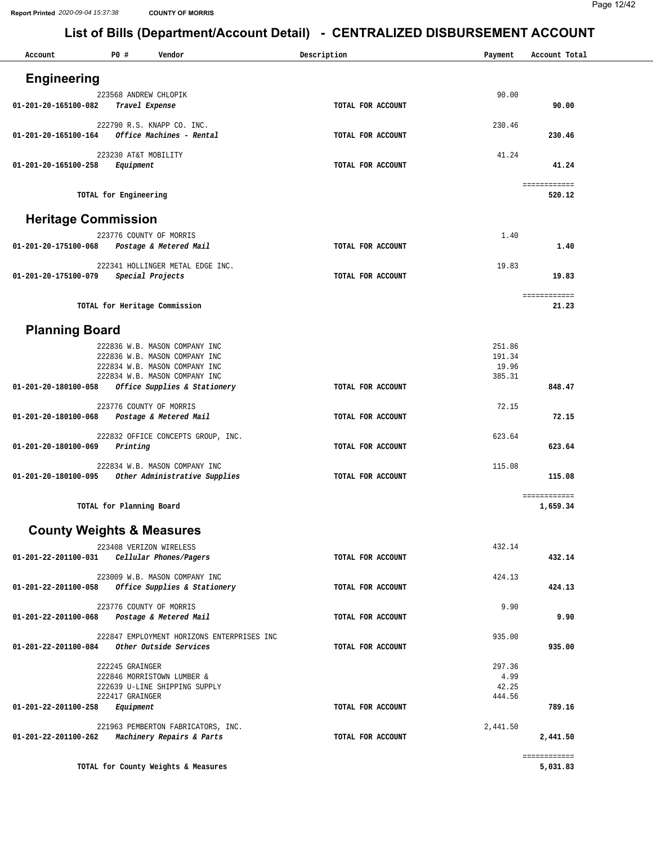| Account                    | P0 #<br>Vendor                                                       | Description       | Payment  | Account Total            |
|----------------------------|----------------------------------------------------------------------|-------------------|----------|--------------------------|
| <b>Engineering</b>         |                                                                      |                   |          |                          |
| 01-201-20-165100-082       | 223568 ANDREW CHLOPIK                                                | TOTAL FOR ACCOUNT | 90.00    | 90.00                    |
|                            | Travel Expense                                                       |                   |          |                          |
| 01-201-20-165100-164       | 222790 R.S. KNAPP CO. INC.<br>Office Machines - Rental               | TOTAL FOR ACCOUNT | 230.46   | 230.46                   |
|                            | 223230 AT&T MOBILITY                                                 |                   | 41.24    |                          |
| 01-201-20-165100-258       | Equipment                                                            | TOTAL FOR ACCOUNT |          | 41.24                    |
|                            | TOTAL for Engineering                                                |                   |          | ============<br>520.12   |
| <b>Heritage Commission</b> |                                                                      |                   |          |                          |
|                            | 223776 COUNTY OF MORRIS                                              |                   | 1.40     |                          |
| 01-201-20-175100-068       | Postage & Metered Mail                                               | TOTAL FOR ACCOUNT |          | 1.40                     |
|                            | 222341 HOLLINGER METAL EDGE INC.<br>Special Projects                 |                   | 19.83    |                          |
| 01-201-20-175100-079       |                                                                      | TOTAL FOR ACCOUNT |          | 19.83                    |
|                            | TOTAL for Heritage Commission                                        |                   |          | ============<br>21.23    |
| <b>Planning Board</b>      |                                                                      |                   |          |                          |
|                            | 222836 W.B. MASON COMPANY INC                                        |                   | 251.86   |                          |
|                            | 222836 W.B. MASON COMPANY INC                                        |                   | 191.34   |                          |
|                            | 222834 W.B. MASON COMPANY INC                                        |                   | 19.96    |                          |
| 01-201-20-180100-058       | 222834 W.B. MASON COMPANY INC<br>Office Supplies & Stationery        | TOTAL FOR ACCOUNT | 385.31   | 848.47                   |
|                            | 223776 COUNTY OF MORRIS                                              |                   | 72.15    |                          |
| 01-201-20-180100-068       | Postage & Metered Mail                                               | TOTAL FOR ACCOUNT |          | 72.15                    |
|                            | 222832 OFFICE CONCEPTS GROUP, INC.                                   |                   | 623.64   |                          |
| 01-201-20-180100-069       | Printing                                                             | TOTAL FOR ACCOUNT |          | 623.64                   |
|                            | 222834 W.B. MASON COMPANY INC                                        |                   | 115.08   |                          |
| 01-201-20-180100-095       | Other Administrative Supplies                                        | TOTAL FOR ACCOUNT |          | 115.08                   |
|                            | TOTAL for Planning Board                                             |                   |          | ============<br>1,659.34 |
|                            | <b>County Weights &amp; Measures</b>                                 |                   |          |                          |
|                            | 223408 VERIZON WIRELESS                                              |                   | 432.14   |                          |
| 01-201-22-201100-031       | Cellular Phones/Pagers                                               | TOTAL FOR ACCOUNT |          | 432.14                   |
|                            | 223009 W.B. MASON COMPANY INC                                        |                   | 424.13   |                          |
| 01-201-22-201100-058       | Office Supplies & Stationery                                         | TOTAL FOR ACCOUNT |          | 424.13                   |
| 01-201-22-201100-068       | 223776 COUNTY OF MORRIS<br>Postage & Metered Mail                    | TOTAL FOR ACCOUNT | 9.90     | 9.90                     |
|                            |                                                                      |                   |          |                          |
| 01-201-22-201100-084       | 222847 EMPLOYMENT HORIZONS ENTERPRISES INC<br>Other Outside Services | TOTAL FOR ACCOUNT | 935.00   | 935.00                   |
|                            | 222245 GRAINGER                                                      |                   | 297.36   |                          |
|                            | 222846 MORRISTOWN LUMBER &                                           |                   | 4.99     |                          |
|                            | 222639 U-LINE SHIPPING SUPPLY                                        |                   | 42.25    |                          |
| 01-201-22-201100-258       | 222417 GRAINGER<br>Equipment                                         | TOTAL FOR ACCOUNT | 444.56   | 789.16                   |
|                            | 221963 PEMBERTON FABRICATORS, INC.                                   |                   | 2,441.50 |                          |
| 01-201-22-201100-262       | Machinery Repairs & Parts                                            | TOTAL FOR ACCOUNT |          | 2,441.50                 |
|                            |                                                                      |                   |          | ============             |
|                            | TOTAL for County Weights & Measures                                  |                   |          | 5,031.83                 |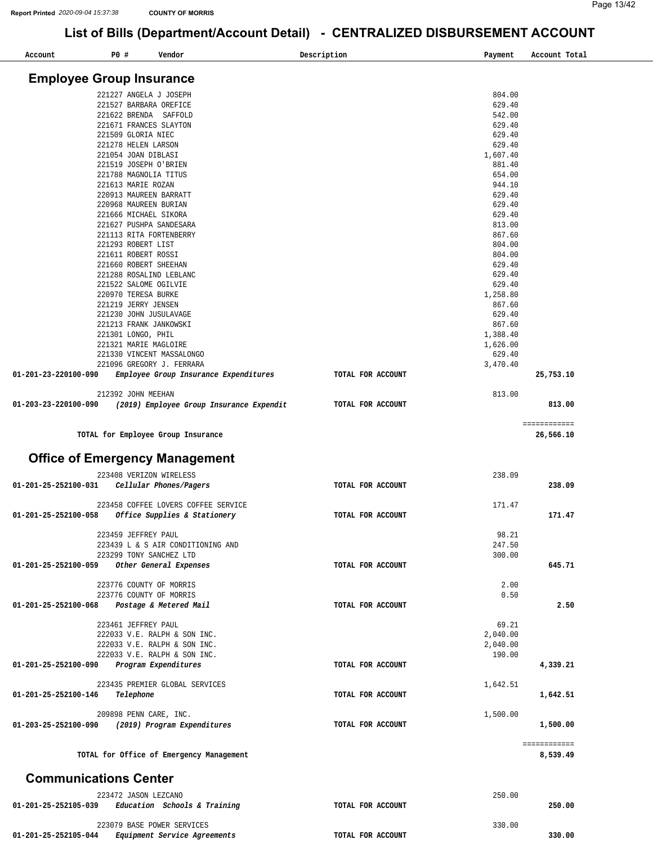**01-201-25-252105-044** *Equipment Service Agreements* 

#### **List of Bills (Department/Account Detail) - CENTRALIZED DISBURSEMENT ACCOUNT**

| Account                         | P0 #               | Vendor                                                                      | Description       | Payment            | Account Total            |
|---------------------------------|--------------------|-----------------------------------------------------------------------------|-------------------|--------------------|--------------------------|
| <b>Employee Group Insurance</b> |                    |                                                                             |                   |                    |                          |
|                                 |                    |                                                                             |                   |                    |                          |
|                                 |                    | 221227 ANGELA J JOSEPH<br>221527 BARBARA OREFICE                            |                   | 804.00<br>629.40   |                          |
|                                 |                    | 221622 BRENDA SAFFOLD                                                       |                   | 542.00             |                          |
|                                 |                    | 221671 FRANCES SLAYTON                                                      |                   | 629.40             |                          |
|                                 | 221509 GLORIA NIEC |                                                                             |                   | 629.40             |                          |
|                                 |                    | 221278 HELEN LARSON                                                         |                   | 629.40             |                          |
|                                 |                    | 221054 JOAN DIBLASI                                                         |                   | 1,607.40           |                          |
|                                 |                    | 221519 JOSEPH O'BRIEN                                                       |                   | 881.40             |                          |
|                                 |                    | 221788 MAGNOLIA TITUS                                                       |                   | 654.00             |                          |
|                                 | 221613 MARIE ROZAN |                                                                             |                   | 944.10             |                          |
|                                 |                    | 220913 MAUREEN BARRATT                                                      |                   | 629.40             |                          |
|                                 |                    | 220968 MAUREEN BURIAN                                                       |                   | 629.40             |                          |
|                                 |                    | 221666 MICHAEL SIKORA                                                       |                   | 629.40             |                          |
|                                 |                    | 221627 PUSHPA SANDESARA                                                     |                   | 813.00             |                          |
|                                 |                    | 221113 RITA FORTENBERRY                                                     |                   | 867.60             |                          |
|                                 | 221293 ROBERT LIST |                                                                             |                   | 804.00             |                          |
|                                 |                    | 221611 ROBERT ROSSI                                                         |                   | 804.00             |                          |
|                                 |                    | 221660 ROBERT SHEEHAN                                                       |                   | 629.40             |                          |
|                                 |                    | 221288 ROSALIND LEBLANC                                                     |                   | 629.40             |                          |
|                                 |                    | 221522 SALOME OGILVIE<br>220970 TERESA BURKE                                |                   | 629.40<br>1,258.80 |                          |
|                                 |                    | 221219 JERRY JENSEN                                                         |                   | 867.60             |                          |
|                                 |                    | 221230 JOHN JUSULAVAGE                                                      |                   | 629.40             |                          |
|                                 |                    | 221213 FRANK JANKOWSKI                                                      |                   | 867.60             |                          |
|                                 | 221301 LONGO, PHIL |                                                                             |                   | 1,388.40           |                          |
|                                 |                    | 221321 MARIE MAGLOIRE                                                       |                   | 1,626.00           |                          |
|                                 |                    | 221330 VINCENT MASSALONGO                                                   |                   | 629.40             |                          |
|                                 |                    | 221096 GREGORY J. FERRARA                                                   |                   | 3,470.40           |                          |
| 01-201-23-220100-090            |                    | Employee Group Insurance Expenditures                                       | TOTAL FOR ACCOUNT |                    | 25,753.10                |
|                                 | 212392 JOHN MEEHAN |                                                                             |                   | 813.00             |                          |
| 01-203-23-220100-090            |                    | (2019) Employee Group Insurance Expendit                                    | TOTAL FOR ACCOUNT |                    | 813.00                   |
|                                 |                    | TOTAL for Employee Group Insurance<br><b>Office of Emergency Management</b> |                   |                    | 26,566.10                |
|                                 |                    |                                                                             |                   |                    |                          |
|                                 |                    | 223408 VERIZON WIRELESS                                                     |                   | 238.09             |                          |
| 01-201-25-252100-031            |                    | Cellular Phones/Pagers                                                      | TOTAL FOR ACCOUNT |                    | 238.09                   |
|                                 |                    | 223458 COFFEE LOVERS COFFEE SERVICE                                         |                   | 171.47             |                          |
| 01-201-25-252100-058            |                    | Office Supplies & Stationery                                                | TOTAL FOR ACCOUNT |                    | 171.47                   |
|                                 |                    |                                                                             |                   |                    |                          |
|                                 |                    | 223459 JEFFREY PAUL                                                         |                   | 98.21              |                          |
|                                 |                    | 223439 L & S AIR CONDITIONING AND                                           |                   | 247.50             |                          |
|                                 |                    | 223299 TONY SANCHEZ LTD                                                     |                   | 300.00             |                          |
| 01-201-25-252100-059            |                    | Other General Expenses                                                      | TOTAL FOR ACCOUNT |                    | 645.71                   |
|                                 |                    | 223776 COUNTY OF MORRIS                                                     |                   | 2.00               |                          |
|                                 |                    | 223776 COUNTY OF MORRIS                                                     |                   | 0.50               |                          |
| 01-201-25-252100-068            |                    | Postage & Metered Mail                                                      | TOTAL FOR ACCOUNT |                    | 2.50                     |
|                                 |                    |                                                                             |                   |                    |                          |
|                                 |                    | 223461 JEFFREY PAUL                                                         |                   | 69.21              |                          |
|                                 |                    | 222033 V.E. RALPH & SON INC.                                                |                   | 2,040.00           |                          |
|                                 |                    | 222033 V.E. RALPH & SON INC.                                                |                   | 2,040.00           |                          |
|                                 |                    | 222033 V.E. RALPH & SON INC.                                                |                   | 190.00             |                          |
| 01-201-25-252100-090            |                    | Program Expenditures                                                        | TOTAL FOR ACCOUNT |                    | 4,339.21                 |
|                                 |                    | 223435 PREMIER GLOBAL SERVICES                                              |                   | 1,642.51           |                          |
| 01-201-25-252100-146            | Telephone          |                                                                             | TOTAL FOR ACCOUNT |                    | 1,642.51                 |
|                                 |                    |                                                                             |                   |                    |                          |
|                                 |                    | 209898 PENN CARE, INC.                                                      |                   | 1,500.00           |                          |
| 01-203-25-252100-090            |                    | (2019) Program Expenditures                                                 | TOTAL FOR ACCOUNT |                    | 1,500.00                 |
|                                 |                    | TOTAL for Office of Emergency Management                                    |                   |                    | ============<br>8,539.49 |
| <b>Communications Center</b>    |                    |                                                                             |                   |                    |                          |
|                                 |                    |                                                                             |                   |                    |                          |
| 01-201-25-252105-039            |                    | 223472 JASON LEZCANO<br>Education Schools & Training                        | TOTAL FOR ACCOUNT | 250.00             | 250.00                   |
|                                 |                    | 223079 BASE POWER SERVICES                                                  |                   | 330.00             |                          |
|                                 |                    |                                                                             |                   |                    |                          |

**TOTAL FOR ACCOUNT** 

**330.00**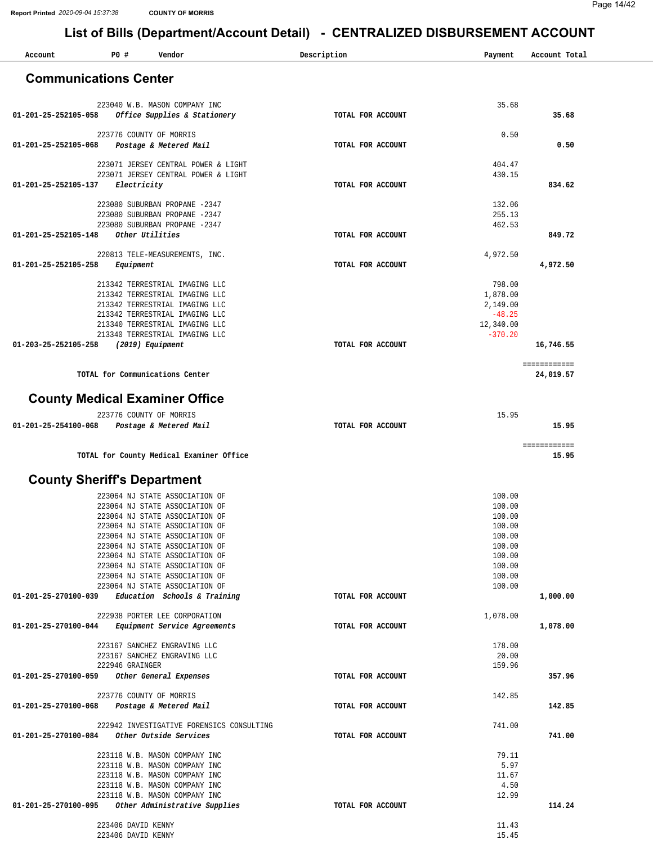| Account                                     | ייט <i>– י</i><br>P0 #                   | Vendor                                                                     | Description       | Payment                | Account Total             |
|---------------------------------------------|------------------------------------------|----------------------------------------------------------------------------|-------------------|------------------------|---------------------------|
|                                             |                                          |                                                                            |                   |                        |                           |
| <b>Communications Center</b>                |                                          |                                                                            |                   |                        |                           |
|                                             |                                          | 223040 W.B. MASON COMPANY INC                                              |                   | 35.68                  |                           |
| 01-201-25-252105-058                        |                                          | Office Supplies & Stationery                                               | TOTAL FOR ACCOUNT |                        | 35.68                     |
|                                             |                                          | 223776 COUNTY OF MORRIS                                                    |                   | 0.50                   |                           |
| 01-201-25-252105-068                        |                                          | Postage & Metered Mail                                                     | TOTAL FOR ACCOUNT |                        | 0.50                      |
|                                             |                                          | 223071 JERSEY CENTRAL POWER & LIGHT<br>223071 JERSEY CENTRAL POWER & LIGHT |                   | 404.47<br>430.15       |                           |
| 01-201-25-252105-137                        | Electricity                              |                                                                            | TOTAL FOR ACCOUNT |                        | 834.62                    |
|                                             |                                          | 223080 SUBURBAN PROPANE -2347                                              |                   | 132.06                 |                           |
|                                             |                                          | 223080 SUBURBAN PROPANE -2347<br>223080 SUBURBAN PROPANE -2347             |                   | 255.13<br>462.53       |                           |
| 01-201-25-252105-148                        |                                          | Other Utilities                                                            | TOTAL FOR ACCOUNT |                        | 849.72                    |
|                                             |                                          | 220813 TELE-MEASUREMENTS, INC.                                             |                   | 4,972.50               |                           |
| 01-201-25-252105-258                        | Equipment                                |                                                                            | TOTAL FOR ACCOUNT |                        | 4,972.50                  |
|                                             |                                          | 213342 TERRESTRIAL IMAGING LLC                                             |                   | 798.00                 |                           |
|                                             |                                          | 213342 TERRESTRIAL IMAGING LLC<br>213342 TERRESTRIAL IMAGING LLC           |                   | 1,878.00<br>2,149.00   |                           |
|                                             |                                          | 213342 TERRESTRIAL IMAGING LLC                                             |                   | $-48.25$               |                           |
|                                             |                                          | 213340 TERRESTRIAL IMAGING LLC<br>213340 TERRESTRIAL IMAGING LLC           |                   | 12,340.00<br>$-370.20$ |                           |
| 01-203-25-252105-258                        |                                          | (2019) Equipment                                                           | TOTAL FOR ACCOUNT |                        | 16,746.55                 |
|                                             |                                          | TOTAL for Communications Center                                            |                   |                        | ============<br>24,019.57 |
|                                             |                                          |                                                                            |                   |                        |                           |
| <b>County Medical Examiner Office</b>       |                                          |                                                                            |                   |                        |                           |
| 01-201-25-254100-068                        |                                          | 223776 COUNTY OF MORRIS<br>Postage & Metered Mail                          | TOTAL FOR ACCOUNT | 15.95                  | 15.95                     |
|                                             |                                          |                                                                            |                   |                        | ============              |
|                                             |                                          | TOTAL for County Medical Examiner Office                                   |                   |                        | 15.95                     |
| <b>County Sheriff's Department</b>          |                                          |                                                                            |                   |                        |                           |
|                                             |                                          | 223064 NJ STATE ASSOCIATION OF                                             |                   | 100.00                 |                           |
|                                             |                                          | 223064 NJ STATE ASSOCIATION OF                                             |                   | 100.00                 |                           |
|                                             |                                          | 223064 NJ STATE ASSOCIATION OF<br>223064 NJ STATE ASSOCIATION OF           |                   | 100.00<br>100.00       |                           |
|                                             |                                          | 223064 NJ STATE ASSOCIATION OF                                             |                   | 100.00                 |                           |
|                                             |                                          | 223064 NJ STATE ASSOCIATION OF                                             |                   | 100.00                 |                           |
|                                             |                                          | 223064 NJ STATE ASSOCIATION OF<br>223064 NJ STATE ASSOCIATION OF           |                   | 100.00<br>100.00       |                           |
|                                             |                                          | 223064 NJ STATE ASSOCIATION OF                                             |                   | 100.00                 |                           |
|                                             |                                          | 223064 NJ STATE ASSOCIATION OF                                             |                   | 100.00                 |                           |
| 01-201-25-270100-039                        |                                          | Education Schools & Training                                               | TOTAL FOR ACCOUNT |                        | 1,000.00                  |
| 01-201-25-270100-044                        |                                          | 222938 PORTER LEE CORPORATION<br>Equipment Service Agreements              | TOTAL FOR ACCOUNT | 1,078.00               | 1,078.00                  |
|                                             |                                          | 223167 SANCHEZ ENGRAVING LLC                                               |                   | 178.00                 |                           |
|                                             |                                          | 223167 SANCHEZ ENGRAVING LLC                                               |                   | 20.00                  |                           |
| 01-201-25-270100-059                        | 222946 GRAINGER                          | Other General Expenses                                                     | TOTAL FOR ACCOUNT | 159.96                 | 357.96                    |
|                                             |                                          | 223776 COUNTY OF MORRIS                                                    |                   | 142.85                 |                           |
| 01-201-25-270100-068 Postage & Metered Mail |                                          |                                                                            | TOTAL FOR ACCOUNT |                        | 142.85                    |
|                                             |                                          | 222942 INVESTIGATIVE FORENSICS CONSULTING                                  |                   | 741.00                 |                           |
| 01-201-25-270100-084                        |                                          | Other Outside Services                                                     | TOTAL FOR ACCOUNT |                        | 741.00                    |
|                                             |                                          | 223118 W.B. MASON COMPANY INC                                              |                   | 79.11                  |                           |
|                                             |                                          | 223118 W.B. MASON COMPANY INC                                              |                   | 5.97<br>11.67          |                           |
|                                             |                                          | 223118 W.B. MASON COMPANY INC<br>223118 W.B. MASON COMPANY INC             |                   | 4.50                   |                           |
|                                             |                                          | 223118 W.B. MASON COMPANY INC                                              |                   | 12.99                  |                           |
| 01-201-25-270100-095                        |                                          | Other Administrative Supplies                                              | TOTAL FOR ACCOUNT |                        | 114.24                    |
|                                             | 223406 DAVID KENNY<br>223406 DAVID KENNY |                                                                            |                   | 11.43<br>15.45         |                           |
|                                             |                                          |                                                                            |                   |                        |                           |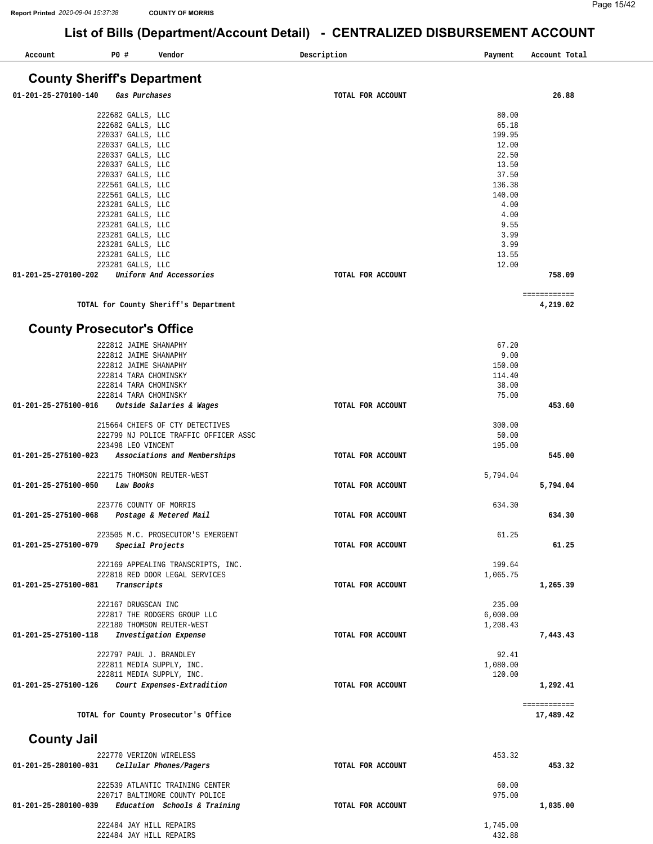**[4,219.02](https://4,219.02)** 

432.88

### **List of Bills (Department/Account Detail) - CENTRALIZED DISBURSEMENT ACCOUNT**

| Account                            | P0 #              | Vendor                  | Description<br>Payment | Account Total |  |  |  |
|------------------------------------|-------------------|-------------------------|------------------------|---------------|--|--|--|
| <b>County Sheriff's Department</b> |                   |                         |                        |               |  |  |  |
| 01-201-25-270100-140               |                   | Gas Purchases           | TOTAL FOR ACCOUNT      | 26.88         |  |  |  |
|                                    | 222682 GALLS, LLC |                         | 80.00                  |               |  |  |  |
|                                    | 222682 GALLS, LLC |                         | 65.18                  |               |  |  |  |
|                                    | 220337 GALLS, LLC |                         | 199.95                 |               |  |  |  |
|                                    | 220337 GALLS, LLC |                         | 12.00                  |               |  |  |  |
|                                    | 220337 GALLS, LLC |                         | 22.50                  |               |  |  |  |
|                                    | 220337 GALLS, LLC |                         | 13.50                  |               |  |  |  |
|                                    | 220337 GALLS, LLC |                         | 37.50                  |               |  |  |  |
|                                    | 222561 GALLS, LLC |                         | 136.38                 |               |  |  |  |
|                                    | 222561 GALLS, LLC |                         | 140.00                 |               |  |  |  |
|                                    | 223281 GALLS, LLC |                         | 4.00                   |               |  |  |  |
|                                    | 223281 GALLS, LLC |                         | 4.00                   |               |  |  |  |
|                                    | 223281 GALLS, LLC |                         | 9.55                   |               |  |  |  |
|                                    | 223281 GALLS, LLC |                         | 3.99                   |               |  |  |  |
|                                    | 223281 GALLS, LLC |                         | 3.99                   |               |  |  |  |
|                                    | 223281 GALLS, LLC |                         | 13.55                  |               |  |  |  |
|                                    | 223281 GALLS, LLC |                         | 12.00                  |               |  |  |  |
| 01-201-25-270100-202               |                   | Uniform And Accessories | TOTAL FOR ACCOUNT      | 758.09        |  |  |  |

**TOTAL for County Sheriff's Department**  ============

222484 JAY HILL REPAIRS

#### **County Prosecutor's Office**

| 222812 JAIME SHANAPHY                                |                   | 67.20    |              |
|------------------------------------------------------|-------------------|----------|--------------|
| 222812 JAIME SHANAPHY                                |                   | 9.00     |              |
| 222812 JAIME SHANAPHY                                |                   | 150.00   |              |
| 222814 TARA CHOMINSKY                                |                   | 114.40   |              |
| 222814 TARA CHOMINSKY                                |                   | 38.00    |              |
| 222814 TARA CHOMINSKY                                |                   | 75.00    |              |
| Outside Salaries & Wages<br>01-201-25-275100-016     | TOTAL FOR ACCOUNT |          | 453.60       |
| 215664 CHIEFS OF CTY DETECTIVES                      |                   | 300.00   |              |
| 222799 NJ POLICE TRAFFIC OFFICER ASSC                |                   | 50.00    |              |
| 223498 LEO VINCENT                                   |                   | 195.00   |              |
| Associations and Memberships<br>01-201-25-275100-023 | TOTAL FOR ACCOUNT |          | 545.00       |
| 222175 THOMSON REUTER-WEST                           |                   | 5,794.04 |              |
| 01-201-25-275100-050<br>Law Books                    | TOTAL FOR ACCOUNT |          | 5,794.04     |
| 223776 COUNTY OF MORRIS                              |                   | 634.30   |              |
| 01-201-25-275100-068<br>Postage & Metered Mail       | TOTAL FOR ACCOUNT |          | 634.30       |
| 223505 M.C. PROSECUTOR'S EMERGENT                    |                   | 61.25    |              |
| Special Projects<br>01-201-25-275100-079             | TOTAL FOR ACCOUNT |          | 61.25        |
| 222169 APPEALING TRANSCRIPTS, INC.                   |                   | 199.64   |              |
| 222818 RED DOOR LEGAL SERVICES                       |                   | 1,065.75 |              |
| Transcripts<br>01-201-25-275100-081                  | TOTAL FOR ACCOUNT |          | 1,265.39     |
| 222167 DRUGSCAN INC                                  |                   | 235.00   |              |
| 222817 THE RODGERS GROUP LLC                         |                   | 6,000.00 |              |
| 222180 THOMSON REUTER-WEST                           |                   | 1,208.43 |              |
| Investigation Expense<br>01-201-25-275100-118        | TOTAL FOR ACCOUNT |          | 7,443.43     |
| 222797 PAUL J. BRANDLEY                              |                   | 92.41    |              |
| 222811 MEDIA SUPPLY, INC.                            |                   | 1,080.00 |              |
| 222811 MEDIA SUPPLY, INC.                            |                   | 120.00   |              |
| Court Expenses-Extradition<br>01-201-25-275100-126   | TOTAL FOR ACCOUNT |          | 1,292.41     |
|                                                      |                   |          | ============ |
| TOTAL for County Prosecutor's Office                 |                   |          | 17,489.42    |
| <b>County Jail</b>                                   |                   |          |              |
| 222770 VERIZON WIRELESS                              |                   | 453.32   |              |
| Cellular Phones/Pagers<br>01-201-25-280100-031       | TOTAL FOR ACCOUNT |          | 453.32       |
| 222539 ATLANTIC TRAINING CENTER                      |                   | 60.00    |              |
| 220717 BALTIMORE COUNTY POLICE                       |                   | 975.00   |              |
| 01-201-25-280100-039 Education Schools & Training    | TOTAL FOR ACCOUNT |          | 1,035.00     |
| 222484 JAY HILL REPAIRS                              |                   | 1,745.00 |              |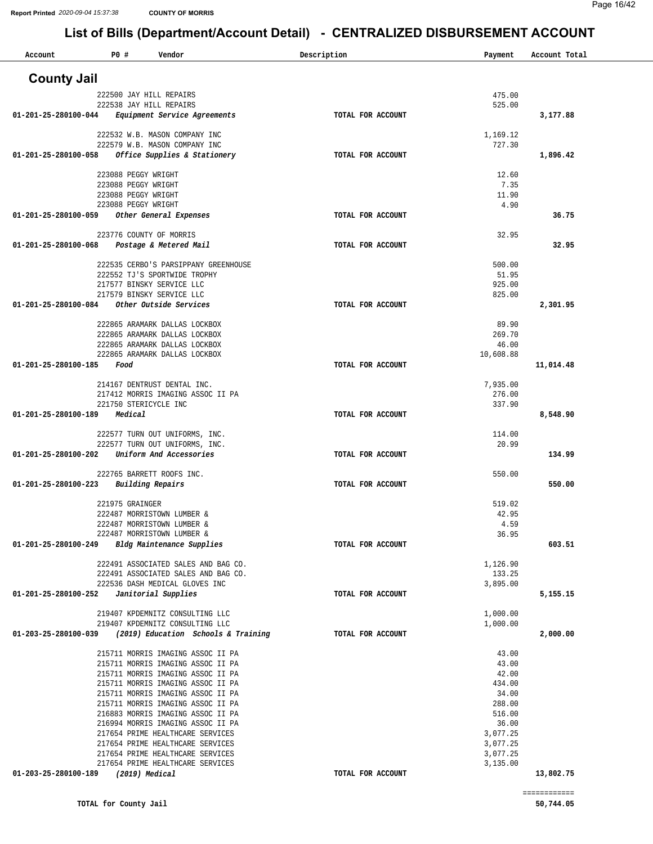| Account              | P0 #                                       | Vendor                                                                 | Description       | Payment              | Account Total |
|----------------------|--------------------------------------------|------------------------------------------------------------------------|-------------------|----------------------|---------------|
| <b>County Jail</b>   |                                            |                                                                        |                   |                      |               |
|                      |                                            | 222500 JAY HILL REPAIRS                                                |                   | 475.00               |               |
|                      |                                            | 222538 JAY HILL REPAIRS                                                |                   | 525.00               |               |
| 01-201-25-280100-044 |                                            | Equipment Service Agreements                                           | TOTAL FOR ACCOUNT |                      | 3,177.88      |
|                      |                                            | 222532 W.B. MASON COMPANY INC                                          |                   | 1,169.12             |               |
|                      |                                            | 222579 W.B. MASON COMPANY INC                                          |                   | 727.30               |               |
| 01-201-25-280100-058 |                                            | Office Supplies & Stationery                                           | TOTAL FOR ACCOUNT |                      | 1,896.42      |
|                      | 223088 PEGGY WRIGHT                        |                                                                        |                   | 12.60                |               |
|                      | 223088 PEGGY WRIGHT<br>223088 PEGGY WRIGHT |                                                                        |                   | 7.35                 |               |
|                      | 223088 PEGGY WRIGHT                        |                                                                        |                   | 11.90<br>4.90        |               |
| 01-201-25-280100-059 |                                            | Other General Expenses                                                 | TOTAL FOR ACCOUNT |                      | 36.75         |
|                      |                                            | 223776 COUNTY OF MORRIS                                                |                   | 32.95                |               |
| 01-201-25-280100-068 |                                            | Postage & Metered Mail                                                 | TOTAL FOR ACCOUNT |                      | 32.95         |
|                      |                                            |                                                                        |                   |                      |               |
|                      |                                            | 222535 CERBO'S PARSIPPANY GREENHOUSE<br>222552 TJ'S SPORTWIDE TROPHY   |                   | 500.00<br>51.95      |               |
|                      |                                            | 217577 BINSKY SERVICE LLC                                              |                   | 925.00               |               |
|                      |                                            | 217579 BINSKY SERVICE LLC                                              |                   | 825.00               |               |
| 01-201-25-280100-084 |                                            | Other Outside Services                                                 | TOTAL FOR ACCOUNT |                      | 2,301.95      |
|                      |                                            | 222865 ARAMARK DALLAS LOCKBOX                                          |                   | 89.90                |               |
|                      |                                            | 222865 ARAMARK DALLAS LOCKBOX<br>222865 ARAMARK DALLAS LOCKBOX         |                   | 269.70<br>46.00      |               |
|                      |                                            | 222865 ARAMARK DALLAS LOCKBOX                                          |                   | 10,608.88            |               |
| 01-201-25-280100-185 | Food                                       |                                                                        | TOTAL FOR ACCOUNT |                      | 11,014.48     |
|                      |                                            | 214167 DENTRUST DENTAL INC.                                            |                   | 7,935.00             |               |
|                      |                                            | 217412 MORRIS IMAGING ASSOC II PA                                      |                   | 276.00               |               |
|                      |                                            | 221750 STERICYCLE INC                                                  |                   | 337.90               |               |
| 01-201-25-280100-189 | Medical                                    |                                                                        | TOTAL FOR ACCOUNT |                      | 8,548.90      |
|                      |                                            | 222577 TURN OUT UNIFORMS, INC.                                         |                   | 114.00               |               |
|                      |                                            | 222577 TURN OUT UNIFORMS, INC.                                         |                   | 20.99                |               |
| 01-201-25-280100-202 |                                            | Uniform And Accessories                                                | TOTAL FOR ACCOUNT |                      | 134.99        |
|                      |                                            | 222765 BARRETT ROOFS INC.                                              |                   | 550.00               |               |
| 01-201-25-280100-223 |                                            | Building Repairs                                                       | TOTAL FOR ACCOUNT |                      | 550.00        |
|                      | 221975 GRAINGER                            |                                                                        |                   | 519.02               |               |
|                      |                                            | 222487 MORRISTOWN LUMBER &                                             |                   | 42.95                |               |
|                      |                                            | 222487 MORRISTOWN LUMBER &<br>222487 MORRISTOWN LUMBER &               |                   | 4.59<br>36.95        |               |
| 01-201-25-280100-249 |                                            | Bldg Maintenance Supplies                                              | TOTAL FOR ACCOUNT |                      | 603.51        |
|                      |                                            | 222491 ASSOCIATED SALES AND BAG CO.                                    |                   | 1,126.90             |               |
|                      |                                            | 222491 ASSOCIATED SALES AND BAG CO.                                    |                   | 133.25               |               |
|                      |                                            | 222536 DASH MEDICAL GLOVES INC                                         |                   | 3,895.00             |               |
| 01-201-25-280100-252 |                                            | Janitorial Supplies                                                    | TOTAL FOR ACCOUNT |                      | 5,155.15      |
|                      |                                            | 219407 KPDEMNITZ CONSULTING LLC                                        |                   | 1,000.00             |               |
| 01-203-25-280100-039 |                                            | 219407 KPDEMNITZ CONSULTING LLC<br>(2019) Education Schools & Training | TOTAL FOR ACCOUNT | 1,000.00             | 2,000.00      |
|                      |                                            |                                                                        |                   |                      |               |
|                      |                                            | 215711 MORRIS IMAGING ASSOC II PA                                      |                   | 43.00                |               |
|                      |                                            | 215711 MORRIS IMAGING ASSOC II PA<br>215711 MORRIS IMAGING ASSOC II PA |                   | 43.00<br>42.00       |               |
|                      |                                            | 215711 MORRIS IMAGING ASSOC II PA                                      |                   | 434.00               |               |
|                      |                                            | 215711 MORRIS IMAGING ASSOC II PA                                      |                   | 34.00<br>288.00      |               |
|                      |                                            | 215711 MORRIS IMAGING ASSOC II PA<br>216883 MORRIS IMAGING ASSOC II PA |                   | 516.00               |               |
|                      |                                            | 216994 MORRIS IMAGING ASSOC II PA                                      |                   | 36.00                |               |
|                      |                                            | 217654 PRIME HEALTHCARE SERVICES<br>217654 PRIME HEALTHCARE SERVICES   |                   | 3,077.25<br>3,077.25 |               |
|                      |                                            | 217654 PRIME HEALTHCARE SERVICES                                       |                   | 3,077.25             |               |
|                      |                                            | 217654 PRIME HEALTHCARE SERVICES                                       |                   | 3,135.00             |               |
| 01-203-25-280100-189 |                                            | (2019) Medical                                                         | TOTAL FOR ACCOUNT |                      | 13,802.75     |
|                      |                                            |                                                                        |                   |                      | ============  |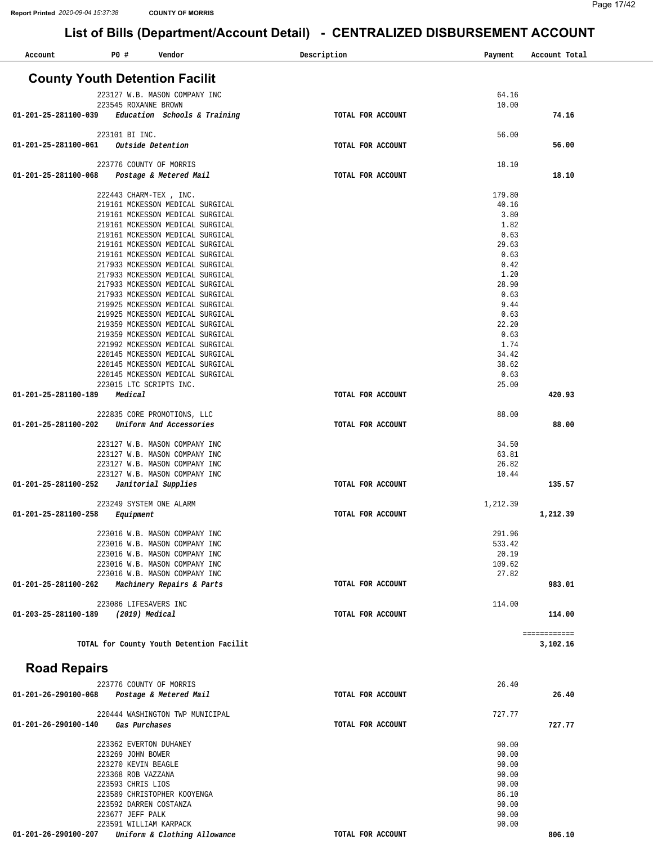| Account              | P0 #<br>Vendor                                                       | Description       | Payment          | Account Total |
|----------------------|----------------------------------------------------------------------|-------------------|------------------|---------------|
|                      | <b>County Youth Detention Facilit</b>                                |                   |                  |               |
|                      |                                                                      |                   |                  |               |
|                      | 223127 W.B. MASON COMPANY INC                                        |                   | 64.16            |               |
| 01-201-25-281100-039 | 223545 ROXANNE BROWN<br>Education Schools & Training                 | TOTAL FOR ACCOUNT | 10.00            | 74.16         |
|                      | 223101 BI INC.                                                       |                   | 56.00            |               |
| 01-201-25-281100-061 | Outside Detention                                                    | TOTAL FOR ACCOUNT |                  | 56.00         |
|                      | 223776 COUNTY OF MORRIS                                              |                   |                  |               |
| 01-201-25-281100-068 | Postage & Metered Mail                                               | TOTAL FOR ACCOUNT | 18.10            | 18.10         |
|                      |                                                                      |                   | 179.80           |               |
|                      | 222443 CHARM-TEX, INC.<br>219161 MCKESSON MEDICAL SURGICAL           |                   | 40.16            |               |
|                      | 219161 MCKESSON MEDICAL SURGICAL                                     |                   | 3.80             |               |
|                      | 219161 MCKESSON MEDICAL SURGICAL                                     |                   | 1.82             |               |
|                      | 219161 MCKESSON MEDICAL SURGICAL                                     |                   | 0.63             |               |
|                      | 219161 MCKESSON MEDICAL SURGICAL                                     |                   | 29.63            |               |
|                      | 219161 MCKESSON MEDICAL SURGICAL                                     |                   | 0.63             |               |
|                      | 217933 MCKESSON MEDICAL SURGICAL<br>217933 MCKESSON MEDICAL SURGICAL |                   | 0.42<br>1.20     |               |
|                      | 217933 MCKESSON MEDICAL SURGICAL                                     |                   | 28.90            |               |
|                      | 217933 MCKESSON MEDICAL SURGICAL                                     |                   | 0.63             |               |
|                      | 219925 MCKESSON MEDICAL SURGICAL                                     |                   | 9.44             |               |
|                      | 219925 MCKESSON MEDICAL SURGICAL                                     |                   | 0.63             |               |
|                      | 219359 MCKESSON MEDICAL SURGICAL                                     |                   | 22.20            |               |
|                      | 219359 MCKESSON MEDICAL SURGICAL                                     |                   | 0.63             |               |
|                      | 221992 MCKESSON MEDICAL SURGICAL<br>220145 MCKESSON MEDICAL SURGICAL |                   | 1.74<br>34.42    |               |
|                      | 220145 MCKESSON MEDICAL SURGICAL                                     |                   | 38.62            |               |
|                      | 220145 MCKESSON MEDICAL SURGICAL                                     |                   | 0.63             |               |
|                      | 223015 LTC SCRIPTS INC.                                              |                   | 25.00            |               |
| 01-201-25-281100-189 | Medical                                                              | TOTAL FOR ACCOUNT |                  | 420.93        |
|                      | 222835 CORE PROMOTIONS, LLC                                          |                   | 88.00            |               |
| 01-201-25-281100-202 | Uniform And Accessories                                              | TOTAL FOR ACCOUNT |                  | 88.00         |
|                      |                                                                      |                   |                  |               |
|                      | 223127 W.B. MASON COMPANY INC                                        |                   | 34.50            |               |
|                      | 223127 W.B. MASON COMPANY INC                                        |                   | 63.81            |               |
|                      | 223127 W.B. MASON COMPANY INC<br>223127 W.B. MASON COMPANY INC       |                   | 26.82<br>10.44   |               |
| 01-201-25-281100-252 | Janitorial Supplies                                                  | TOTAL FOR ACCOUNT |                  | 135.57        |
|                      | 223249 SYSTEM ONE ALARM                                              |                   | 1,212.39         |               |
| 01-201-25-281100-258 | Equipment                                                            | TOTAL FOR ACCOUNT |                  | 1,212.39      |
|                      |                                                                      |                   |                  |               |
|                      | 223016 W.B. MASON COMPANY INC<br>223016 W.B. MASON COMPANY INC       |                   | 291.96<br>533.42 |               |
|                      | 223016 W.B. MASON COMPANY INC                                        |                   | 20.19            |               |
|                      | 223016 W.B. MASON COMPANY INC                                        |                   | 109.62           |               |
|                      | 223016 W.B. MASON COMPANY INC                                        |                   | 27.82            |               |
| 01-201-25-281100-262 | Machinery Repairs & Parts                                            | TOTAL FOR ACCOUNT |                  | 983.01        |
|                      | 223086 LIFESAVERS INC                                                |                   | 114.00           |               |
| 01-203-25-281100-189 | (2019) Medical                                                       | TOTAL FOR ACCOUNT |                  | 114.00        |
|                      |                                                                      |                   |                  | ============  |
|                      | TOTAL for County Youth Detention Facilit                             |                   |                  | 3,102.16      |
| <b>Road Repairs</b>  |                                                                      |                   |                  |               |
|                      | 223776 COUNTY OF MORRIS                                              |                   | 26.40            |               |
| 01-201-26-290100-068 | Postage & Metered Mail                                               | TOTAL FOR ACCOUNT |                  | 26.40         |
|                      |                                                                      |                   |                  |               |
|                      | 220444 WASHINGTON TWP MUNICIPAL                                      |                   | 727.77           |               |
| 01-201-26-290100-140 | Gas Purchases                                                        | TOTAL FOR ACCOUNT |                  | 727.77        |
|                      | 223362 EVERTON DUHANEY                                               |                   | 90.00            |               |
|                      | 223269 JOHN BOWER                                                    |                   | 90.00            |               |
|                      | 223270 KEVIN BEAGLE                                                  |                   | 90.00            |               |
|                      | 223368 ROB VAZZANA                                                   |                   | 90.00            |               |
|                      | 223593 CHRIS LIOS                                                    |                   | 90.00            |               |
|                      | 223589 CHRISTOPHER KOOYENGA                                          |                   | 86.10            |               |
|                      | 223592 DARREN COSTANZA                                               |                   | 90.00            |               |
|                      | 223677 JEFF PALK<br>223591 WILLIAM KARPACK                           |                   | 90.00<br>90.00   |               |
| 01-201-26-290100-207 | Uniform & Clothing Allowance                                         | TOTAL FOR ACCOUNT |                  | 806.10        |
|                      |                                                                      |                   |                  |               |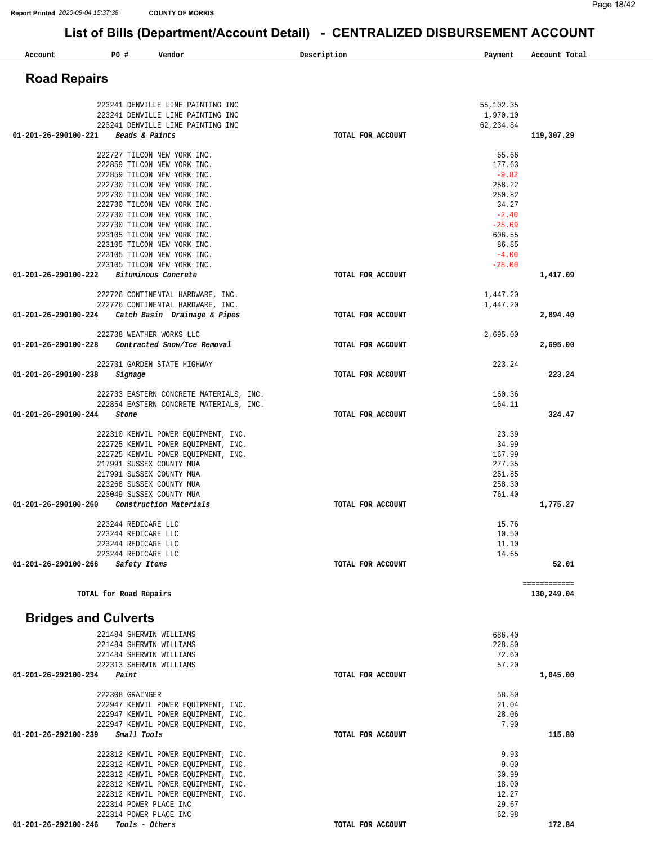| List of Bills (Department/Account Detail) - CENTRALIZED DISBURSEMENT ACCOUNT<br>P0 #<br>Vendor<br>Account<br><b>Road Repairs</b><br>223241 DENVILLE LINE PAINTING INC<br>223241 DENVILLE LINE PAINTING INC<br>223241 DENVILLE LINE PAINTING INC<br>01-201-26-290100-221<br>Beads & Paints<br>222727 TILCON NEW YORK INC.<br>222859 TILCON NEW YORK INC.<br>222859 TILCON NEW YORK INC.<br>222730 TILCON NEW YORK INC.<br>222730 TILCON NEW YORK INC.<br>222730 TILCON NEW YORK INC.<br>222730 TILCON NEW YORK INC.<br>222730 TILCON NEW YORK INC. | Description<br>TOTAL FOR ACCOUNT | Payment<br>55,102.35<br>1,970.10<br>62, 234.84<br>65.66<br>177.63<br>$-9.82$<br>258.22<br>260.82<br>34.27 | Account Total<br>119,307.29 |
|---------------------------------------------------------------------------------------------------------------------------------------------------------------------------------------------------------------------------------------------------------------------------------------------------------------------------------------------------------------------------------------------------------------------------------------------------------------------------------------------------------------------------------------------------|----------------------------------|-----------------------------------------------------------------------------------------------------------|-----------------------------|
|                                                                                                                                                                                                                                                                                                                                                                                                                                                                                                                                                   |                                  |                                                                                                           |                             |
|                                                                                                                                                                                                                                                                                                                                                                                                                                                                                                                                                   |                                  |                                                                                                           |                             |
|                                                                                                                                                                                                                                                                                                                                                                                                                                                                                                                                                   |                                  |                                                                                                           |                             |
|                                                                                                                                                                                                                                                                                                                                                                                                                                                                                                                                                   |                                  |                                                                                                           |                             |
|                                                                                                                                                                                                                                                                                                                                                                                                                                                                                                                                                   |                                  |                                                                                                           |                             |
|                                                                                                                                                                                                                                                                                                                                                                                                                                                                                                                                                   |                                  |                                                                                                           |                             |
|                                                                                                                                                                                                                                                                                                                                                                                                                                                                                                                                                   |                                  |                                                                                                           |                             |
|                                                                                                                                                                                                                                                                                                                                                                                                                                                                                                                                                   |                                  |                                                                                                           |                             |
|                                                                                                                                                                                                                                                                                                                                                                                                                                                                                                                                                   |                                  |                                                                                                           |                             |
|                                                                                                                                                                                                                                                                                                                                                                                                                                                                                                                                                   |                                  |                                                                                                           |                             |
|                                                                                                                                                                                                                                                                                                                                                                                                                                                                                                                                                   |                                  |                                                                                                           |                             |
|                                                                                                                                                                                                                                                                                                                                                                                                                                                                                                                                                   |                                  |                                                                                                           |                             |
|                                                                                                                                                                                                                                                                                                                                                                                                                                                                                                                                                   |                                  | $-2.40$                                                                                                   |                             |
|                                                                                                                                                                                                                                                                                                                                                                                                                                                                                                                                                   |                                  | $-28.69$                                                                                                  |                             |
| 223105 TILCON NEW YORK INC.                                                                                                                                                                                                                                                                                                                                                                                                                                                                                                                       |                                  | 606.55                                                                                                    |                             |
| 223105 TILCON NEW YORK INC.                                                                                                                                                                                                                                                                                                                                                                                                                                                                                                                       |                                  | 86.85                                                                                                     |                             |
| 223105 TILCON NEW YORK INC.                                                                                                                                                                                                                                                                                                                                                                                                                                                                                                                       |                                  | $-4.00$                                                                                                   |                             |
| 223105 TILCON NEW YORK INC.                                                                                                                                                                                                                                                                                                                                                                                                                                                                                                                       |                                  | $-28.00$                                                                                                  |                             |
| Bituminous Concrete<br>01-201-26-290100-222                                                                                                                                                                                                                                                                                                                                                                                                                                                                                                       | TOTAL FOR ACCOUNT                |                                                                                                           | 1,417.09                    |
| 222726 CONTINENTAL HARDWARE, INC.                                                                                                                                                                                                                                                                                                                                                                                                                                                                                                                 |                                  | 1,447.20                                                                                                  |                             |
| 222726 CONTINENTAL HARDWARE, INC.                                                                                                                                                                                                                                                                                                                                                                                                                                                                                                                 |                                  | 1,447.20                                                                                                  |                             |
| 01-201-26-290100-224<br>Catch Basin Drainage & Pipes                                                                                                                                                                                                                                                                                                                                                                                                                                                                                              | TOTAL FOR ACCOUNT                |                                                                                                           | 2,894.40                    |
| 222738 WEATHER WORKS LLC                                                                                                                                                                                                                                                                                                                                                                                                                                                                                                                          |                                  | 2,695.00                                                                                                  |                             |
| Contracted Snow/Ice Removal<br>01-201-26-290100-228                                                                                                                                                                                                                                                                                                                                                                                                                                                                                               | TOTAL FOR ACCOUNT                |                                                                                                           | 2,695.00                    |
| 222731 GARDEN STATE HIGHWAY                                                                                                                                                                                                                                                                                                                                                                                                                                                                                                                       |                                  | 223.24                                                                                                    |                             |
| 01-201-26-290100-238<br>Signage                                                                                                                                                                                                                                                                                                                                                                                                                                                                                                                   | TOTAL FOR ACCOUNT                |                                                                                                           | 223.24                      |
|                                                                                                                                                                                                                                                                                                                                                                                                                                                                                                                                                   |                                  |                                                                                                           |                             |
| 222733 EASTERN CONCRETE MATERIALS, INC.                                                                                                                                                                                                                                                                                                                                                                                                                                                                                                           |                                  | 160.36                                                                                                    |                             |
| 222854 EASTERN CONCRETE MATERIALS, INC.                                                                                                                                                                                                                                                                                                                                                                                                                                                                                                           |                                  | 164.11                                                                                                    |                             |
| 01-201-26-290100-244<br>Stone                                                                                                                                                                                                                                                                                                                                                                                                                                                                                                                     | TOTAL FOR ACCOUNT                |                                                                                                           | 324.47                      |
| 222310 KENVIL POWER EQUIPMENT, INC.                                                                                                                                                                                                                                                                                                                                                                                                                                                                                                               |                                  | 23.39                                                                                                     |                             |
| 222725 KENVIL POWER EQUIPMENT, INC.                                                                                                                                                                                                                                                                                                                                                                                                                                                                                                               |                                  | 34.99                                                                                                     |                             |
| 222725 KENVIL POWER EQUIPMENT, INC.                                                                                                                                                                                                                                                                                                                                                                                                                                                                                                               |                                  | 167.99                                                                                                    |                             |
| 217991 SUSSEX COUNTY MUA                                                                                                                                                                                                                                                                                                                                                                                                                                                                                                                          |                                  | 277.35                                                                                                    |                             |
| 217991 SUSSEX COUNTY MUA                                                                                                                                                                                                                                                                                                                                                                                                                                                                                                                          |                                  | 251.85                                                                                                    |                             |
| 223268 SUSSEX COUNTY MUA                                                                                                                                                                                                                                                                                                                                                                                                                                                                                                                          |                                  | 258.30                                                                                                    |                             |
| 223049 SUSSEX COUNTY MUA                                                                                                                                                                                                                                                                                                                                                                                                                                                                                                                          |                                  | 761.40                                                                                                    |                             |
| 01-201-26-290100-260<br>Construction Materials                                                                                                                                                                                                                                                                                                                                                                                                                                                                                                    | TOTAL FOR ACCOUNT                |                                                                                                           | 1,775.27                    |
| 223244 REDICARE LLC                                                                                                                                                                                                                                                                                                                                                                                                                                                                                                                               |                                  | 15.76                                                                                                     |                             |
| 223244 REDICARE LLC                                                                                                                                                                                                                                                                                                                                                                                                                                                                                                                               |                                  | 10.50                                                                                                     |                             |
| 223244 REDICARE LLC                                                                                                                                                                                                                                                                                                                                                                                                                                                                                                                               |                                  | 11.10                                                                                                     |                             |
| 223244 REDICARE LLC                                                                                                                                                                                                                                                                                                                                                                                                                                                                                                                               |                                  | 14.65                                                                                                     |                             |
| 01-201-26-290100-266<br>Safety Items                                                                                                                                                                                                                                                                                                                                                                                                                                                                                                              | TOTAL FOR ACCOUNT                |                                                                                                           | 52.01                       |
|                                                                                                                                                                                                                                                                                                                                                                                                                                                                                                                                                   |                                  |                                                                                                           | ============                |
| TOTAL for Road Repairs                                                                                                                                                                                                                                                                                                                                                                                                                                                                                                                            |                                  |                                                                                                           | 130,249.04                  |

# **Bridges and Culverts**

| 221484 SHERWIN WILLIAMS             | 686.40            |          |
|-------------------------------------|-------------------|----------|
| 221484 SHERWIN WILLIAMS             | 228.80            |          |
| 221484 SHERWIN WILLIAMS             | 72.60             |          |
| 222313 SHERWIN WILLIAMS             | 57.20             |          |
| 01-201-26-292100-234<br>Paint       | TOTAL FOR ACCOUNT | 1,045.00 |
| 222308 GRAINGER                     | 58.80             |          |
|                                     |                   |          |
| 222947 KENVIL POWER EOUIPMENT, INC. | 21.04             |          |
| 222947 KENVIL POWER EQUIPMENT, INC. | 28.06             |          |
| 222947 KENVIL POWER EOUIPMENT, INC. | 7.90              |          |
| 01-201-26-292100-239<br>Small Tools | TOTAL FOR ACCOUNT | 115.80   |
| 222312 KENVIL POWER EOUIPMENT, INC. | 9.93              |          |
| 222312 KENVIL POWER EQUIPMENT, INC. | 9.00              |          |
| 222312 KENVIL POWER EQUIPMENT, INC. |                   |          |
|                                     | 30.99             |          |
| 222312 KENVIL POWER EOUIPMENT, INC. | 18.00             |          |
| 222312 KENVIL POWER EQUIPMENT, INC. | 12.27             |          |
| 222314 POWER PLACE INC              | 29.67             |          |
| 222314 POWER PLACE INC              | 62.98             |          |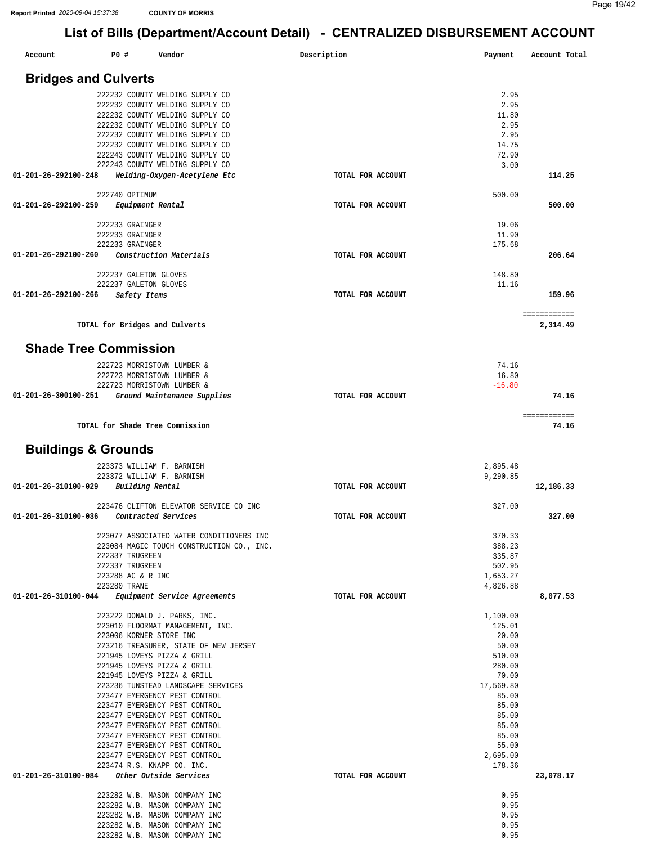| Account                                     | P0 # |                                                                    | Vendor |                                           | Description       | Payment            | Account Total |  |
|---------------------------------------------|------|--------------------------------------------------------------------|--------|-------------------------------------------|-------------------|--------------------|---------------|--|
| <b>Bridges and Culverts</b>                 |      |                                                                    |        |                                           |                   |                    |               |  |
|                                             |      |                                                                    |        |                                           |                   |                    |               |  |
|                                             |      | 222232 COUNTY WELDING SUPPLY CO<br>222232 COUNTY WELDING SUPPLY CO |        |                                           |                   | 2.95<br>2.95       |               |  |
|                                             |      | 222232 COUNTY WELDING SUPPLY CO                                    |        |                                           |                   | 11.80              |               |  |
|                                             |      | 222232 COUNTY WELDING SUPPLY CO                                    |        |                                           |                   | 2.95               |               |  |
|                                             |      | 222232 COUNTY WELDING SUPPLY CO                                    |        |                                           |                   | 2.95               |               |  |
|                                             |      | 222232 COUNTY WELDING SUPPLY CO                                    |        |                                           |                   | 14.75              |               |  |
|                                             |      | 222243 COUNTY WELDING SUPPLY CO                                    |        |                                           |                   | 72.90              |               |  |
|                                             |      | 222243 COUNTY WELDING SUPPLY CO                                    |        |                                           |                   | 3.00               |               |  |
| 01-201-26-292100-248                        |      | Welding-Oxygen-Acetylene Etc                                       |        |                                           | TOTAL FOR ACCOUNT |                    | 114.25        |  |
|                                             |      | 222740 OPTIMUM                                                     |        |                                           |                   | 500.00             |               |  |
| 01-201-26-292100-259                        |      | Equipment Rental                                                   |        |                                           | TOTAL FOR ACCOUNT |                    | 500.00        |  |
|                                             |      |                                                                    |        |                                           |                   |                    |               |  |
|                                             |      | 222233 GRAINGER                                                    |        |                                           |                   | 19.06              |               |  |
|                                             |      | 222233 GRAINGER                                                    |        |                                           |                   | 11.90              |               |  |
|                                             |      | 222233 GRAINGER                                                    |        |                                           |                   | 175.68             |               |  |
| 01-201-26-292100-260                        |      | Construction Materials                                             |        |                                           | TOTAL FOR ACCOUNT |                    | 206.64        |  |
|                                             |      | 222237 GALETON GLOVES                                              |        |                                           |                   | 148.80             |               |  |
|                                             |      | 222237 GALETON GLOVES                                              |        |                                           |                   | 11.16              |               |  |
| 01-201-26-292100-266                        |      | Safety Items                                                       |        |                                           | TOTAL FOR ACCOUNT |                    | 159.96        |  |
|                                             |      |                                                                    |        |                                           |                   |                    |               |  |
|                                             |      |                                                                    |        |                                           |                   |                    | ============  |  |
|                                             |      | TOTAL for Bridges and Culverts                                     |        |                                           |                   |                    | 2,314.49      |  |
|                                             |      |                                                                    |        |                                           |                   |                    |               |  |
| <b>Shade Tree Commission</b>                |      |                                                                    |        |                                           |                   |                    |               |  |
|                                             |      | 222723 MORRISTOWN LUMBER &                                         |        |                                           |                   | 74.16              |               |  |
|                                             |      | 222723 MORRISTOWN LUMBER &                                         |        |                                           |                   | 16.80              |               |  |
|                                             |      | 222723 MORRISTOWN LUMBER &                                         |        |                                           |                   | $-16.80$           |               |  |
| 01-201-26-300100-251                        |      | Ground Maintenance Supplies                                        |        |                                           | TOTAL FOR ACCOUNT |                    | 74.16         |  |
|                                             |      |                                                                    |        |                                           |                   |                    | ============  |  |
|                                             |      | TOTAL for Shade Tree Commission                                    |        |                                           |                   |                    | 74.16         |  |
|                                             |      |                                                                    |        |                                           |                   |                    |               |  |
| <b>Buildings &amp; Grounds</b>              |      |                                                                    |        |                                           |                   |                    |               |  |
|                                             |      | 223373 WILLIAM F. BARNISH                                          |        |                                           |                   | 2,895.48           |               |  |
|                                             |      | 223372 WILLIAM F. BARNISH                                          |        |                                           |                   | 9,290.85           |               |  |
| 01-201-26-310100-029                        |      | Building Rental                                                    |        |                                           | TOTAL FOR ACCOUNT |                    | 12,186.33     |  |
|                                             |      |                                                                    |        |                                           |                   |                    |               |  |
|                                             |      |                                                                    |        | 223476 CLIFTON ELEVATOR SERVICE CO INC    |                   | 327.00             |               |  |
| 01-201-26-310100-036                        |      | Contracted Services                                                |        |                                           | TOTAL FOR ACCOUNT |                    | 327.00        |  |
|                                             |      |                                                                    |        | 223077 ASSOCIATED WATER CONDITIONERS INC  |                   | 370.33             |               |  |
|                                             |      |                                                                    |        | 223084 MAGIC TOUCH CONSTRUCTION CO., INC. |                   | 388.23             |               |  |
|                                             |      | 222337 TRUGREEN                                                    |        |                                           |                   | 335.87             |               |  |
|                                             |      | 222337 TRUGREEN                                                    |        |                                           |                   | 502.95             |               |  |
|                                             |      | 223288 AC & R INC                                                  |        |                                           |                   | 1,653.27           |               |  |
| 01-201-26-310100-044                        |      | 223280 TRANE<br>Equipment Service Agreements                       |        |                                           | TOTAL FOR ACCOUNT | 4,826.88           | 8,077.53      |  |
|                                             |      |                                                                    |        |                                           |                   |                    |               |  |
|                                             |      | 223222 DONALD J. PARKS, INC.                                       |        |                                           |                   | 1,100.00           |               |  |
|                                             |      | 223010 FLOORMAT MANAGEMENT, INC.                                   |        |                                           |                   | 125.01             |               |  |
|                                             |      | 223006 KORNER STORE INC                                            |        |                                           |                   | 20.00              |               |  |
|                                             |      |                                                                    |        | 223216 TREASURER, STATE OF NEW JERSEY     |                   | 50.00              |               |  |
|                                             |      | 221945 LOVEYS PIZZA & GRILL                                        |        |                                           |                   | 510.00             |               |  |
|                                             |      | 221945 LOVEYS PIZZA & GRILL                                        |        |                                           |                   | 280.00<br>70.00    |               |  |
|                                             |      | 221945 LOVEYS PIZZA & GRILL                                        |        | 223236 TUNSTEAD LANDSCAPE SERVICES        |                   | 17,569.80          |               |  |
|                                             |      | 223477 EMERGENCY PEST CONTROL                                      |        |                                           |                   | 85.00              |               |  |
|                                             |      | 223477 EMERGENCY PEST CONTROL                                      |        |                                           |                   | 85.00              |               |  |
|                                             |      | 223477 EMERGENCY PEST CONTROL                                      |        |                                           |                   | 85.00              |               |  |
|                                             |      | 223477 EMERGENCY PEST CONTROL                                      |        |                                           |                   | 85.00              |               |  |
|                                             |      | 223477 EMERGENCY PEST CONTROL                                      |        |                                           |                   | 85.00              |               |  |
|                                             |      | 223477 EMERGENCY PEST CONTROL<br>223477 EMERGENCY PEST CONTROL     |        |                                           |                   | 55.00              |               |  |
|                                             |      | 223474 R.S. KNAPP CO. INC.                                         |        |                                           |                   | 2,695.00<br>178.36 |               |  |
| 01-201-26-310100-084 Other Outside Services |      |                                                                    |        |                                           | TOTAL FOR ACCOUNT |                    | 23,078.17     |  |
|                                             |      |                                                                    |        |                                           |                   |                    |               |  |
|                                             |      | 223282 W.B. MASON COMPANY INC                                      |        |                                           |                   | 0.95               |               |  |
|                                             |      | 223282 W.B. MASON COMPANY INC                                      |        |                                           |                   | 0.95               |               |  |
|                                             |      | 223282 W.B. MASON COMPANY INC<br>223282 W.B. MASON COMPANY INC     |        |                                           |                   | 0.95<br>0.95       |               |  |
|                                             |      | 223282 W.B. MASON COMPANY INC                                      |        |                                           |                   | 0.95               |               |  |
|                                             |      |                                                                    |        |                                           |                   |                    |               |  |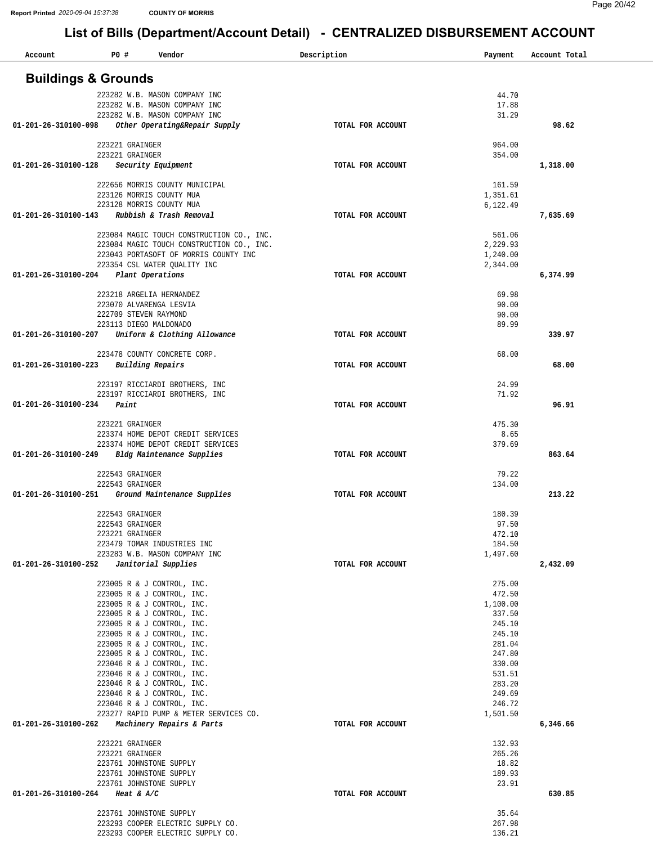| Account<br>P0 #<br>Vendor                                                              | Description       | Payment            | Account Total |
|----------------------------------------------------------------------------------------|-------------------|--------------------|---------------|
| <b>Buildings &amp; Grounds</b>                                                         |                   |                    |               |
| 223282 W.B. MASON COMPANY INC                                                          |                   | 44.70              |               |
| 223282 W.B. MASON COMPANY INC                                                          |                   | 17.88              |               |
| 223282 W.B. MASON COMPANY INC<br>Other Operating&Repair Supply<br>01-201-26-310100-098 | TOTAL FOR ACCOUNT | 31.29              | 98.62         |
|                                                                                        |                   |                    |               |
| 223221 GRAINGER<br>223221 GRAINGER                                                     |                   | 964.00             |               |
| 01-201-26-310100-128<br>Security Equipment                                             | TOTAL FOR ACCOUNT | 354.00             | 1,318.00      |
|                                                                                        |                   |                    |               |
| 222656 MORRIS COUNTY MUNICIPAL<br>223126 MORRIS COUNTY MUA                             |                   | 161.59<br>1,351.61 |               |
| 223128 MORRIS COUNTY MUA                                                               |                   | 6,122.49           |               |
| Rubbish & Trash Removal<br>01-201-26-310100-143                                        | TOTAL FOR ACCOUNT |                    | 7,635.69      |
| 223084 MAGIC TOUCH CONSTRUCTION CO., INC.                                              |                   | 561.06             |               |
| 223084 MAGIC TOUCH CONSTRUCTION CO., INC.                                              |                   | 2,229.93           |               |
| 223043 PORTASOFT OF MORRIS COUNTY INC                                                  |                   | 1,240.00           |               |
| 223354 CSL WATER OUALITY INC<br>01-201-26-310100-204<br>Plant Operations               | TOTAL FOR ACCOUNT | 2,344.00           | 6,374.99      |
|                                                                                        |                   |                    |               |
| 223218 ARGELIA HERNANDEZ                                                               |                   | 69.98              |               |
| 223070 ALVARENGA LESVIA<br>222709 STEVEN RAYMOND                                       |                   | 90.00<br>90.00     |               |
| 223113 DIEGO MALDONADO                                                                 |                   | 89.99              |               |
| Uniform & Clothing Allowance<br>01-201-26-310100-207                                   | TOTAL FOR ACCOUNT |                    | 339.97        |
| 223478 COUNTY CONCRETE CORP.                                                           |                   | 68.00              |               |
| 01-201-26-310100-223<br>Building Repairs                                               | TOTAL FOR ACCOUNT |                    | 68.00         |
|                                                                                        |                   | 24.99              |               |
| 223197 RICCIARDI BROTHERS, INC<br>223197 RICCIARDI BROTHERS, INC                       |                   | 71.92              |               |
| Paint<br>01-201-26-310100-234                                                          | TOTAL FOR ACCOUNT |                    | 96.91         |
| 223221 GRAINGER                                                                        |                   | 475.30             |               |
| 223374 HOME DEPOT CREDIT SERVICES                                                      |                   | 8.65               |               |
| 223374 HOME DEPOT CREDIT SERVICES                                                      |                   | 379.69             |               |
| Bldg Maintenance Supplies<br>01-201-26-310100-249                                      | TOTAL FOR ACCOUNT |                    | 863.64        |
| 222543 GRAINGER                                                                        |                   | 79.22              |               |
| 222543 GRAINGER                                                                        |                   | 134.00             |               |
| Ground Maintenance Supplies<br>01-201-26-310100-251                                    | TOTAL FOR ACCOUNT |                    | 213.22        |
| 222543 GRAINGER                                                                        |                   | 180.39             |               |
| 222543 GRAINGER                                                                        |                   | 97.50              |               |
| 223221 GRAINGER<br>223479 TOMAR INDUSTRIES INC                                         |                   | 472.10<br>184.50   |               |
| 223283 W.B. MASON COMPANY INC                                                          |                   | 1,497.60           |               |
| Janitorial Supplies<br>01-201-26-310100-252                                            | TOTAL FOR ACCOUNT |                    | 2,432.09      |
| 223005 R & J CONTROL, INC.                                                             |                   | 275.00             |               |
| 223005 R & J CONTROL, INC.                                                             |                   | 472.50             |               |
| 223005 R & J CONTROL, INC.<br>223005 R & J CONTROL, INC.                               |                   | 1,100.00<br>337.50 |               |
| 223005 R & J CONTROL, INC.                                                             |                   | 245.10             |               |
| 223005 R & J CONTROL, INC.                                                             |                   | 245.10             |               |
| 223005 R & J CONTROL, INC.<br>223005 R & J CONTROL, INC.                               |                   | 281.04<br>247.80   |               |
| 223046 R & J CONTROL, INC.                                                             |                   | 330.00             |               |
| 223046 R & J CONTROL, INC.                                                             |                   | 531.51             |               |
| 223046 R & J CONTROL, INC.<br>223046 R & J CONTROL, INC.                               |                   | 283.20<br>249.69   |               |
| 223046 R & J CONTROL, INC.                                                             |                   | 246.72             |               |
| 223277 RAPID PUMP & METER SERVICES CO.                                                 |                   | 1,501.50           |               |
| 01-201-26-310100-262<br>Machinery Repairs & Parts                                      | TOTAL FOR ACCOUNT |                    | 6,346.66      |
| 223221 GRAINGER                                                                        |                   | 132.93             |               |
| 223221 GRAINGER<br>223761 JOHNSTONE SUPPLY                                             |                   | 265.26<br>18.82    |               |
| 223761 JOHNSTONE SUPPLY                                                                |                   | 189.93             |               |
| 223761 JOHNSTONE SUPPLY                                                                |                   | 23.91              |               |
| 01-201-26-310100-264<br>Heat & $A/C$                                                   | TOTAL FOR ACCOUNT |                    | 630.85        |
| 223761 JOHNSTONE SUPPLY                                                                |                   | 35.64              |               |
| 223293 COOPER ELECTRIC SUPPLY CO.                                                      |                   | 267.98             |               |
| 223293 COOPER ELECTRIC SUPPLY CO.                                                      |                   | 136.21             |               |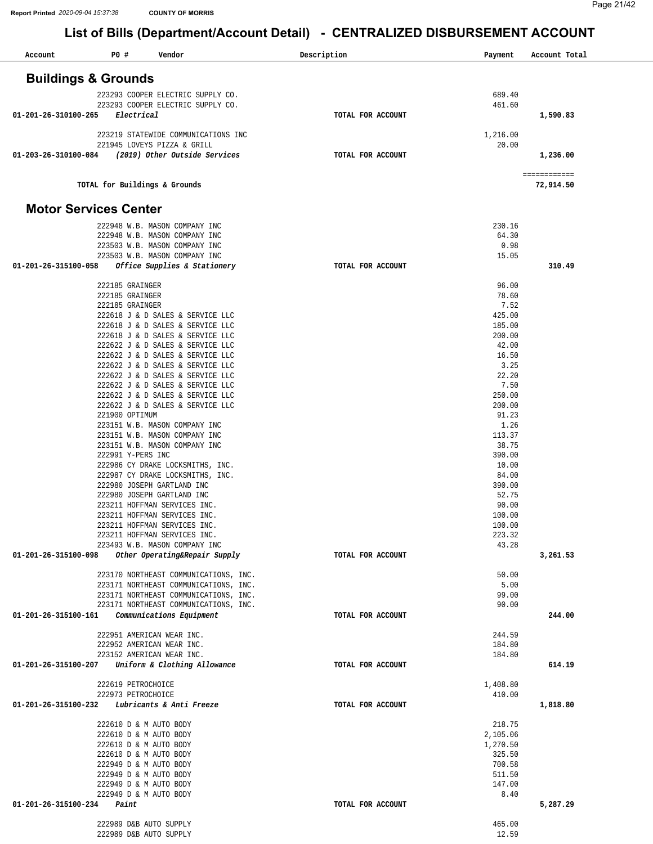| Account                        | P0 #                                             | Vendor                                                               | Description       | Payment              | Account Total             |
|--------------------------------|--------------------------------------------------|----------------------------------------------------------------------|-------------------|----------------------|---------------------------|
| <b>Buildings &amp; Grounds</b> |                                                  |                                                                      |                   |                      |                           |
|                                |                                                  | 223293 COOPER ELECTRIC SUPPLY CO.                                    |                   | 689.40               |                           |
|                                |                                                  | 223293 COOPER ELECTRIC SUPPLY CO.                                    |                   | 461.60               |                           |
| 01-201-26-310100-265           | Electrical                                       |                                                                      | TOTAL FOR ACCOUNT |                      | 1,590.83                  |
|                                |                                                  | 223219 STATEWIDE COMMUNICATIONS INC                                  |                   | 1,216.00             |                           |
|                                |                                                  | 221945 LOVEYS PIZZA & GRILL                                          |                   | 20.00                |                           |
| 01-203-26-310100-084           |                                                  | (2019) Other Outside Services                                        | TOTAL FOR ACCOUNT |                      | 1,236.00                  |
|                                |                                                  |                                                                      |                   |                      |                           |
|                                | TOTAL for Buildings & Grounds                    |                                                                      |                   |                      | ============<br>72,914.50 |
| <b>Motor Services Center</b>   |                                                  |                                                                      |                   |                      |                           |
|                                |                                                  | 222948 W.B. MASON COMPANY INC                                        |                   | 230.16               |                           |
|                                |                                                  | 222948 W.B. MASON COMPANY INC                                        |                   | 64.30                |                           |
|                                |                                                  | 223503 W.B. MASON COMPANY INC                                        |                   | 0.98                 |                           |
|                                |                                                  | 223503 W.B. MASON COMPANY INC                                        |                   | 15.05                |                           |
| 01-201-26-315100-058           |                                                  | Office Supplies & Stationery                                         | TOTAL FOR ACCOUNT |                      | 310.49                    |
|                                | 222185 GRAINGER                                  |                                                                      |                   | 96.00                |                           |
|                                | 222185 GRAINGER                                  |                                                                      |                   | 78.60                |                           |
|                                | 222185 GRAINGER                                  |                                                                      |                   | 7.52                 |                           |
|                                |                                                  | 222618 J & D SALES & SERVICE LLC                                     |                   | 425.00               |                           |
|                                |                                                  | 222618 J & D SALES & SERVICE LLC<br>222618 J & D SALES & SERVICE LLC |                   | 185.00<br>200.00     |                           |
|                                |                                                  | 222622 J & D SALES & SERVICE LLC                                     |                   | 42.00                |                           |
|                                |                                                  | 222622 J & D SALES & SERVICE LLC                                     |                   | 16.50                |                           |
|                                |                                                  | 222622 J & D SALES & SERVICE LLC                                     |                   | 3.25                 |                           |
|                                |                                                  | 222622 J & D SALES & SERVICE LLC                                     |                   | 22.20                |                           |
|                                |                                                  | 222622 J & D SALES & SERVICE LLC                                     |                   | 7.50                 |                           |
|                                |                                                  | 222622 J & D SALES & SERVICE LLC<br>222622 J & D SALES & SERVICE LLC |                   | 250.00<br>200.00     |                           |
|                                | 221900 OPTIMUM                                   |                                                                      |                   | 91.23                |                           |
|                                |                                                  | 223151 W.B. MASON COMPANY INC                                        |                   | 1.26                 |                           |
|                                |                                                  | 223151 W.B. MASON COMPANY INC                                        |                   | 113.37               |                           |
|                                |                                                  | 223151 W.B. MASON COMPANY INC                                        |                   | 38.75                |                           |
|                                | 222991 Y-PERS INC                                |                                                                      |                   | 390.00<br>10.00      |                           |
|                                |                                                  | 222986 CY DRAKE LOCKSMITHS, INC.<br>222987 CY DRAKE LOCKSMITHS, INC. |                   | 84.00                |                           |
|                                |                                                  | 222980 JOSEPH GARTLAND INC                                           |                   | 390.00               |                           |
|                                |                                                  | 222980 JOSEPH GARTLAND INC                                           |                   | 52.75                |                           |
|                                |                                                  | 223211 HOFFMAN SERVICES INC.                                         |                   | 90.00                |                           |
|                                |                                                  | 223211 HOFFMAN SERVICES INC.                                         |                   | 100.00               |                           |
|                                |                                                  | 223211 HOFFMAN SERVICES INC.<br>223211 HOFFMAN SERVICES INC.         |                   | 100.00<br>223.32     |                           |
|                                |                                                  | 223493 W.B. MASON COMPANY INC                                        |                   | 43.28                |                           |
|                                |                                                  | 01-201-26-315100-098 Other Operating&Repair Supply                   | TOTAL FOR ACCOUNT |                      | 3,261.53                  |
|                                |                                                  | 223170 NORTHEAST COMMUNICATIONS, INC.                                |                   | 50.00                |                           |
|                                |                                                  | 223171 NORTHEAST COMMUNICATIONS, INC.                                |                   | 5.00                 |                           |
|                                |                                                  | 223171 NORTHEAST COMMUNICATIONS, INC.                                |                   | 99.00                |                           |
|                                |                                                  | 223171 NORTHEAST COMMUNICATIONS, INC.                                |                   | 90.00                |                           |
| 01-201-26-315100-161           |                                                  | Communications Equipment                                             | TOTAL FOR ACCOUNT |                      | 244.00                    |
|                                |                                                  | 222951 AMERICAN WEAR INC.                                            |                   | 244.59               |                           |
|                                |                                                  | 222952 AMERICAN WEAR INC.                                            |                   | 184.80               |                           |
|                                |                                                  | 223152 AMERICAN WEAR INC.                                            |                   | 184.80               |                           |
| 01-201-26-315100-207           |                                                  | Uniform & Clothing Allowance                                         | TOTAL FOR ACCOUNT |                      | 614.19                    |
|                                | 222619 PETROCHOICE<br>222973 PETROCHOICE         |                                                                      |                   | 1,408.80<br>410.00   |                           |
| 01-201-26-315100-232           |                                                  | Lubricants & Anti Freeze                                             | TOTAL FOR ACCOUNT |                      | 1,818.80                  |
|                                |                                                  |                                                                      |                   |                      |                           |
|                                | 222610 D & M AUTO BODY                           |                                                                      |                   | 218.75               |                           |
|                                | 222610 D & M AUTO BODY<br>222610 D & M AUTO BODY |                                                                      |                   | 2,105.06<br>1,270.50 |                           |
|                                | 222610 D & M AUTO BODY                           |                                                                      |                   | 325.50               |                           |
|                                | 222949 D & M AUTO BODY                           |                                                                      |                   | 700.58               |                           |
|                                | 222949 D & M AUTO BODY                           |                                                                      |                   | 511.50               |                           |
|                                | 222949 D & M AUTO BODY                           |                                                                      |                   | 147.00               |                           |
|                                | 222949 D & M AUTO BODY                           |                                                                      |                   | 8.40                 |                           |
| 01-201-26-315100-234           | Paint                                            |                                                                      | TOTAL FOR ACCOUNT |                      | 5,287.29                  |
|                                | 222989 D&B AUTO SUPPLY                           |                                                                      |                   | 465.00               |                           |
|                                | 222989 D&B AUTO SUPPLY                           |                                                                      |                   | 12.59                |                           |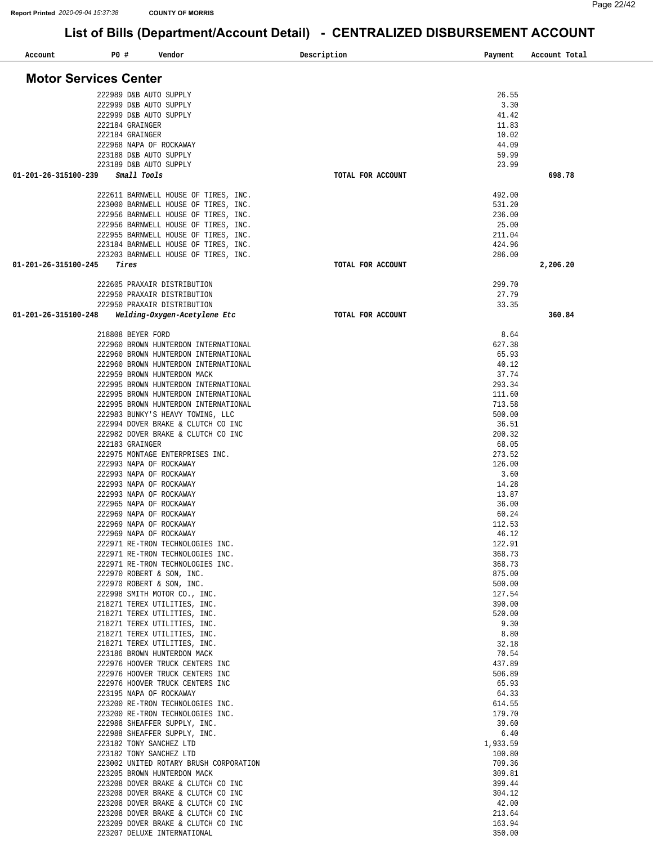| Account                      | P0 #                                             | Vendor                                                                   | Description |                   | Payment          | Account Total |
|------------------------------|--------------------------------------------------|--------------------------------------------------------------------------|-------------|-------------------|------------------|---------------|
| <b>Motor Services Center</b> |                                                  |                                                                          |             |                   |                  |               |
|                              | 222989 D&B AUTO SUPPLY                           |                                                                          |             |                   | 26.55            |               |
|                              | 222999 D&B AUTO SUPPLY                           |                                                                          |             |                   | 3.30             |               |
|                              | 222999 D&B AUTO SUPPLY                           |                                                                          |             |                   | 41.42            |               |
|                              | 222184 GRAINGER                                  |                                                                          |             |                   | 11.83            |               |
|                              | 222184 GRAINGER                                  |                                                                          |             |                   | 10.02            |               |
|                              |                                                  | 222968 NAPA OF ROCKAWAY                                                  |             |                   | 44.09            |               |
|                              | 223188 D&B AUTO SUPPLY<br>223189 D&B AUTO SUPPLY |                                                                          |             |                   | 59.99<br>23.99   |               |
| 01-201-26-315100-239         | Small Tools                                      |                                                                          |             | TOTAL FOR ACCOUNT |                  | 698.78        |
|                              |                                                  | 222611 BARNWELL HOUSE OF TIRES, INC.                                     |             |                   | 492.00           |               |
|                              |                                                  | 223000 BARNWELL HOUSE OF TIRES, INC.                                     |             |                   | 531.20           |               |
|                              |                                                  | 222956 BARNWELL HOUSE OF TIRES, INC.                                     |             |                   | 236.00           |               |
|                              |                                                  | 222956 BARNWELL HOUSE OF TIRES, INC.                                     |             |                   | 25.00            |               |
|                              |                                                  | 222955 BARNWELL HOUSE OF TIRES, INC.                                     |             |                   | 211.04           |               |
|                              |                                                  | 223184 BARNWELL HOUSE OF TIRES, INC.                                     |             |                   | 424.96           |               |
| 01-201-26-315100-245         | Tires                                            | 223203 BARNWELL HOUSE OF TIRES, INC.                                     |             | TOTAL FOR ACCOUNT | 286.00           | 2,206.20      |
|                              |                                                  |                                                                          |             |                   |                  |               |
|                              |                                                  | 222605 PRAXAIR DISTRIBUTION                                              |             |                   | 299.70           |               |
|                              |                                                  | 222950 PRAXAIR DISTRIBUTION                                              |             |                   | 27.79            |               |
|                              |                                                  | 222950 PRAXAIR DISTRIBUTION                                              |             |                   | 33.35            |               |
| 01-201-26-315100-248         |                                                  | Welding-Oxygen-Acetylene Etc                                             |             | TOTAL FOR ACCOUNT |                  | 360.84        |
|                              | 218808 BEYER FORD                                |                                                                          |             |                   | 8.64             |               |
|                              |                                                  | 222960 BROWN HUNTERDON INTERNATIONAL                                     |             |                   | 627.38           |               |
|                              |                                                  | 222960 BROWN HUNTERDON INTERNATIONAL                                     |             |                   | 65.93            |               |
|                              |                                                  | 222960 BROWN HUNTERDON INTERNATIONAL                                     |             |                   | 40.12            |               |
|                              |                                                  | 222959 BROWN HUNTERDON MACK<br>222995 BROWN HUNTERDON INTERNATIONAL      |             |                   | 37.74<br>293.34  |               |
|                              |                                                  | 222995 BROWN HUNTERDON INTERNATIONAL                                     |             |                   | 111.60           |               |
|                              |                                                  | 222995 BROWN HUNTERDON INTERNATIONAL                                     |             |                   | 713.58           |               |
|                              |                                                  | 222983 BUNKY'S HEAVY TOWING, LLC                                         |             |                   | 500.00           |               |
|                              |                                                  | 222994 DOVER BRAKE & CLUTCH CO INC                                       |             |                   | 36.51            |               |
|                              | 222183 GRAINGER                                  | 222982 DOVER BRAKE & CLUTCH CO INC                                       |             |                   | 200.32<br>68.05  |               |
|                              |                                                  | 222975 MONTAGE ENTERPRISES INC.                                          |             |                   | 273.52           |               |
|                              |                                                  | 222993 NAPA OF ROCKAWAY                                                  |             |                   | 126.00           |               |
|                              |                                                  | 222993 NAPA OF ROCKAWAY                                                  |             |                   | 3.60             |               |
|                              |                                                  | 222993 NAPA OF ROCKAWAY                                                  |             |                   | 14.28            |               |
|                              |                                                  | 222993 NAPA OF ROCKAWAY<br>222965 NAPA OF ROCKAWAY                       |             |                   | 13.87<br>36.00   |               |
|                              |                                                  | 222969 NAPA OF ROCKAWAY                                                  |             |                   | 60.24            |               |
|                              |                                                  | 222969 NAPA OF ROCKAWAY                                                  |             |                   | 112.53           |               |
|                              |                                                  | 222969 NAPA OF ROCKAWAY                                                  |             |                   | 46.12            |               |
|                              |                                                  | 222971 RE-TRON TECHNOLOGIES INC.                                         |             |                   | 122.91           |               |
|                              |                                                  | 222971 RE-TRON TECHNOLOGIES INC.<br>222971 RE-TRON TECHNOLOGIES INC.     |             |                   | 368.73<br>368.73 |               |
|                              |                                                  | 222970 ROBERT & SON, INC.                                                |             |                   | 875.00           |               |
|                              |                                                  | 222970 ROBERT & SON, INC.                                                |             |                   | 500.00           |               |
|                              |                                                  | 222998 SMITH MOTOR CO., INC.                                             |             |                   | 127.54           |               |
|                              |                                                  | 218271 TEREX UTILITIES, INC.                                             |             |                   | 390.00           |               |
|                              |                                                  | 218271 TEREX UTILITIES, INC.<br>218271 TEREX UTILITIES, INC.             |             |                   | 520.00<br>9.30   |               |
|                              |                                                  | 218271 TEREX UTILITIES, INC.                                             |             |                   | 8.80             |               |
|                              |                                                  | 218271 TEREX UTILITIES, INC.                                             |             |                   | 32.18            |               |
|                              |                                                  | 223186 BROWN HUNTERDON MACK                                              |             |                   | 70.54            |               |
|                              |                                                  | 222976 HOOVER TRUCK CENTERS INC                                          |             |                   | 437.89           |               |
|                              |                                                  | 222976 HOOVER TRUCK CENTERS INC<br>222976 HOOVER TRUCK CENTERS INC       |             |                   | 506.89<br>65.93  |               |
|                              |                                                  | 223195 NAPA OF ROCKAWAY                                                  |             |                   | 64.33            |               |
|                              |                                                  | 223200 RE-TRON TECHNOLOGIES INC.                                         |             |                   | 614.55           |               |
|                              |                                                  | 223200 RE-TRON TECHNOLOGIES INC.                                         |             |                   | 179.70           |               |
|                              |                                                  | 222988 SHEAFFER SUPPLY, INC.<br>222988 SHEAFFER SUPPLY, INC.             |             |                   | 39.60<br>6.40    |               |
|                              |                                                  | 223182 TONY SANCHEZ LTD                                                  |             |                   | 1,933.59         |               |
|                              |                                                  | 223182 TONY SANCHEZ LTD                                                  |             |                   | 100.80           |               |
|                              |                                                  | 223002 UNITED ROTARY BRUSH CORPORATION                                   |             |                   | 709.36           |               |
|                              |                                                  | 223205 BROWN HUNTERDON MACK                                              |             |                   | 309.81           |               |
|                              |                                                  | 223208 DOVER BRAKE & CLUTCH CO INC                                       |             |                   | 399.44           |               |
|                              |                                                  | 223208 DOVER BRAKE & CLUTCH CO INC<br>223208 DOVER BRAKE & CLUTCH CO INC |             |                   | 304.12<br>42.00  |               |
|                              |                                                  | 223208 DOVER BRAKE & CLUTCH CO INC                                       |             |                   | 213.64           |               |
|                              |                                                  | 223209 DOVER BRAKE & CLUTCH CO INC                                       |             |                   | 163.94           |               |
|                              |                                                  | 223207 DELUXE INTERNATIONAL                                              |             |                   | 350.00           |               |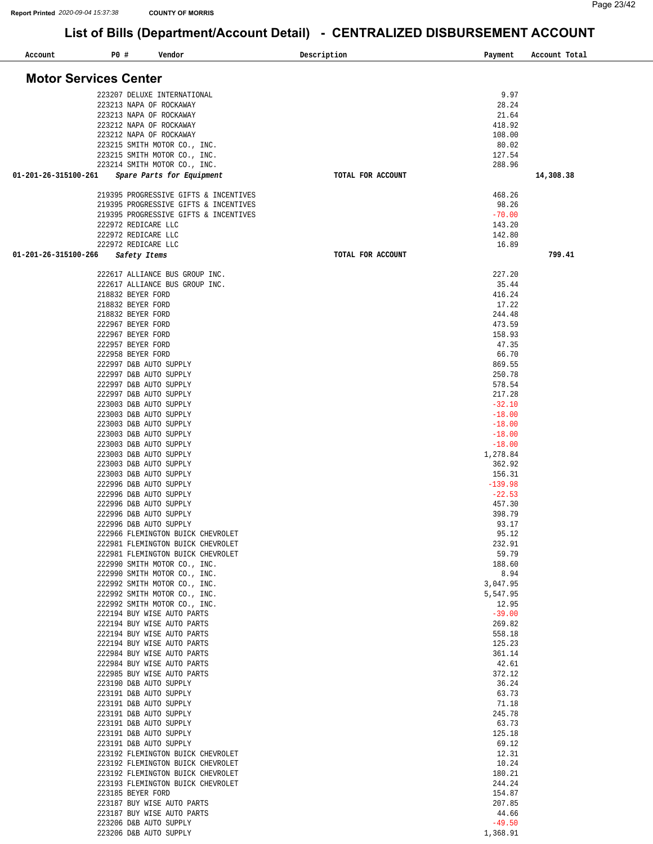| Account<br><b>PO #</b>       | Vendor                                                                 | Description       | Payment              | Account Total |
|------------------------------|------------------------------------------------------------------------|-------------------|----------------------|---------------|
|                              |                                                                        |                   |                      |               |
| <b>Motor Services Center</b> |                                                                        |                   |                      |               |
|                              | 223207 DELUXE INTERNATIONAL                                            |                   | 9.97                 |               |
|                              | 223213 NAPA OF ROCKAWAY                                                |                   | 28.24                |               |
|                              | 223213 NAPA OF ROCKAWAY                                                |                   | 21.64<br>418.92      |               |
|                              | 223212 NAPA OF ROCKAWAY<br>223212 NAPA OF ROCKAWAY                     |                   | 108.00               |               |
|                              | 223215 SMITH MOTOR CO., INC.                                           |                   | 80.02                |               |
|                              | 223215 SMITH MOTOR CO., INC.                                           |                   | 127.54               |               |
| 01-201-26-315100-261         | 223214 SMITH MOTOR CO., INC.<br>Spare Parts for Equipment              | TOTAL FOR ACCOUNT | 288.96               | 14,308.38     |
|                              |                                                                        |                   |                      |               |
|                              | 219395 PROGRESSIVE GIFTS & INCENTIVES                                  |                   | 468.26               |               |
|                              | 219395 PROGRESSIVE GIFTS & INCENTIVES                                  |                   | 98.26                |               |
|                              | 219395 PROGRESSIVE GIFTS & INCENTIVES<br>222972 REDICARE LLC           |                   | $-70.00$<br>143.20   |               |
|                              | 222972 REDICARE LLC                                                    |                   | 142.80               |               |
|                              | 222972 REDICARE LLC                                                    |                   | 16.89                |               |
| 01-201-26-315100-266         | Safety Items                                                           | TOTAL FOR ACCOUNT |                      | 799.41        |
|                              | 222617 ALLIANCE BUS GROUP INC.                                         |                   | 227.20               |               |
|                              | 222617 ALLIANCE BUS GROUP INC.                                         |                   | 35.44                |               |
|                              | 218832 BEYER FORD                                                      |                   | 416.24               |               |
|                              | 218832 BEYER FORD                                                      |                   | 17.22                |               |
|                              | 218832 BEYER FORD<br>222967 BEYER FORD                                 |                   | 244.48<br>473.59     |               |
|                              | 222967 BEYER FORD                                                      |                   | 158.93               |               |
|                              | 222957 BEYER FORD                                                      |                   | 47.35                |               |
|                              | 222958 BEYER FORD                                                      |                   | 66.70                |               |
|                              | 222997 D&B AUTO SUPPLY<br>222997 D&B AUTO SUPPLY                       |                   | 869.55<br>250.78     |               |
|                              | 222997 D&B AUTO SUPPLY                                                 |                   | 578.54               |               |
|                              | 222997 D&B AUTO SUPPLY                                                 |                   | 217.28               |               |
|                              | 223003 D&B AUTO SUPPLY                                                 |                   | $-32.10$             |               |
|                              | 223003 D&B AUTO SUPPLY<br>223003 D&B AUTO SUPPLY                       |                   | $-18.00$<br>$-18.00$ |               |
|                              | 223003 D&B AUTO SUPPLY                                                 |                   | $-18.00$             |               |
|                              | 223003 D&B AUTO SUPPLY                                                 |                   | $-18.00$             |               |
|                              | 223003 D&B AUTO SUPPLY                                                 |                   | 1,278.84             |               |
|                              | 223003 D&B AUTO SUPPLY<br>223003 D&B AUTO SUPPLY                       |                   | 362.92<br>156.31     |               |
|                              | 222996 D&B AUTO SUPPLY                                                 |                   | $-139.98$            |               |
|                              | 222996 D&B AUTO SUPPLY                                                 |                   | $-22.53$             |               |
|                              | 222996 D&B AUTO SUPPLY                                                 |                   | 457.30               |               |
|                              | 222996 D&B AUTO SUPPLY<br>222996 D&B AUTO SUPPLY                       |                   | 398.79<br>93.17      |               |
|                              | 222966 FLEMINGTON BUICK CHEVROLET                                      |                   | 95.12                |               |
|                              | 222981 FLEMINGTON BUICK CHEVROLET                                      |                   | 232.91               |               |
|                              | 222981 FLEMINGTON BUICK CHEVROLET                                      |                   | 59.79                |               |
|                              | 222990 SMITH MOTOR CO., INC.<br>222990 SMITH MOTOR CO., INC.           |                   | 188.60<br>8.94       |               |
|                              | 222992 SMITH MOTOR CO., INC.                                           |                   | 3,047.95             |               |
|                              | 222992 SMITH MOTOR CO., INC.                                           |                   | 5,547.95             |               |
|                              | 222992 SMITH MOTOR CO., INC.                                           |                   | 12.95                |               |
|                              | 222194 BUY WISE AUTO PARTS<br>222194 BUY WISE AUTO PARTS               |                   | $-39.00$<br>269.82   |               |
|                              | 222194 BUY WISE AUTO PARTS                                             |                   | 558.18               |               |
|                              | 222194 BUY WISE AUTO PARTS                                             |                   | 125.23               |               |
|                              | 222984 BUY WISE AUTO PARTS                                             |                   | 361.14               |               |
|                              | 222984 BUY WISE AUTO PARTS<br>222985 BUY WISE AUTO PARTS               |                   | 42.61<br>372.12      |               |
|                              | 223190 D&B AUTO SUPPLY                                                 |                   | 36.24                |               |
|                              | 223191 D&B AUTO SUPPLY                                                 |                   | 63.73                |               |
|                              | 223191 D&B AUTO SUPPLY                                                 |                   | 71.18                |               |
|                              | 223191 D&B AUTO SUPPLY<br>223191 D&B AUTO SUPPLY                       |                   | 245.78<br>63.73      |               |
|                              | 223191 D&B AUTO SUPPLY                                                 |                   | 125.18               |               |
|                              | 223191 D&B AUTO SUPPLY                                                 |                   | 69.12                |               |
|                              | 223192 FLEMINGTON BUICK CHEVROLET                                      |                   | 12.31<br>10.24       |               |
|                              | 223192 FLEMINGTON BUICK CHEVROLET<br>223192 FLEMINGTON BUICK CHEVROLET |                   | 180.21               |               |
|                              | 223193 FLEMINGTON BUICK CHEVROLET                                      |                   | 244.24               |               |
|                              | 223185 BEYER FORD                                                      |                   | 154.87               |               |
|                              | 223187 BUY WISE AUTO PARTS                                             |                   | 207.85<br>44.66      |               |
|                              | 223187 BUY WISE AUTO PARTS<br>223206 D&B AUTO SUPPLY                   |                   | $-49.50$             |               |
|                              | 223206 D&B AUTO SUPPLY                                                 |                   | 1,368.91             |               |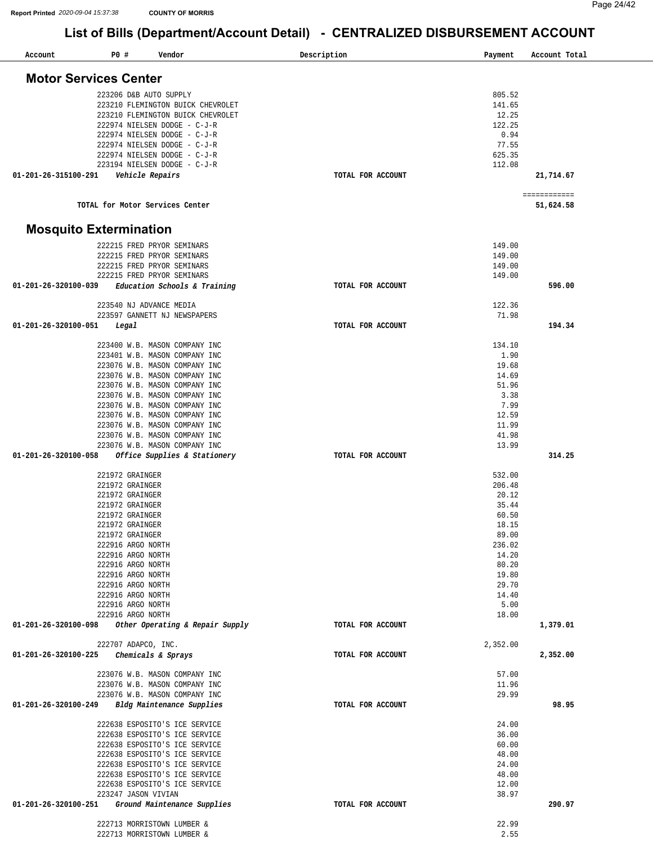| Account                       | P0 #  | Vendor                                 | Description       | Payment       | Account Total             |
|-------------------------------|-------|----------------------------------------|-------------------|---------------|---------------------------|
| <b>Motor Services Center</b>  |       |                                        |                   |               |                           |
|                               |       |                                        |                   |               |                           |
|                               |       | 223206 D&B AUTO SUPPLY                 |                   | 805.52        |                           |
|                               |       | 223210 FLEMINGTON BUICK CHEVROLET      |                   | 141.65        |                           |
|                               |       | 223210 FLEMINGTON BUICK CHEVROLET      |                   | 12.25         |                           |
|                               |       | 222974 NIELSEN DODGE - C-J-R           |                   | 122.25        |                           |
|                               |       | 222974 NIELSEN DODGE - C-J-R           |                   | 0.94          |                           |
|                               |       | 222974 NIELSEN DODGE - C-J-R           |                   | 77.55         |                           |
|                               |       | 222974 NIELSEN DODGE - C-J-R           |                   | 625.35        |                           |
|                               |       | 223194 NIELSEN DODGE - C-J-R           |                   | 112.08        |                           |
| 01-201-26-315100-291          |       | Vehicle Repairs                        | TOTAL FOR ACCOUNT |               | 21,714.67                 |
|                               |       | TOTAL for Motor Services Center        |                   |               | ============<br>51,624.58 |
| <b>Mosquito Extermination</b> |       |                                        |                   |               |                           |
|                               |       | 222215 FRED PRYOR SEMINARS             |                   | 149.00        |                           |
|                               |       | 222215 FRED PRYOR SEMINARS             |                   | 149.00        |                           |
|                               |       | 222215 FRED PRYOR SEMINARS             |                   | 149.00        |                           |
|                               |       | 222215 FRED PRYOR SEMINARS             |                   | 149.00        |                           |
| 01-201-26-320100-039          |       | Education Schools & Training           | TOTAL FOR ACCOUNT |               | 596.00                    |
|                               |       |                                        |                   |               |                           |
|                               |       | 223540 NJ ADVANCE MEDIA                |                   | 122.36        |                           |
|                               |       | 223597 GANNETT NJ NEWSPAPERS           |                   | 71.98         |                           |
| 01-201-26-320100-051          | Legal |                                        | TOTAL FOR ACCOUNT |               | 194.34                    |
|                               |       | 223400 W.B. MASON COMPANY INC          |                   | 134.10        |                           |
|                               |       | 223401 W.B. MASON COMPANY INC          |                   | 1.90          |                           |
|                               |       | 223076 W.B. MASON COMPANY INC          |                   | 19.68         |                           |
|                               |       | 223076 W.B. MASON COMPANY INC          |                   | 14.69         |                           |
|                               |       | 223076 W.B. MASON COMPANY INC          |                   | 51.96         |                           |
|                               |       | 223076 W.B. MASON COMPANY INC          |                   | 3.38          |                           |
|                               |       | 223076 W.B. MASON COMPANY INC          |                   | 7.99          |                           |
|                               |       | 223076 W.B. MASON COMPANY INC          |                   | 12.59         |                           |
|                               |       | 223076 W.B. MASON COMPANY INC          |                   | 11.99         |                           |
|                               |       | 223076 W.B. MASON COMPANY INC          |                   | 41.98         |                           |
|                               |       | 223076 W.B. MASON COMPANY INC          |                   | 13.99         |                           |
| 01-201-26-320100-058          |       | Office Supplies & Stationery           | TOTAL FOR ACCOUNT |               | 314.25                    |
|                               |       |                                        |                   |               |                           |
|                               |       | 221972 GRAINGER                        |                   | 532.00        |                           |
|                               |       | 221972 GRAINGER                        |                   | 206.48        |                           |
|                               |       | 221972 GRAINGER                        |                   | 20.12         |                           |
|                               |       | 221972 GRAINGER                        |                   | 35.44         |                           |
|                               |       | 221972 GRAINGER                        |                   | 60.50         |                           |
|                               |       | 221972 GRAINGER                        |                   | 18.15         |                           |
|                               |       | 221972 GRAINGER                        |                   | 89.00         |                           |
|                               |       | 222916 ARGO NORTH                      |                   | 236.02        |                           |
|                               |       | 222916 ARGO NORTH                      |                   | 14.20         |                           |
|                               |       | 222916 ARGO NORTH                      |                   | 80.20         |                           |
|                               |       | 222916 ARGO NORTH                      |                   | 19.80         |                           |
|                               |       | 222916 ARGO NORTH                      |                   | 29.70         |                           |
|                               |       | 222916 ARGO NORTH<br>222916 ARGO NORTH |                   | 14.40<br>5.00 |                           |
|                               |       | 222916 ARGO NORTH                      |                   | 18.00         |                           |
| 01-201-26-320100-098          |       | Other Operating & Repair Supply        | TOTAL FOR ACCOUNT |               | 1,379.01                  |
|                               |       |                                        |                   |               |                           |
|                               |       | 222707 ADAPCO, INC.                    |                   | 2,352.00      |                           |
| 01-201-26-320100-225          |       | Chemicals & Sprays                     | TOTAL FOR ACCOUNT |               | 2,352.00                  |
|                               |       | 223076 W.B. MASON COMPANY INC          |                   | 57.00         |                           |
|                               |       | 223076 W.B. MASON COMPANY INC          |                   | 11.96         |                           |
|                               |       | 223076 W.B. MASON COMPANY INC          |                   | 29.99         |                           |
| 01-201-26-320100-249          |       | Bldg Maintenance Supplies              | TOTAL FOR ACCOUNT |               | 98.95                     |
|                               |       |                                        |                   |               |                           |
|                               |       | 222638 ESPOSITO'S ICE SERVICE          |                   | 24.00         |                           |
|                               |       | 222638 ESPOSITO'S ICE SERVICE          |                   | 36.00         |                           |
|                               |       | 222638 ESPOSITO'S ICE SERVICE          |                   | 60.00         |                           |
|                               |       | 222638 ESPOSITO'S ICE SERVICE          |                   | 48.00         |                           |
|                               |       | 222638 ESPOSITO'S ICE SERVICE          |                   | 24.00         |                           |
|                               |       | 222638 ESPOSITO'S ICE SERVICE          |                   | 48.00         |                           |
|                               |       | 222638 ESPOSITO'S ICE SERVICE          |                   | 12.00         |                           |
|                               |       | 223247 JASON VIVIAN                    |                   | 38.97         |                           |
| 01-201-26-320100-251          |       | Ground Maintenance Supplies            | TOTAL FOR ACCOUNT |               | 290.97                    |
|                               |       |                                        |                   |               |                           |
|                               |       | 222713 MORRISTOWN LUMBER &             |                   | 22.99         |                           |
|                               |       | 222713 MORRISTOWN LUMBER &             |                   | 2.55          |                           |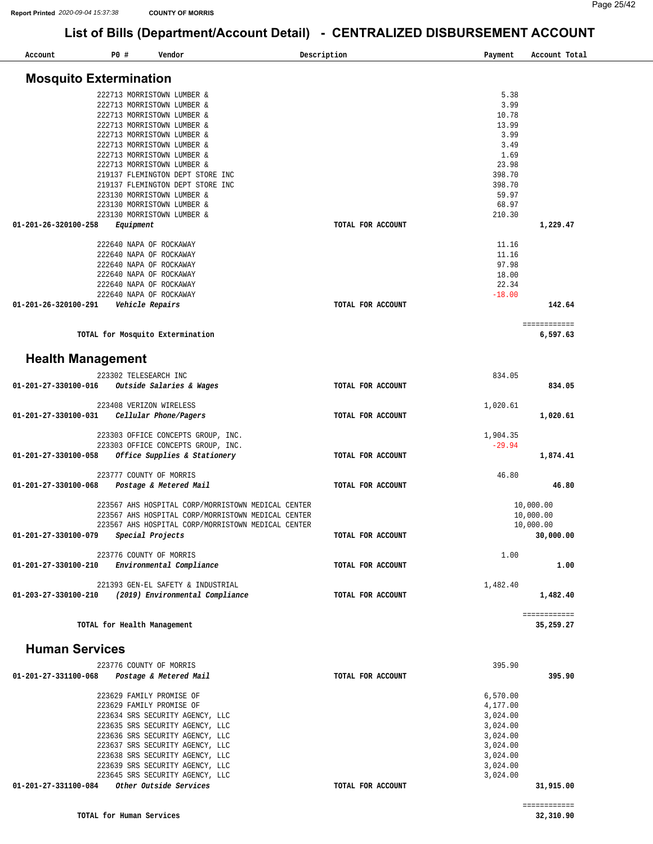| Account                       | P0 # |                                     | Vendor |                                                    | Description       | Payment  | Account Total             |
|-------------------------------|------|-------------------------------------|--------|----------------------------------------------------|-------------------|----------|---------------------------|
| <b>Mosquito Extermination</b> |      |                                     |        |                                                    |                   |          |                           |
|                               |      | 222713 MORRISTOWN LUMBER &          |        |                                                    |                   | 5.38     |                           |
|                               |      | 222713 MORRISTOWN LUMBER &          |        |                                                    |                   | 3.99     |                           |
|                               |      | 222713 MORRISTOWN LUMBER &          |        |                                                    |                   | 10.78    |                           |
|                               |      | 222713 MORRISTOWN LUMBER &          |        |                                                    |                   | 13.99    |                           |
|                               |      | 222713 MORRISTOWN LUMBER &          |        |                                                    |                   | 3.99     |                           |
|                               |      | 222713 MORRISTOWN LUMBER &          |        |                                                    |                   | 3.49     |                           |
|                               |      | 222713 MORRISTOWN LUMBER &          |        |                                                    |                   | 1.69     |                           |
|                               |      | 222713 MORRISTOWN LUMBER &          |        |                                                    |                   | 23.98    |                           |
|                               |      | 219137 FLEMINGTON DEPT STORE INC    |        |                                                    |                   | 398.70   |                           |
|                               |      | 219137 FLEMINGTON DEPT STORE INC    |        |                                                    |                   | 398.70   |                           |
|                               |      | 223130 MORRISTOWN LUMBER &          |        |                                                    |                   | 59.97    |                           |
|                               |      | 223130 MORRISTOWN LUMBER &          |        |                                                    |                   | 68.97    |                           |
|                               |      | 223130 MORRISTOWN LUMBER &          |        |                                                    |                   | 210.30   |                           |
| 01-201-26-320100-258          |      | Equipment                           |        |                                                    | TOTAL FOR ACCOUNT |          | 1,229.47                  |
|                               |      | 222640 NAPA OF ROCKAWAY             |        |                                                    |                   | 11.16    |                           |
|                               |      | 222640 NAPA OF ROCKAWAY             |        |                                                    |                   | 11.16    |                           |
|                               |      | 222640 NAPA OF ROCKAWAY             |        |                                                    |                   | 97.98    |                           |
|                               |      | 222640 NAPA OF ROCKAWAY             |        |                                                    |                   | 18.00    |                           |
|                               |      | 222640 NAPA OF ROCKAWAY             |        |                                                    |                   | 22.34    |                           |
|                               |      | 222640 NAPA OF ROCKAWAY             |        |                                                    |                   | $-18.00$ |                           |
| 01-201-26-320100-291          |      | Vehicle Repairs                     |        |                                                    | TOTAL FOR ACCOUNT |          | 142.64                    |
|                               |      |                                     |        |                                                    |                   |          | ============              |
|                               |      | TOTAL for Mosquito Extermination    |        |                                                    |                   |          | 6,597.63                  |
| <b>Health Management</b>      |      |                                     |        |                                                    |                   |          |                           |
|                               |      | 223302 TELESEARCH INC               |        |                                                    |                   | 834.05   |                           |
| 01-201-27-330100-016          |      | <i>Outside Salaries &amp; Wages</i> |        |                                                    | TOTAL FOR ACCOUNT |          | 834.05                    |
|                               |      |                                     |        |                                                    |                   |          |                           |
|                               |      | 223408 VERIZON WIRELESS             |        |                                                    |                   | 1,020.61 |                           |
| 01-201-27-330100-031          |      | Cellular Phone/Pagers               |        |                                                    | TOTAL FOR ACCOUNT |          | 1,020.61                  |
|                               |      | 223303 OFFICE CONCEPTS GROUP, INC.  |        |                                                    |                   | 1,904.35 |                           |
|                               |      | 223303 OFFICE CONCEPTS GROUP, INC.  |        |                                                    |                   | $-29.94$ |                           |
| 01-201-27-330100-058          |      | Office Supplies & Stationery        |        |                                                    | TOTAL FOR ACCOUNT |          | 1,874.41                  |
|                               |      |                                     |        |                                                    |                   |          |                           |
|                               |      | 223777 COUNTY OF MORRIS             |        |                                                    |                   | 46.80    |                           |
| 01-201-27-330100-068          |      | Postage & Metered Mail              |        |                                                    | TOTAL FOR ACCOUNT |          | 46.80                     |
|                               |      |                                     |        | 223567 AHS HOSPITAL CORP/MORRISTOWN MEDICAL CENTER |                   |          | 10,000.00                 |
|                               |      |                                     |        | 223567 AHS HOSPITAL CORP/MORRISTOWN MEDICAL CENTER |                   |          | 10,000.00                 |
|                               |      |                                     |        | 223567 AHS HOSPITAL CORP/MORRISTOWN MEDICAL CENTER |                   |          | 10,000.00                 |
| 01-201-27-330100-079          |      | Special Projects                    |        |                                                    | TOTAL FOR ACCOUNT |          | 30,000.00                 |
|                               |      |                                     |        |                                                    |                   |          |                           |
|                               |      | 223776 COUNTY OF MORRIS             |        |                                                    |                   | 1.00     |                           |
| 01-201-27-330100-210          |      | Environmental Compliance            |        |                                                    | TOTAL FOR ACCOUNT |          | 1.00                      |
|                               |      | 221393 GEN-EL SAFETY & INDUSTRIAL   |        |                                                    |                   | 1,482.40 |                           |
| 01-203-27-330100-210          |      | (2019) Environmental Compliance     |        |                                                    | TOTAL FOR ACCOUNT |          | 1,482.40                  |
|                               |      |                                     |        |                                                    |                   |          |                           |
|                               |      | TOTAL for Health Management         |        |                                                    |                   |          | ============<br>35,259.27 |
|                               |      |                                     |        |                                                    |                   |          |                           |
| <b>Human Services</b>         |      |                                     |        |                                                    |                   |          |                           |
|                               |      | 223776 COUNTY OF MORRIS             |        |                                                    |                   | 395.90   |                           |
| 01-201-27-331100-068          |      | Postage & Metered Mail              |        |                                                    | TOTAL FOR ACCOUNT |          | 395.90                    |
|                               |      |                                     |        |                                                    |                   |          |                           |
|                               |      | 223629 FAMILY PROMISE OF            |        |                                                    |                   | 6,570.00 |                           |
|                               |      | 223629 FAMILY PROMISE OF            |        |                                                    |                   | 4,177.00 |                           |
|                               |      | 223634 SRS SECURITY AGENCY, LLC     |        |                                                    |                   | 3,024.00 |                           |
|                               |      | 223635 SRS SECURITY AGENCY, LLC     |        |                                                    |                   | 3,024.00 |                           |
|                               |      | 223636 SRS SECURITY AGENCY, LLC     |        |                                                    |                   | 3,024.00 |                           |
|                               |      | 223637 SRS SECURITY AGENCY, LLC     |        |                                                    |                   | 3,024.00 |                           |
|                               |      | 223638 SRS SECURITY AGENCY, LLC     |        |                                                    |                   | 3,024.00 |                           |
|                               |      | 223639 SRS SECURITY AGENCY, LLC     |        |                                                    |                   | 3,024.00 |                           |
|                               |      | 223645 SRS SECURITY AGENCY, LLC     |        |                                                    |                   | 3,024.00 |                           |
| 01-201-27-331100-084          |      | Other Outside Services              |        |                                                    | TOTAL FOR ACCOUNT |          | 31,915.00                 |
|                               |      |                                     |        |                                                    |                   |          |                           |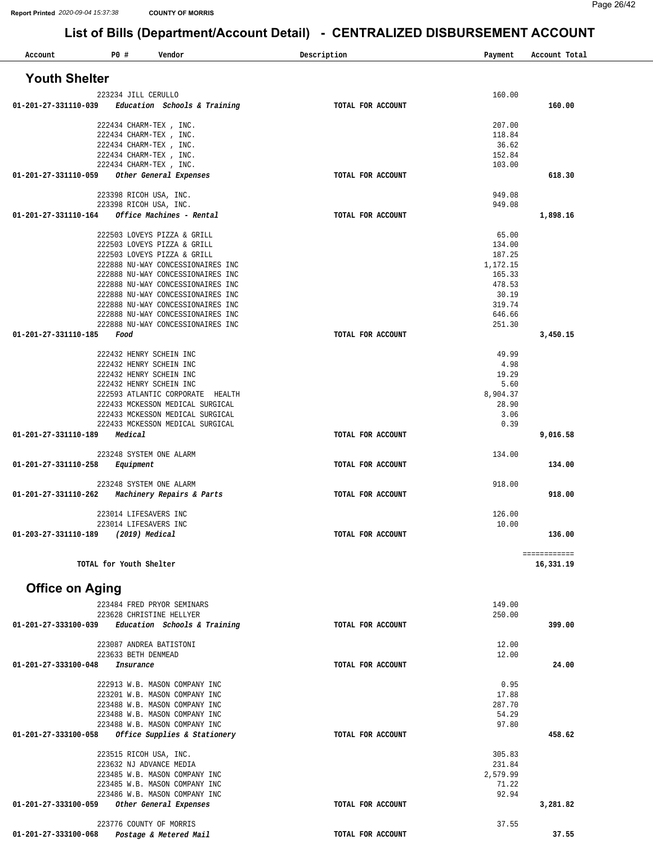| PO#<br>Account         | Vendor                                                                 | Description<br>Payment      | Account Total             |
|------------------------|------------------------------------------------------------------------|-----------------------------|---------------------------|
| <b>Youth Shelter</b>   |                                                                        |                             |                           |
|                        |                                                                        | 160.00                      |                           |
| 01-201-27-331110-039   | 223234 JILL CERULLO<br>Education Schools & Training                    | TOTAL FOR ACCOUNT           | 160.00                    |
|                        | 222434 CHARM-TEX, INC.                                                 | 207.00                      |                           |
|                        | 222434 CHARM-TEX, INC.                                                 | 118.84                      |                           |
|                        | 222434 CHARM-TEX, INC.                                                 | 36.62                       |                           |
|                        | 222434 CHARM-TEX, INC.                                                 | 152.84                      |                           |
| 01-201-27-331110-059   | 222434 CHARM-TEX, INC.<br>Other General Expenses                       | 103.00<br>TOTAL FOR ACCOUNT | 618.30                    |
|                        |                                                                        |                             |                           |
|                        | 223398 RICOH USA, INC.                                                 | 949.08                      |                           |
| 01-201-27-331110-164   | 223398 RICOH USA, INC.<br>Office Machines - Rental                     | 949.08<br>TOTAL FOR ACCOUNT | 1,898.16                  |
|                        |                                                                        |                             |                           |
|                        | 222503 LOVEYS PIZZA & GRILL                                            | 65.00                       |                           |
|                        | 222503 LOVEYS PIZZA & GRILL                                            | 134.00                      |                           |
|                        | 222503 LOVEYS PIZZA & GRILL<br>222888 NU-WAY CONCESSIONAIRES INC       | 187.25<br>1,172.15          |                           |
|                        | 222888 NU-WAY CONCESSIONAIRES INC                                      | 165.33                      |                           |
|                        | 222888 NU-WAY CONCESSIONAIRES INC                                      | 478.53                      |                           |
|                        | 222888 NU-WAY CONCESSIONAIRES INC                                      | 30.19                       |                           |
|                        | 222888 NU-WAY CONCESSIONAIRES INC<br>222888 NU-WAY CONCESSIONAIRES INC | 319.74<br>646.66            |                           |
|                        | 222888 NU-WAY CONCESSIONAIRES INC                                      | 251.30                      |                           |
| 01-201-27-331110-185   | Food                                                                   | TOTAL FOR ACCOUNT           | 3,450.15                  |
|                        |                                                                        |                             |                           |
|                        | 222432 HENRY SCHEIN INC<br>222432 HENRY SCHEIN INC                     | 49.99<br>4.98               |                           |
|                        | 222432 HENRY SCHEIN INC                                                | 19.29                       |                           |
|                        | 222432 HENRY SCHEIN INC                                                | 5.60                        |                           |
|                        | 222593 ATLANTIC CORPORATE HEALTH                                       | 8,904.37                    |                           |
|                        | 222433 MCKESSON MEDICAL SURGICAL<br>222433 MCKESSON MEDICAL SURGICAL   | 28.90<br>3.06               |                           |
|                        | 222433 MCKESSON MEDICAL SURGICAL                                       | 0.39                        |                           |
| 01-201-27-331110-189   | Medical                                                                | TOTAL FOR ACCOUNT           | 9,016.58                  |
|                        |                                                                        | 134.00                      |                           |
| 01-201-27-331110-258   | 223248 SYSTEM ONE ALARM<br>Equipment                                   | TOTAL FOR ACCOUNT           | 134.00                    |
|                        |                                                                        |                             |                           |
|                        | 223248 SYSTEM ONE ALARM                                                | 918.00                      |                           |
| 01-201-27-331110-262   | Machinery Repairs & Parts                                              | TOTAL FOR ACCOUNT           | 918.00                    |
|                        | 223014 LIFESAVERS INC                                                  | 126.00                      |                           |
|                        | 223014 LIFESAVERS INC                                                  | 10.00                       |                           |
| 01-203-27-331110-189   | (2019) Medical                                                         | TOTAL FOR ACCOUNT           | 136.00                    |
|                        | TOTAL for Youth Shelter                                                |                             | ============<br>16,331.19 |
|                        |                                                                        |                             |                           |
| <b>Office on Aging</b> |                                                                        |                             |                           |
|                        | 223484 FRED PRYOR SEMINARS                                             | 149.00                      |                           |
| 01-201-27-333100-039   | 223628 CHRISTINE HELLYER                                               | 250.00<br>TOTAL FOR ACCOUNT | 399.00                    |
|                        | Education Schools & Training                                           |                             |                           |
|                        | 223087 ANDREA BATISTONI                                                | 12.00                       |                           |
|                        | 223633 BETH DENMEAD                                                    | 12.00                       |                           |
| 01-201-27-333100-048   | Insurance                                                              | TOTAL FOR ACCOUNT           | 24.00                     |
|                        | 222913 W.B. MASON COMPANY INC                                          | 0.95                        |                           |
|                        | 223201 W.B. MASON COMPANY INC                                          | 17.88                       |                           |
|                        | 223488 W.B. MASON COMPANY INC<br>223488 W.B. MASON COMPANY INC         | 287.70<br>54.29             |                           |
|                        | 223488 W.B. MASON COMPANY INC                                          | 97.80                       |                           |
| 01-201-27-333100-058   | Office Supplies & Stationery                                           | TOTAL FOR ACCOUNT           | 458.62                    |
|                        |                                                                        |                             |                           |
|                        | 223515 RICOH USA, INC.<br>223632 NJ ADVANCE MEDIA                      | 305.83<br>231.84            |                           |
|                        | 223485 W.B. MASON COMPANY INC                                          | 2,579.99                    |                           |
|                        | 223485 W.B. MASON COMPANY INC                                          | 71.22                       |                           |
|                        | 223486 W.B. MASON COMPANY INC                                          | 92.94                       |                           |
| 01-201-27-333100-059   | Other General Expenses                                                 | TOTAL FOR ACCOUNT           | 3,281.82                  |
|                        | 223776 COUNTY OF MORRIS                                                | 37.55                       |                           |
| 01-201-27-333100-068   | Postage & Metered Mail                                                 | TOTAL FOR ACCOUNT           | 37.55                     |
|                        |                                                                        |                             |                           |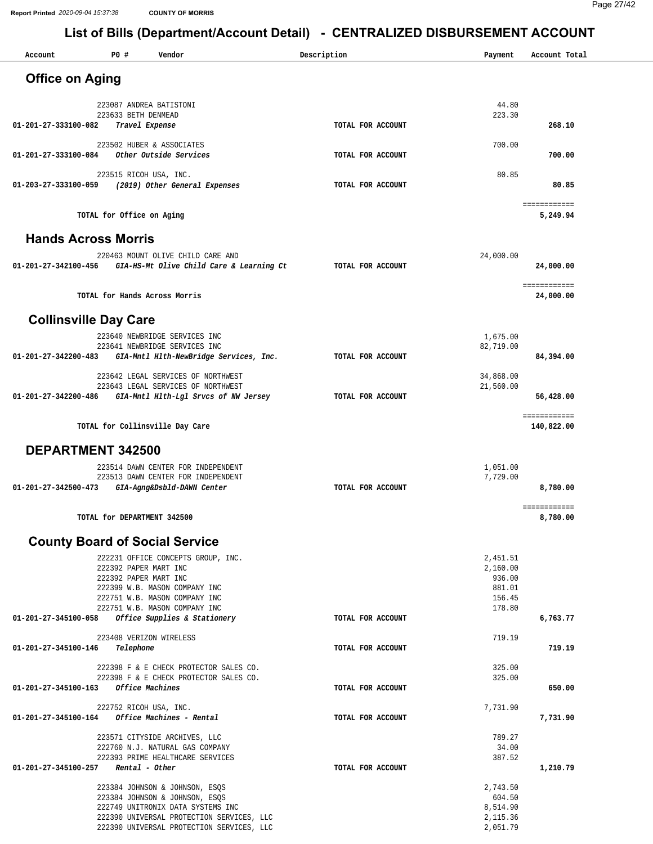| Account                      | P0 #                                           | Vendor                                                                         | Description       | Payment               | Account Total              |
|------------------------------|------------------------------------------------|--------------------------------------------------------------------------------|-------------------|-----------------------|----------------------------|
| <b>Office on Aging</b>       |                                                |                                                                                |                   |                       |                            |
|                              |                                                |                                                                                |                   |                       |                            |
|                              | 223633 BETH DENMEAD                            | 223087 ANDREA BATISTONI                                                        |                   | 44.80<br>223.30       |                            |
| 01-201-27-333100-082         | Travel Expense                                 |                                                                                | TOTAL FOR ACCOUNT |                       | 268.10                     |
|                              |                                                | 223502 HUBER & ASSOCIATES                                                      |                   | 700.00                |                            |
| 01-201-27-333100-084         |                                                | Other Outside Services                                                         | TOTAL FOR ACCOUNT |                       | 700.00                     |
| 01-203-27-333100-059         |                                                | 223515 RICOH USA, INC.<br>(2019) Other General Expenses                        | TOTAL FOR ACCOUNT | 80.85                 | 80.85                      |
|                              |                                                |                                                                                |                   |                       |                            |
|                              | TOTAL for Office on Aging                      |                                                                                |                   |                       | ============<br>5,249.94   |
| <b>Hands Across Morris</b>   |                                                |                                                                                |                   |                       |                            |
|                              |                                                | 220463 MOUNT OLIVE CHILD CARE AND                                              |                   | 24,000.00             |                            |
|                              |                                                | 01-201-27-342100-456 GIA-HS-Mt Olive Child Care & Learning Ct                  | TOTAL FOR ACCOUNT |                       | 24,000.00                  |
|                              |                                                | TOTAL for Hands Across Morris                                                  |                   |                       | ============<br>24,000.00  |
|                              |                                                |                                                                                |                   |                       |                            |
| <b>Collinsville Day Care</b> |                                                |                                                                                |                   |                       |                            |
|                              |                                                | 223640 NEWBRIDGE SERVICES INC<br>223641 NEWBRIDGE SERVICES INC                 |                   | 1,675.00<br>82,719.00 |                            |
| 01-201-27-342200-483         |                                                | GIA-Mntl Hlth-NewBridge Services, Inc.                                         | TOTAL FOR ACCOUNT |                       | 84,394.00                  |
|                              |                                                | 223642 LEGAL SERVICES OF NORTHWEST                                             |                   | 34,868.00             |                            |
| 01-201-27-342200-486         |                                                | 223643 LEGAL SERVICES OF NORTHWEST                                             |                   | 21,560.00             | 56,428.00                  |
|                              |                                                | GIA-Mntl Hlth-Lgl Srvcs of NW Jersey                                           | TOTAL FOR ACCOUNT |                       |                            |
|                              |                                                | TOTAL for Collinsville Day Care                                                |                   |                       | ============<br>140,822.00 |
| <b>DEPARTMENT 342500</b>     |                                                |                                                                                |                   |                       |                            |
|                              |                                                | 223514 DAWN CENTER FOR INDEPENDENT                                             |                   | 1,051.00              |                            |
| 01-201-27-342500-473         |                                                | 223513 DAWN CENTER FOR INDEPENDENT<br>GIA-Agng&Dsbld-DAWN Center               | TOTAL FOR ACCOUNT | 7,729.00              | 8,780.00                   |
|                              |                                                |                                                                                |                   |                       | ============               |
|                              |                                                | TOTAL for DEPARTMENT 342500                                                    |                   |                       | 8,780.00                   |
|                              |                                                | <b>County Board of Social Service</b>                                          |                   |                       |                            |
|                              |                                                | 222231 OFFICE CONCEPTS GROUP, INC.                                             |                   | 2,451.51              |                            |
|                              | 222392 PAPER MART INC<br>222392 PAPER MART INC |                                                                                |                   | 2,160.00<br>936.00    |                            |
|                              |                                                | 222399 W.B. MASON COMPANY INC                                                  |                   | 881.01                |                            |
|                              |                                                | 222751 W.B. MASON COMPANY INC<br>222751 W.B. MASON COMPANY INC                 |                   | 156.45<br>178.80      |                            |
| 01-201-27-345100-058         |                                                | Office Supplies & Stationery                                                   | TOTAL FOR ACCOUNT |                       | 6,763.77                   |
|                              |                                                | 223408 VERIZON WIRELESS                                                        |                   | 719.19                |                            |
| 01-201-27-345100-146         | Telephone                                      |                                                                                | TOTAL FOR ACCOUNT |                       | 719.19                     |
|                              |                                                | 222398 F & E CHECK PROTECTOR SALES CO.                                         |                   | 325.00                |                            |
| 01-201-27-345100-163         |                                                | 222398 F & E CHECK PROTECTOR SALES CO.<br>Office Machines                      | TOTAL FOR ACCOUNT | 325.00                | 650.00                     |
|                              |                                                | 222752 RICOH USA, INC.                                                         |                   | 7,731.90              |                            |
| 01-201-27-345100-164         |                                                | Office Machines - Rental                                                       | TOTAL FOR ACCOUNT |                       | 7,731.90                   |
|                              |                                                | 223571 CITYSIDE ARCHIVES, LLC                                                  |                   | 789.27                |                            |
|                              |                                                | 222760 N.J. NATURAL GAS COMPANY<br>222393 PRIME HEALTHCARE SERVICES            |                   | 34.00<br>387.52       |                            |
| 01-201-27-345100-257         |                                                | Rental - Other                                                                 | TOTAL FOR ACCOUNT |                       | 1,210.79                   |
|                              |                                                | 223384 JOHNSON & JOHNSON, ESQS                                                 |                   | 2,743.50              |                            |
|                              |                                                | 223384 JOHNSON & JOHNSON, ESQS                                                 |                   | 604.50                |                            |
|                              |                                                | 222749 UNITRONIX DATA SYSTEMS INC<br>222390 UNIVERSAL PROTECTION SERVICES, LLC |                   | 8,514.90<br>2,115.36  |                            |
|                              |                                                | 222390 UNIVERSAL PROTECTION SERVICES, LLC                                      |                   | 2,051.79              |                            |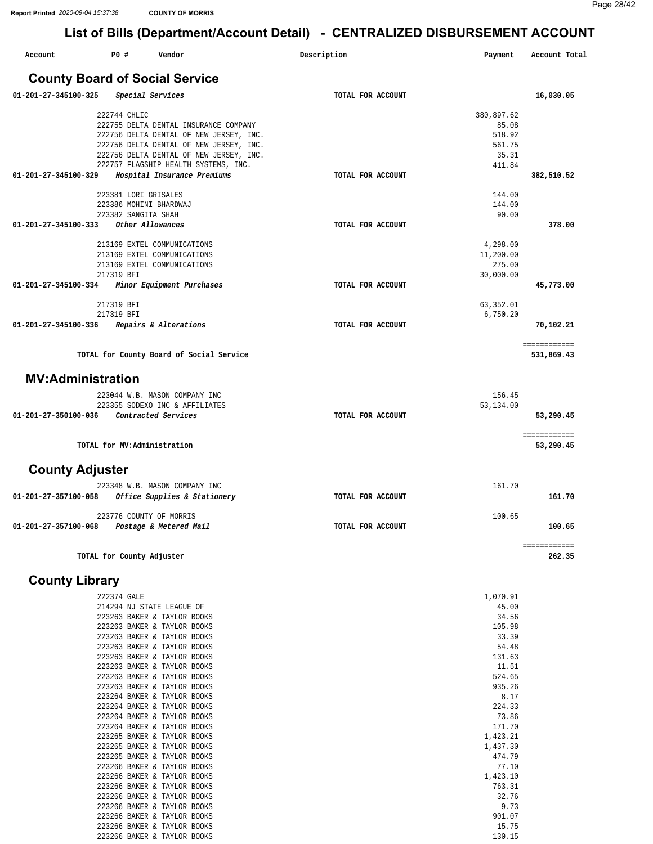| Account                               | P0 #                | Vendor                                   | Description       | Payment    | Account Total |
|---------------------------------------|---------------------|------------------------------------------|-------------------|------------|---------------|
| <b>County Board of Social Service</b> |                     |                                          |                   |            |               |
| 01-201-27-345100-325                  |                     | Special Services                         | TOTAL FOR ACCOUNT |            | 16,030.05     |
|                                       | 222744 CHLIC        |                                          |                   | 380,897.62 |               |
|                                       |                     | 222755 DELTA DENTAL INSURANCE COMPANY    |                   | 85.08      |               |
|                                       |                     | 222756 DELTA DENTAL OF NEW JERSEY, INC.  |                   | 518.92     |               |
|                                       |                     | 222756 DELTA DENTAL OF NEW JERSEY, INC.  |                   | 561.75     |               |
|                                       |                     | 222756 DELTA DENTAL OF NEW JERSEY, INC.  |                   | 35.31      |               |
|                                       |                     | 222757 FLAGSHIP HEALTH SYSTEMS, INC.     |                   | 411.84     |               |
| 01-201-27-345100-329                  |                     | Hospital Insurance Premiums              | TOTAL FOR ACCOUNT |            | 382,510.52    |
|                                       |                     | 223381 LORI GRISALES                     |                   | 144.00     |               |
|                                       |                     | 223386 MOHINI BHARDWAJ                   |                   | 144.00     |               |
|                                       | 223382 SANGITA SHAH |                                          |                   | 90.00      |               |
| 01-201-27-345100-333                  |                     | Other Allowances                         | TOTAL FOR ACCOUNT |            | 378.00        |
|                                       |                     | 213169 EXTEL COMMUNICATIONS              |                   | 4,298.00   |               |
|                                       |                     | 213169 EXTEL COMMUNICATIONS              |                   | 11,200.00  |               |
|                                       |                     | 213169 EXTEL COMMUNICATIONS              |                   | 275.00     |               |
|                                       | 217319 BFI          |                                          |                   | 30,000.00  |               |
| 01-201-27-345100-334                  |                     | Minor Equipment Purchases                | TOTAL FOR ACCOUNT |            | 45,773.00     |
|                                       | 217319 BFI          |                                          |                   | 63,352.01  |               |
|                                       | 217319 BFI          |                                          |                   | 6,750.20   |               |
| 01-201-27-345100-336                  |                     | Repairs & Alterations                    | TOTAL FOR ACCOUNT |            | 70,102.21     |
|                                       |                     |                                          |                   |            | ============  |
|                                       |                     | TOTAL for County Board of Social Service |                   |            | 531,869.43    |
| <b>MV:Administration</b>              |                     |                                          |                   |            |               |
|                                       |                     | 223044 W.B. MASON COMPANY INC            |                   | 156.45     |               |
|                                       |                     | 223355 SODEXO INC & AFFILIATES           |                   | 53,134.00  |               |
| 01-201-27-350100-036                  |                     | Contracted Services                      | TOTAL FOR ACCOUNT |            | 53,290.45     |
|                                       |                     |                                          |                   |            | ============  |
|                                       |                     | TOTAL for MV:Administration              |                   |            | 53,290.45     |
| <b>County Adjuster</b>                |                     |                                          |                   |            |               |
|                                       |                     | 223348 W.B. MASON COMPANY INC            |                   | 161.70     |               |
| 01-201-27-357100-058                  |                     | Office Supplies & Stationery             | TOTAL FOR ACCOUNT |            | 161.70        |
|                                       |                     | 223776 COUNTY OF MORRIS                  |                   | 100.65     |               |
| 01-201-27-357100-068                  |                     | Postage & Metered Mail                   | TOTAL FOR ACCOUNT |            | 100.65        |
|                                       |                     |                                          |                   |            | ============  |
|                                       |                     | TOTAL for County Adjuster                |                   |            | 262.35        |

#### **County Library**

| 222374 GALE                 | 1,070.91 |
|-----------------------------|----------|
| 214294 NJ STATE LEAGUE OF   | 45.00    |
| 223263 BAKER & TAYLOR BOOKS | 34.56    |
| 223263 BAKER & TAYLOR BOOKS | 105.98   |
| 223263 BAKER & TAYLOR BOOKS | 33.39    |
| 223263 BAKER & TAYLOR BOOKS | 54.48    |
| 223263 BAKER & TAYLOR BOOKS | 131.63   |
| 223263 BAKER & TAYLOR BOOKS | 11.51    |
| 223263 BAKER & TAYLOR BOOKS | 524.65   |
| 223263 BAKER & TAYLOR BOOKS | 935.26   |
| 223264 BAKER & TAYLOR BOOKS | 8.17     |
| 223264 BAKER & TAYLOR BOOKS | 224.33   |
| 223264 BAKER & TAYLOR BOOKS | 73.86    |
| 223264 BAKER & TAYLOR BOOKS | 171.70   |
| 223265 BAKER & TAYLOR BOOKS | 1,423.21 |
| 223265 BAKER & TAYLOR BOOKS | 1,437.30 |
| 223265 BAKER & TAYLOR BOOKS | 474.79   |
| 223266 BAKER & TAYLOR BOOKS | 77.10    |
| 223266 BAKER & TAYLOR BOOKS | 1,423.10 |
| 223266 BAKER & TAYLOR BOOKS | 763.31   |
| 223266 BAKER & TAYLOR BOOKS | 32.76    |
| 223266 BAKER & TAYLOR BOOKS | 9.73     |
| 223266 BAKER & TAYLOR BOOKS | 901.07   |
| 223266 BAKER & TAYLOR BOOKS | 15.75    |
| 223266 BAKER & TAYLOR BOOKS | 130.15   |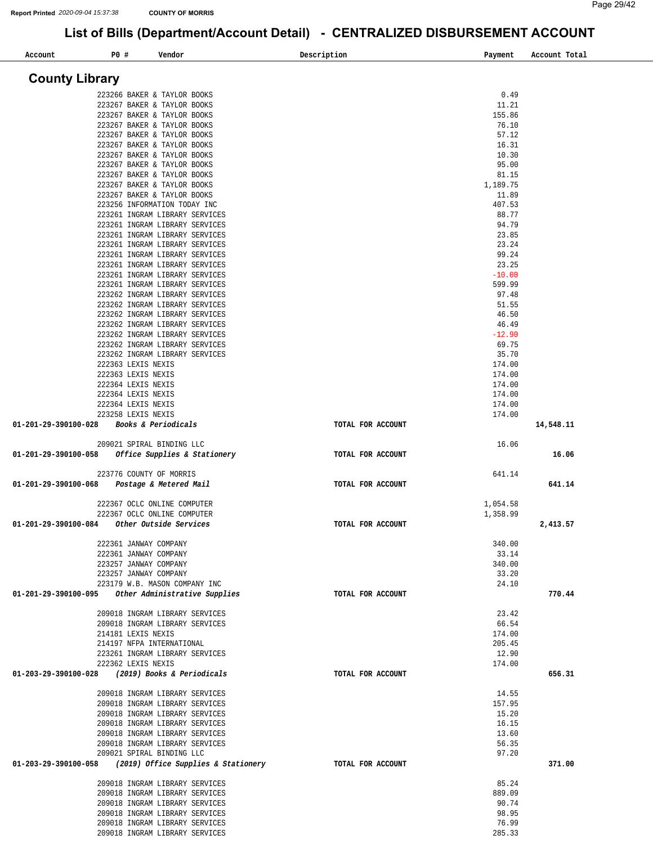| Account                                            | P0 #                                           | Vendor                                                           | Description       | Payment          | Account Total |
|----------------------------------------------------|------------------------------------------------|------------------------------------------------------------------|-------------------|------------------|---------------|
| <b>County Library</b>                              |                                                |                                                                  |                   |                  |               |
|                                                    |                                                | 223266 BAKER & TAYLOR BOOKS                                      |                   | 0.49             |               |
|                                                    |                                                | 223267 BAKER & TAYLOR BOOKS                                      |                   | 11.21            |               |
|                                                    |                                                | 223267 BAKER & TAYLOR BOOKS                                      |                   | 155.86           |               |
|                                                    |                                                | 223267 BAKER & TAYLOR BOOKS                                      |                   | 76.10            |               |
|                                                    |                                                | 223267 BAKER & TAYLOR BOOKS                                      |                   | 57.12            |               |
|                                                    |                                                | 223267 BAKER & TAYLOR BOOKS<br>223267 BAKER & TAYLOR BOOKS       |                   | 16.31<br>10.30   |               |
|                                                    |                                                | 223267 BAKER & TAYLOR BOOKS                                      |                   | 95.00            |               |
|                                                    |                                                | 223267 BAKER & TAYLOR BOOKS                                      |                   | 81.15            |               |
|                                                    |                                                | 223267 BAKER & TAYLOR BOOKS                                      |                   | 1,189.75         |               |
|                                                    |                                                | 223267 BAKER & TAYLOR BOOKS                                      |                   | 11.89            |               |
|                                                    |                                                | 223256 INFORMATION TODAY INC                                     |                   | 407.53<br>88.77  |               |
|                                                    |                                                | 223261 INGRAM LIBRARY SERVICES<br>223261 INGRAM LIBRARY SERVICES |                   | 94.79            |               |
|                                                    |                                                | 223261 INGRAM LIBRARY SERVICES                                   |                   | 23.85            |               |
|                                                    |                                                | 223261 INGRAM LIBRARY SERVICES                                   |                   | 23.24            |               |
|                                                    |                                                | 223261 INGRAM LIBRARY SERVICES                                   |                   | 99.24            |               |
|                                                    |                                                | 223261 INGRAM LIBRARY SERVICES                                   |                   | 23.25            |               |
|                                                    |                                                | 223261 INGRAM LIBRARY SERVICES                                   |                   | $-10.00$         |               |
|                                                    |                                                | 223261 INGRAM LIBRARY SERVICES<br>223262 INGRAM LIBRARY SERVICES |                   | 599.99<br>97.48  |               |
|                                                    |                                                | 223262 INGRAM LIBRARY SERVICES                                   |                   | 51.55            |               |
|                                                    |                                                | 223262 INGRAM LIBRARY SERVICES                                   |                   | 46.50            |               |
|                                                    |                                                | 223262 INGRAM LIBRARY SERVICES                                   |                   | 46.49            |               |
|                                                    |                                                | 223262 INGRAM LIBRARY SERVICES                                   |                   | $-12.90$         |               |
|                                                    |                                                | 223262 INGRAM LIBRARY SERVICES                                   |                   | 69.75            |               |
|                                                    |                                                | 223262 INGRAM LIBRARY SERVICES                                   |                   | 35.70            |               |
|                                                    | 222363 LEXIS NEXIS                             |                                                                  |                   | 174.00           |               |
|                                                    | 222363 LEXIS NEXIS<br>222364 LEXIS NEXIS       |                                                                  |                   | 174.00<br>174.00 |               |
|                                                    | 222364 LEXIS NEXIS                             |                                                                  |                   | 174.00           |               |
|                                                    | 222364 LEXIS NEXIS                             |                                                                  |                   | 174.00           |               |
|                                                    | 223258 LEXIS NEXIS                             |                                                                  |                   | 174.00           |               |
| 01-201-29-390100-028                               |                                                | Books & Periodicals                                              | TOTAL FOR ACCOUNT |                  | 14,548.11     |
|                                                    |                                                | 209021 SPIRAL BINDING LLC                                        |                   | 16.06            |               |
| 01-201-29-390100-058                               |                                                | Office Supplies & Stationery                                     | TOTAL FOR ACCOUNT |                  | 16.06         |
|                                                    |                                                |                                                                  |                   |                  |               |
|                                                    |                                                | 223776 COUNTY OF MORRIS                                          |                   | 641.14           |               |
| 01-201-29-390100-068                               |                                                | Postage & Metered Mail                                           | TOTAL FOR ACCOUNT |                  | 641.14        |
|                                                    |                                                | 222367 OCLC ONLINE COMPUTER                                      |                   | 1,054.58         |               |
|                                                    |                                                | 222367 OCLC ONLINE COMPUTER                                      |                   | 1,358.99         |               |
| 01-201-29-390100-084                               |                                                | Other Outside Services                                           | TOTAL FOR ACCOUNT |                  | 2,413.57      |
|                                                    |                                                |                                                                  |                   |                  |               |
|                                                    | 222361 JANWAY COMPANY<br>222361 JANWAY COMPANY |                                                                  |                   | 340.00<br>33.14  |               |
|                                                    | 223257 JANWAY COMPANY                          |                                                                  |                   | 340.00           |               |
|                                                    | 223257 JANWAY COMPANY                          |                                                                  |                   | 33.20            |               |
|                                                    |                                                | 223179 W.B. MASON COMPANY INC                                    |                   | 24.10            |               |
| 01-201-29-390100-095 Other Administrative Supplies |                                                |                                                                  | TOTAL FOR ACCOUNT |                  | 770.44        |
|                                                    |                                                | 209018 INGRAM LIBRARY SERVICES                                   |                   | 23.42            |               |
|                                                    |                                                | 209018 INGRAM LIBRARY SERVICES                                   |                   | 66.54            |               |
|                                                    | 214181 LEXIS NEXIS                             |                                                                  |                   | 174.00           |               |
|                                                    |                                                | 214197 NFPA INTERNATIONAL                                        |                   | 205.45           |               |
|                                                    |                                                | 223261 INGRAM LIBRARY SERVICES                                   |                   | 12.90            |               |
|                                                    | 222362 LEXIS NEXIS                             |                                                                  |                   | 174.00           |               |
| 01-203-29-390100-028 (2019) Books & Periodicals    |                                                |                                                                  | TOTAL FOR ACCOUNT |                  | 656.31        |
|                                                    |                                                | 209018 INGRAM LIBRARY SERVICES                                   |                   | 14.55            |               |
|                                                    |                                                | 209018 INGRAM LIBRARY SERVICES                                   |                   | 157.95           |               |
|                                                    |                                                | 209018 INGRAM LIBRARY SERVICES                                   |                   | 15.20            |               |
|                                                    |                                                | 209018 INGRAM LIBRARY SERVICES                                   |                   | 16.15            |               |
|                                                    |                                                | 209018 INGRAM LIBRARY SERVICES<br>209018 INGRAM LIBRARY SERVICES |                   | 13.60<br>56.35   |               |
|                                                    |                                                | 209021 SPIRAL BINDING LLC                                        |                   | 97.20            |               |
|                                                    |                                                | 01-203-29-390100-058 (2019) Office Supplies & Stationery         | TOTAL FOR ACCOUNT |                  | 371.00        |
|                                                    |                                                |                                                                  |                   |                  |               |
|                                                    |                                                | 209018 INGRAM LIBRARY SERVICES                                   |                   | 85.24            |               |
|                                                    |                                                | 209018 INGRAM LIBRARY SERVICES                                   |                   | 889.09           |               |
|                                                    |                                                | 209018 INGRAM LIBRARY SERVICES<br>209018 INGRAM LIBRARY SERVICES |                   | 90.74<br>98.95   |               |
|                                                    |                                                | 209018 INGRAM LIBRARY SERVICES                                   |                   | 76.99            |               |
|                                                    |                                                | 209018 INGRAM LIBRARY SERVICES                                   |                   | 285.33           |               |
|                                                    |                                                |                                                                  |                   |                  |               |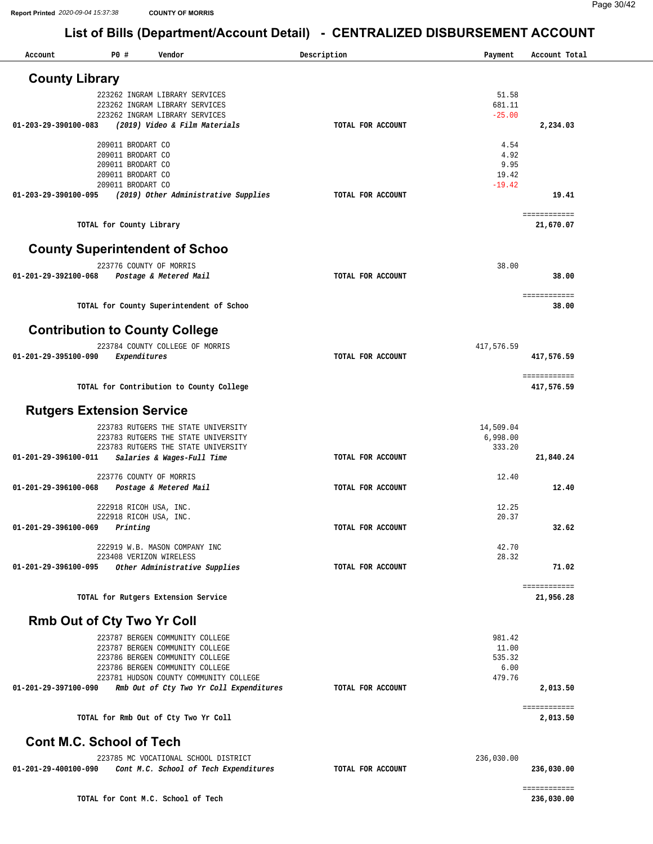| Account                           | P0 #                                   | Vendor                                                                     | Description       | Payment               | Account Total              |
|-----------------------------------|----------------------------------------|----------------------------------------------------------------------------|-------------------|-----------------------|----------------------------|
|                                   |                                        |                                                                            |                   |                       |                            |
| <b>County Library</b>             |                                        |                                                                            |                   |                       |                            |
|                                   |                                        | 223262 INGRAM LIBRARY SERVICES<br>223262 INGRAM LIBRARY SERVICES           |                   | 51.58<br>681.11       |                            |
|                                   |                                        | 223262 INGRAM LIBRARY SERVICES                                             |                   | $-25.00$              |                            |
| 01-203-29-390100-083              |                                        | (2019) Video & Film Materials                                              | TOTAL FOR ACCOUNT |                       | 2,234.03                   |
|                                   | 209011 BRODART CO                      |                                                                            |                   | 4.54                  |                            |
|                                   | 209011 BRODART CO                      |                                                                            |                   | 4.92                  |                            |
|                                   | 209011 BRODART CO                      |                                                                            |                   | 9.95                  |                            |
|                                   | 209011 BRODART CO<br>209011 BRODART CO |                                                                            |                   | 19.42<br>$-19.42$     |                            |
| 01-203-29-390100-095              |                                        | (2019) Other Administrative Supplies                                       | TOTAL FOR ACCOUNT |                       | 19.41                      |
|                                   |                                        |                                                                            |                   |                       | ============               |
|                                   | TOTAL for County Library               |                                                                            |                   |                       | 21,670.07                  |
|                                   |                                        | <b>County Superintendent of Schoo</b>                                      |                   |                       |                            |
|                                   |                                        | 223776 COUNTY OF MORRIS                                                    |                   | 38.00                 |                            |
| 01-201-29-392100-068              |                                        | Postage & Metered Mail                                                     | TOTAL FOR ACCOUNT |                       | 38.00                      |
|                                   |                                        |                                                                            |                   |                       | ============               |
|                                   |                                        | TOTAL for County Superintendent of Schoo                                   |                   |                       | 38.00                      |
|                                   |                                        |                                                                            |                   |                       |                            |
|                                   |                                        | <b>Contribution to County College</b>                                      |                   |                       |                            |
| 01-201-29-395100-090              | Expenditures                           | 223784 COUNTY COLLEGE OF MORRIS                                            | TOTAL FOR ACCOUNT | 417,576.59            | 417,576.59                 |
|                                   |                                        |                                                                            |                   |                       |                            |
|                                   |                                        | TOTAL for Contribution to County College                                   |                   |                       | ============<br>417,576.59 |
|                                   |                                        |                                                                            |                   |                       |                            |
| <b>Rutgers Extension Service</b>  |                                        |                                                                            |                   |                       |                            |
|                                   |                                        | 223783 RUTGERS THE STATE UNIVERSITY<br>223783 RUTGERS THE STATE UNIVERSITY |                   | 14,509.04<br>6,998.00 |                            |
|                                   |                                        | 223783 RUTGERS THE STATE UNIVERSITY                                        |                   | 333.20                |                            |
| 01-201-29-396100-011              |                                        | Salaries & Wages-Full Time                                                 | TOTAL FOR ACCOUNT |                       | 21,840.24                  |
|                                   |                                        | 223776 COUNTY OF MORRIS                                                    |                   | 12.40                 |                            |
| 01-201-29-396100-068              |                                        | Postage & Metered Mail                                                     | TOTAL FOR ACCOUNT |                       | 12.40                      |
|                                   |                                        | 222918 RICOH USA, INC.                                                     |                   | 12.25                 |                            |
|                                   |                                        | 222918 RICOH USA, INC.                                                     |                   | 20.37                 |                            |
| 01-201-29-396100-069              | Printing                               |                                                                            | TOTAL FOR ACCOUNT |                       | 32.62                      |
|                                   |                                        | 222919 W.B. MASON COMPANY INC                                              |                   | 42.70                 |                            |
|                                   |                                        | 223408 VERIZON WIRELESS                                                    |                   | 28.32                 |                            |
| 01-201-29-396100-095              |                                        | Other Administrative Supplies                                              | TOTAL FOR ACCOUNT |                       | 71.02                      |
|                                   |                                        |                                                                            |                   |                       | ============               |
|                                   |                                        | TOTAL for Rutgers Extension Service                                        |                   |                       | 21,956.28                  |
| <b>Rmb Out of Cty Two Yr Coll</b> |                                        |                                                                            |                   |                       |                            |
|                                   |                                        | 223787 BERGEN COMMUNITY COLLEGE                                            |                   | 981.42                |                            |
|                                   |                                        | 223787 BERGEN COMMUNITY COLLEGE<br>223786 BERGEN COMMUNITY COLLEGE         |                   | 11.00<br>535.32       |                            |
|                                   |                                        | 223786 BERGEN COMMUNITY COLLEGE                                            |                   | 6.00                  |                            |
|                                   |                                        | 223781 HUDSON COUNTY COMMUNITY COLLEGE                                     |                   | 479.76                |                            |
| 01-201-29-397100-090              |                                        | Rmb Out of Cty Two Yr Coll Expenditures                                    | TOTAL FOR ACCOUNT |                       | 2,013.50                   |
|                                   |                                        | TOTAL for Rmb Out of Cty Two Yr Coll                                       |                   |                       | ============<br>2,013.50   |
|                                   |                                        |                                                                            |                   |                       |                            |
| <b>Cont M.C. School of Tech</b>   |                                        |                                                                            |                   |                       |                            |
|                                   |                                        | 223785 MC VOCATIONAL SCHOOL DISTRICT                                       |                   | 236,030.00            |                            |
| 01-201-29-400100-090              |                                        | Cont M.C. School of Tech Expenditures                                      | TOTAL FOR ACCOUNT |                       | 236,030.00                 |
|                                   |                                        |                                                                            |                   |                       | ============               |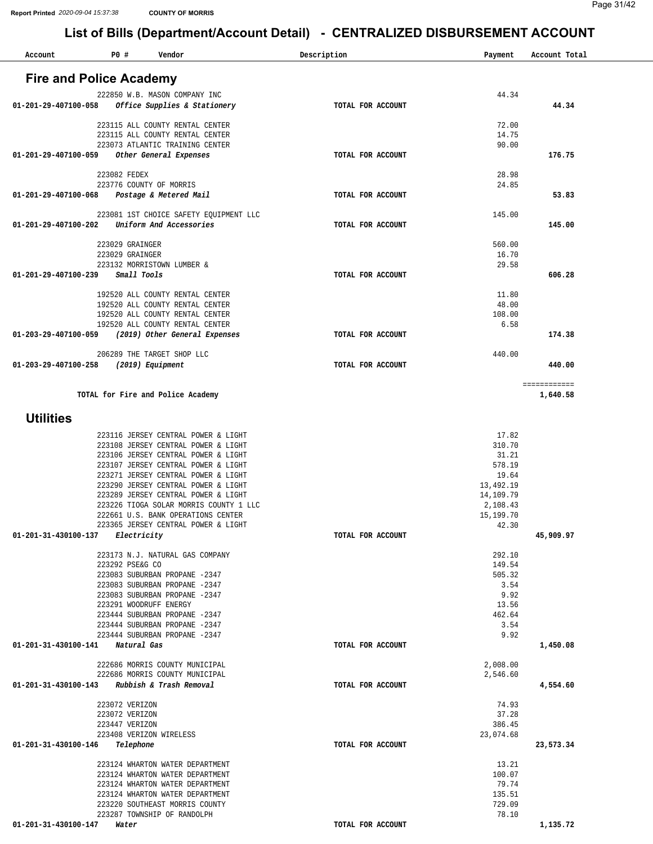| Account              | P0 #<br>Vendor                                                                | Description       | Payment               | Account Total            |
|----------------------|-------------------------------------------------------------------------------|-------------------|-----------------------|--------------------------|
|                      |                                                                               |                   |                       |                          |
|                      | <b>Fire and Police Academy</b>                                                |                   |                       |                          |
|                      | 222850 W.B. MASON COMPANY INC                                                 |                   | 44.34                 |                          |
| 01-201-29-407100-058 | Office Supplies & Stationery                                                  | TOTAL FOR ACCOUNT |                       | 44.34                    |
|                      | 223115 ALL COUNTY RENTAL CENTER                                               |                   | 72.00                 |                          |
|                      | 223115 ALL COUNTY RENTAL CENTER                                               |                   | 14.75                 |                          |
|                      | 223073 ATLANTIC TRAINING CENTER                                               |                   | 90.00                 |                          |
| 01-201-29-407100-059 | Other General Expenses                                                        | TOTAL FOR ACCOUNT |                       | 176.75                   |
|                      | 223082 FEDEX                                                                  |                   | 28.98                 |                          |
|                      | 223776 COUNTY OF MORRIS                                                       |                   | 24.85                 |                          |
| 01-201-29-407100-068 | Postage & Metered Mail                                                        | TOTAL FOR ACCOUNT |                       | 53.83                    |
|                      |                                                                               |                   |                       |                          |
| 01-201-29-407100-202 | 223081 1ST CHOICE SAFETY EQUIPMENT LLC<br>Uniform And Accessories             |                   | 145.00                | 145.00                   |
|                      |                                                                               | TOTAL FOR ACCOUNT |                       |                          |
|                      | 223029 GRAINGER                                                               |                   | 560.00                |                          |
|                      | 223029 GRAINGER                                                               |                   | 16.70                 |                          |
|                      | 223132 MORRISTOWN LUMBER &                                                    |                   | 29.58                 |                          |
| 01-201-29-407100-239 | Small Tools                                                                   | TOTAL FOR ACCOUNT |                       | 606.28                   |
|                      | 192520 ALL COUNTY RENTAL CENTER                                               |                   | 11.80                 |                          |
|                      | 192520 ALL COUNTY RENTAL CENTER                                               |                   | 48.00                 |                          |
|                      | 192520 ALL COUNTY RENTAL CENTER                                               |                   | 108.00                |                          |
|                      | 192520 ALL COUNTY RENTAL CENTER                                               |                   | 6.58                  |                          |
| 01-203-29-407100-059 | (2019) Other General Expenses                                                 | TOTAL FOR ACCOUNT |                       | 174.38                   |
|                      | 206289 THE TARGET SHOP LLC                                                    |                   | 440.00                |                          |
| 01-203-29-407100-258 | (2019) Equipment                                                              | TOTAL FOR ACCOUNT |                       | 440.00                   |
|                      |                                                                               |                   |                       |                          |
|                      | TOTAL for Fire and Police Academy                                             |                   |                       | ============<br>1,640.58 |
|                      |                                                                               |                   |                       |                          |
| <b>Utilities</b>     |                                                                               |                   |                       |                          |
|                      |                                                                               |                   |                       |                          |
|                      | 223116 JERSEY CENTRAL POWER & LIGHT                                           |                   | 17.82                 |                          |
|                      | 223108 JERSEY CENTRAL POWER & LIGHT<br>223106 JERSEY CENTRAL POWER & LIGHT    |                   | 310.70<br>31.21       |                          |
|                      | 223107 JERSEY CENTRAL POWER & LIGHT                                           |                   | 578.19                |                          |
|                      | 223271 JERSEY CENTRAL POWER & LIGHT                                           |                   | 19.64                 |                          |
|                      | 223290 JERSEY CENTRAL POWER & LIGHT                                           |                   | 13,492.19             |                          |
|                      | 223289 JERSEY CENTRAL POWER & LIGHT<br>223226 TIOGA SOLAR MORRIS COUNTY 1 LLC |                   | 14,109.79             |                          |
|                      | 222661 U.S. BANK OPERATIONS CENTER                                            |                   | 2,108.43<br>15,199.70 |                          |
|                      | 223365 JERSEY CENTRAL POWER & LIGHT                                           |                   | 42.30                 |                          |
| 01-201-31-430100-137 | Electricity                                                                   | TOTAL FOR ACCOUNT |                       | 45,909.97                |
|                      |                                                                               |                   |                       |                          |
|                      | 223173 N.J. NATURAL GAS COMPANY<br>223292 PSE&G CO                            |                   | 292.10<br>149.54      |                          |
|                      | 223083 SUBURBAN PROPANE -2347                                                 |                   | 505.32                |                          |
|                      | 223083 SUBURBAN PROPANE -2347                                                 |                   | 3.54                  |                          |
|                      | 223083 SUBURBAN PROPANE -2347                                                 |                   | 9.92                  |                          |
|                      | 223291 WOODRUFF ENERGY<br>223444 SUBURBAN PROPANE -2347                       |                   | 13.56<br>462.64       |                          |
|                      | 223444 SUBURBAN PROPANE -2347                                                 |                   | 3.54                  |                          |
|                      | 223444 SUBURBAN PROPANE -2347                                                 |                   | 9.92                  |                          |
|                      | 01-201-31-430100-141 Natural Gas                                              | TOTAL FOR ACCOUNT |                       | 1,450.08                 |
|                      | 222686 MORRIS COUNTY MUNICIPAL                                                |                   |                       |                          |
|                      | 222686 MORRIS COUNTY MUNICIPAL                                                |                   | 2,008.00<br>2,546.60  |                          |
| 01-201-31-430100-143 | Rubbish & Trash Removal                                                       | TOTAL FOR ACCOUNT |                       | 4,554.60                 |
|                      |                                                                               |                   |                       |                          |
|                      | 223072 VERIZON                                                                |                   | 74.93                 |                          |
|                      | 223072 VERIZON<br>223447 VERIZON                                              |                   | 37.28<br>386.45       |                          |
|                      | 223408 VERIZON WIRELESS                                                       |                   | 23,074.68             |                          |
| 01-201-31-430100-146 | Telephone                                                                     | TOTAL FOR ACCOUNT |                       | 23,573.34                |
|                      |                                                                               |                   |                       |                          |
|                      | 223124 WHARTON WATER DEPARTMENT                                               |                   | 13.21                 |                          |
|                      | 223124 WHARTON WATER DEPARTMENT<br>223124 WHARTON WATER DEPARTMENT            |                   | 100.07<br>79.74       |                          |
|                      | 223124 WHARTON WATER DEPARTMENT                                               |                   | 135.51                |                          |
|                      | 223220 SOUTHEAST MORRIS COUNTY                                                |                   | 729.09                |                          |
|                      | 223287 TOWNSHIP OF RANDOLPH                                                   |                   | 78.10                 |                          |
| 01-201-31-430100-147 | Water                                                                         | TOTAL FOR ACCOUNT |                       | 1,135.72                 |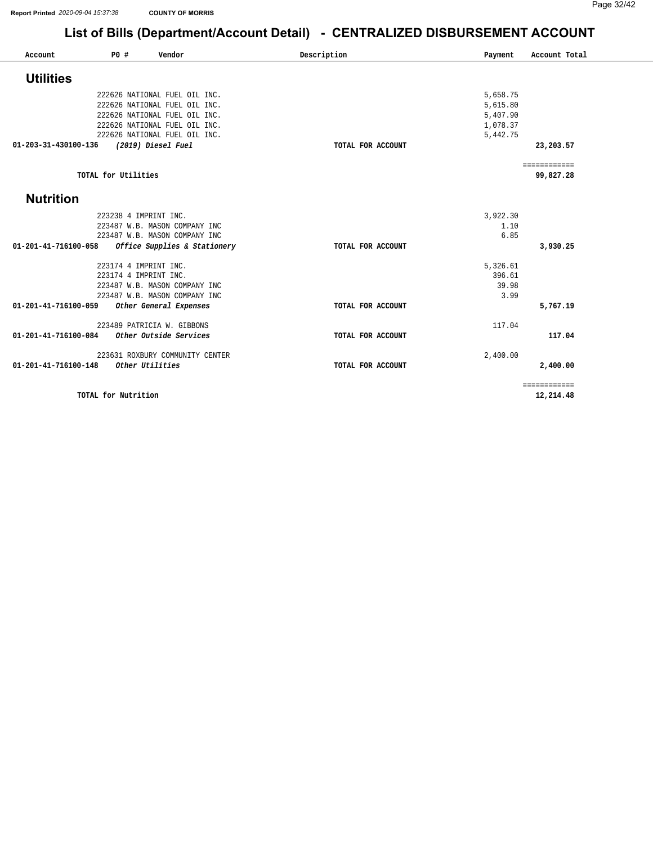| Account              | P0#                 | Vendor                                                         | Description       | Payment              | Account Total |
|----------------------|---------------------|----------------------------------------------------------------|-------------------|----------------------|---------------|
| <b>Utilities</b>     |                     |                                                                |                   |                      |               |
|                      |                     | 222626 NATIONAL FUEL OIL INC.                                  |                   | 5,658.75             |               |
|                      |                     |                                                                |                   |                      |               |
|                      |                     | 222626 NATIONAL FUEL OIL INC.<br>222626 NATIONAL FUEL OIL INC. |                   | 5,615.80<br>5,407.90 |               |
|                      |                     | 222626 NATIONAL FUEL OIL INC.                                  |                   | 1,078.37             |               |
|                      |                     | 222626 NATIONAL FUEL OIL INC.                                  |                   | 5,442.75             |               |
| 01-203-31-430100-136 |                     | (2019) Diesel Fuel                                             | TOTAL FOR ACCOUNT |                      | 23,203.57     |
|                      |                     |                                                                |                   |                      |               |
|                      |                     |                                                                |                   |                      | ============  |
|                      | TOTAL for Utilities |                                                                |                   |                      | 99,827.28     |
| <b>Nutrition</b>     |                     |                                                                |                   |                      |               |
|                      |                     | 223238 4 IMPRINT INC.                                          |                   | 3,922.30             |               |
|                      |                     | 223487 W.B. MASON COMPANY INC                                  |                   | 1.10                 |               |
|                      |                     | 223487 W.B. MASON COMPANY INC                                  |                   | 6.85                 |               |
| 01-201-41-716100-058 |                     | Office Supplies & Stationery                                   | TOTAL FOR ACCOUNT |                      | 3,930.25      |
|                      |                     | 223174 4 IMPRINT INC.                                          |                   | 5,326.61             |               |
|                      |                     | 223174 4 IMPRINT INC.                                          |                   | 396.61               |               |
|                      |                     | 223487 W.B. MASON COMPANY INC                                  |                   | 39.98                |               |
|                      |                     | 223487 W.B. MASON COMPANY INC                                  |                   | 3.99                 |               |
| 01-201-41-716100-059 |                     | Other General Expenses                                         | TOTAL FOR ACCOUNT |                      | 5,767.19      |
|                      |                     | 223489 PATRICIA W. GIBBONS                                     |                   | 117.04               |               |
| 01-201-41-716100-084 |                     | Other Outside Services                                         | TOTAL FOR ACCOUNT |                      | 117.04        |
|                      |                     | 223631 ROXBURY COMMUNITY CENTER                                |                   | 2,400.00             |               |
| 01-201-41-716100-148 |                     | Other Utilities                                                | TOTAL FOR ACCOUNT |                      | 2,400.00      |
|                      |                     |                                                                |                   |                      | ============  |
|                      | TOTAL for Nutrition |                                                                |                   |                      | 12,214.48     |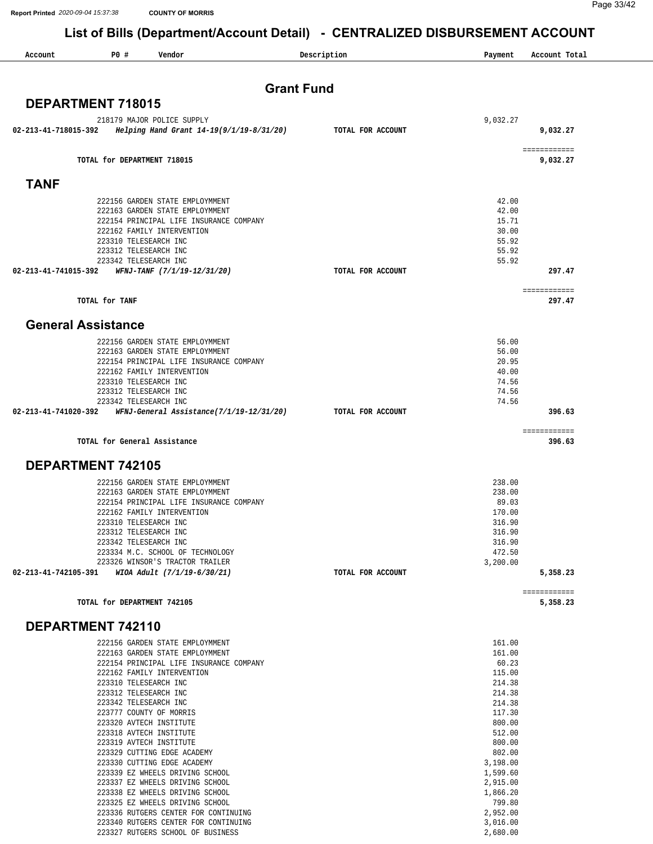**Report Printed** *2020-09-04 15:37:38* **COUNTY OF MORRIS**

Page 33/42

[2,952.00](https://2,952.00) [3,016.00](https://3,016.00) [2,680.00](https://2,680.00)

#### **List of Bills (Department/Account Detail) - CENTRALIZED DISBURSEMENT ACCOUNT**

| Account              | P0#<br>Vendor                                                         | Description       | Payment              | Account Total          |
|----------------------|-----------------------------------------------------------------------|-------------------|----------------------|------------------------|
|                      |                                                                       |                   |                      |                        |
|                      |                                                                       | <b>Grant Fund</b> |                      |                        |
|                      | <b>DEPARTMENT 718015</b>                                              |                   |                      |                        |
|                      | 218179 MAJOR POLICE SUPPLY                                            |                   | 9,032.27             |                        |
| 02-213-41-718015-392 | Helping Hand Grant 14-19(9/1/19-8/31/20)                              | TOTAL FOR ACCOUNT |                      | 9,032.27               |
|                      |                                                                       |                   |                      | ============           |
|                      | TOTAL for DEPARTMENT 718015                                           |                   |                      | 9,032.27               |
| <b>TANF</b>          |                                                                       |                   |                      |                        |
|                      | 222156 GARDEN STATE EMPLOYMMENT                                       |                   | 42.00                |                        |
|                      | 222163 GARDEN STATE EMPLOYMMENT                                       |                   | 42.00                |                        |
|                      | 222154 PRINCIPAL LIFE INSURANCE COMPANY                               |                   | 15.71                |                        |
|                      | 222162 FAMILY INTERVENTION<br>223310 TELESEARCH INC                   |                   | 30.00<br>55.92       |                        |
|                      | 223312 TELESEARCH INC                                                 |                   | 55.92                |                        |
|                      | 223342 TELESEARCH INC                                                 |                   | 55.92                |                        |
| 02-213-41-741015-392 | WFNJ-TANF (7/1/19-12/31/20)                                           | TOTAL FOR ACCOUNT |                      | 297.47                 |
|                      |                                                                       |                   |                      | ============           |
|                      | TOTAL for TANF                                                        |                   |                      | 297.47                 |
|                      | <b>General Assistance</b>                                             |                   |                      |                        |
|                      | 222156 GARDEN STATE EMPLOYMMENT                                       |                   | 56.00                |                        |
|                      | 222163 GARDEN STATE EMPLOYMMENT                                       |                   | 56.00                |                        |
|                      | 222154 PRINCIPAL LIFE INSURANCE COMPANY<br>222162 FAMILY INTERVENTION |                   | 20.95<br>40.00       |                        |
|                      | 223310 TELESEARCH INC                                                 |                   | 74.56                |                        |
|                      | 223312 TELESEARCH INC                                                 |                   | 74.56                |                        |
| 02-213-41-741020-392 | 223342 TELESEARCH INC<br>WFNJ-General Assistance(7/1/19-12/31/20)     | TOTAL FOR ACCOUNT | 74.56                | 396.63                 |
|                      |                                                                       |                   |                      |                        |
|                      | TOTAL for General Assistance                                          |                   |                      | ============<br>396.63 |
|                      | <b>DEPARTMENT 742105</b>                                              |                   |                      |                        |
|                      | 222156 GARDEN STATE EMPLOYMMENT                                       |                   | 238.00               |                        |
|                      | 222163 GARDEN STATE EMPLOYMMENT                                       |                   | 238.00               |                        |
|                      | 222154 PRINCIPAL LIFE INSURANCE COMPANY                               |                   | 89.03                |                        |
|                      | 222162 FAMILY INTERVENTION<br>223310 TELESEARCH INC                   |                   | 170.00<br>316.90     |                        |
|                      | 223312 TELESEARCH INC                                                 |                   | 316.90               |                        |
|                      | 223342 TELESEARCH INC                                                 |                   | 316.90               |                        |
|                      | 223334 M.C. SCHOOL OF TECHNOLOGY                                      |                   | 472.50               |                        |
| 02-213-41-742105-391 | 223326 WINSOR'S TRACTOR TRAILER<br>WIOA Adult (7/1/19-6/30/21)        | TOTAL FOR ACCOUNT | 3,200.00             | 5,358.23               |
|                      |                                                                       |                   |                      | ============           |
|                      | TOTAL for DEPARTMENT 742105                                           |                   |                      | 5,358.23               |
|                      | DEPARTMENT 742110                                                     |                   |                      |                        |
|                      | 222156 GARDEN STATE EMPLOYMMENT                                       |                   | 161.00               |                        |
|                      | 222163 GARDEN STATE EMPLOYMMENT                                       |                   | 161.00               |                        |
|                      | 222154 PRINCIPAL LIFE INSURANCE COMPANY                               |                   | 60.23                |                        |
|                      | 222162 FAMILY INTERVENTION<br>223310 TELESEARCH INC                   |                   | 115.00<br>214.38     |                        |
|                      | 223312 TELESEARCH INC                                                 |                   | 214.38               |                        |
|                      | 223342 TELESEARCH INC                                                 |                   | 214.38               |                        |
|                      | 223777 COUNTY OF MORRIS                                               |                   | 117.30               |                        |
|                      | 223320 AVTECH INSTITUTE<br>223318 AVTECH INSTITUTE                    |                   | 800.00<br>512.00     |                        |
|                      | 223319 AVTECH INSTITUTE                                               |                   | 800.00               |                        |
|                      | 223329 CUTTING EDGE ACADEMY                                           |                   | 802.00               |                        |
|                      | 223330 CUTTING EDGE ACADEMY                                           |                   | 3,198.00             |                        |
|                      | 223339 EZ WHEELS DRIVING SCHOOL<br>223337 EZ WHEELS DRIVING SCHOOL    |                   | 1,599.60             |                        |
|                      | 223338 EZ WHEELS DRIVING SCHOOL                                       |                   | 2,915.00<br>1,866.20 |                        |
|                      | 223325 EZ WHEELS DRIVING SCHOOL                                       |                   | 799.80               |                        |

223336 RUTGERS CENTER FOR CONTINUING 223340 RUTGERS CENTER FOR CONTINUING 223327 RUTGERS SCHOOL OF BUSINESS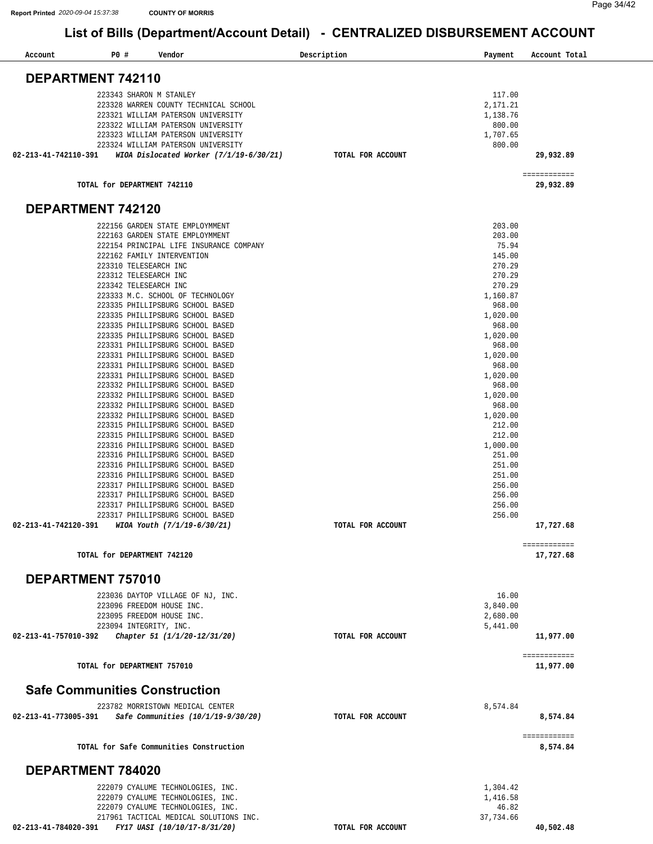| Account<br><b>PO #</b><br>Vendor                                                     | Description<br>Payment | Account Total             |
|--------------------------------------------------------------------------------------|------------------------|---------------------------|
| DEPARTMENT 742110                                                                    |                        |                           |
|                                                                                      |                        |                           |
| 223343 SHARON M STANLEY                                                              | 117.00                 |                           |
| 223328 WARREN COUNTY TECHNICAL SCHOOL                                                | 2,171.21               |                           |
| 223321 WILLIAM PATERSON UNIVERSITY<br>223322 WILLIAM PATERSON UNIVERSITY             | 1,138.76<br>800.00     |                           |
| 223323 WILLIAM PATERSON UNIVERSITY                                                   | 1,707.65               |                           |
| 223324 WILLIAM PATERSON UNIVERSITY                                                   | 800.00                 |                           |
| WIOA Dislocated Worker (7/1/19-6/30/21)<br>02-213-41-742110-391                      | TOTAL FOR ACCOUNT      | 29,932.89                 |
|                                                                                      |                        | ============              |
| TOTAL for DEPARTMENT 742110                                                          |                        | 29,932.89                 |
| DEPARTMENT 742120                                                                    |                        |                           |
| 222156 GARDEN STATE EMPLOYMMENT                                                      | 203.00                 |                           |
| 222163 GARDEN STATE EMPLOYMMENT                                                      | 203.00                 |                           |
| 222154 PRINCIPAL LIFE INSURANCE COMPANY                                              | 75.94                  |                           |
| 222162 FAMILY INTERVENTION                                                           | 145.00                 |                           |
| 223310 TELESEARCH INC                                                                | 270.29                 |                           |
| 223312 TELESEARCH INC<br>223342 TELESEARCH INC                                       | 270.29<br>270.29       |                           |
| 223333 M.C. SCHOOL OF TECHNOLOGY                                                     | 1,160.87               |                           |
| 223335 PHILLIPSBURG SCHOOL BASED                                                     | 968.00                 |                           |
| 223335 PHILLIPSBURG SCHOOL BASED                                                     | 1,020.00               |                           |
| 223335 PHILLIPSBURG SCHOOL BASED                                                     | 968.00                 |                           |
| 223335 PHILLIPSBURG SCHOOL BASED                                                     | 1,020.00               |                           |
| 223331 PHILLIPSBURG SCHOOL BASED                                                     | 968.00                 |                           |
| 223331 PHILLIPSBURG SCHOOL BASED                                                     | 1,020.00               |                           |
| 223331 PHILLIPSBURG SCHOOL BASED                                                     | 968.00                 |                           |
| 223331 PHILLIPSBURG SCHOOL BASED                                                     | 1,020.00               |                           |
| 223332 PHILLIPSBURG SCHOOL BASED                                                     | 968.00                 |                           |
| 223332 PHILLIPSBURG SCHOOL BASED<br>223332 PHILLIPSBURG SCHOOL BASED                 | 1,020.00<br>968.00     |                           |
| 223332 PHILLIPSBURG SCHOOL BASED                                                     | 1,020.00               |                           |
| 223315 PHILLIPSBURG SCHOOL BASED                                                     | 212.00                 |                           |
| 223315 PHILLIPSBURG SCHOOL BASED                                                     | 212.00                 |                           |
| 223316 PHILLIPSBURG SCHOOL BASED                                                     | 1,000.00               |                           |
| 223316 PHILLIPSBURG SCHOOL BASED                                                     | 251.00                 |                           |
| 223316 PHILLIPSBURG SCHOOL BASED                                                     | 251.00                 |                           |
| 223316 PHILLIPSBURG SCHOOL BASED                                                     | 251.00                 |                           |
| 223317 PHILLIPSBURG SCHOOL BASED                                                     | 256.00                 |                           |
| 223317 PHILLIPSBURG SCHOOL BASED                                                     | 256.00                 |                           |
| 223317 PHILLIPSBURG SCHOOL BASED                                                     | 256.00<br>256.00       |                           |
| 223317 PHILLIPSBURG SCHOOL BASED<br>02-213-41-742120-391 WIOA Youth (7/1/19-6/30/21) | TOTAL FOR ACCOUNT      | 17,727.68                 |
|                                                                                      |                        |                           |
| TOTAL for DEPARTMENT 742120                                                          |                        | ============<br>17,727.68 |
| DEPARTMENT 757010                                                                    |                        |                           |
|                                                                                      | 16.00                  |                           |
| 223036 DAYTOP VILLAGE OF NJ, INC.<br>223096 FREEDOM HOUSE INC.                       | 3,840.00               |                           |
| 223095 FREEDOM HOUSE INC.                                                            | 2,680.00               |                           |
| 223094 INTEGRITY, INC.                                                               | 5,441.00               |                           |
| 02-213-41-757010-392<br>Chapter 51 (1/1/20-12/31/20)                                 | TOTAL FOR ACCOUNT      | 11,977.00                 |
|                                                                                      |                        | ============              |
| TOTAL for DEPARTMENT 757010                                                          |                        | 11,977.00                 |
| <b>Safe Communities Construction</b>                                                 |                        |                           |
| 223782 MORRISTOWN MEDICAL CENTER                                                     | 8,574.84               |                           |
| Safe Communities (10/1/19-9/30/20)<br>02-213-41-773005-391                           | TOTAL FOR ACCOUNT      | 8,574.84                  |
|                                                                                      |                        | ============              |
| TOTAL for Safe Communities Construction                                              |                        | 8,574.84                  |
| DEPARTMENT 784020                                                                    |                        |                           |
| 222079 CYALUME TECHNOLOGIES, INC.                                                    | 1,304.42               |                           |
| 222079 CYALUME TECHNOLOGIES, INC.                                                    | 1,416.58               |                           |
| 222079 CYALUME TECHNOLOGIES, INC.                                                    | 46.82                  |                           |
| 217961 TACTICAL MEDICAL SOLUTIONS INC.                                               | 37,734.66              |                           |
| FY17 UASI (10/10/17-8/31/20)<br>02-213-41-784020-391                                 | TOTAL FOR ACCOUNT      | 40,502.48                 |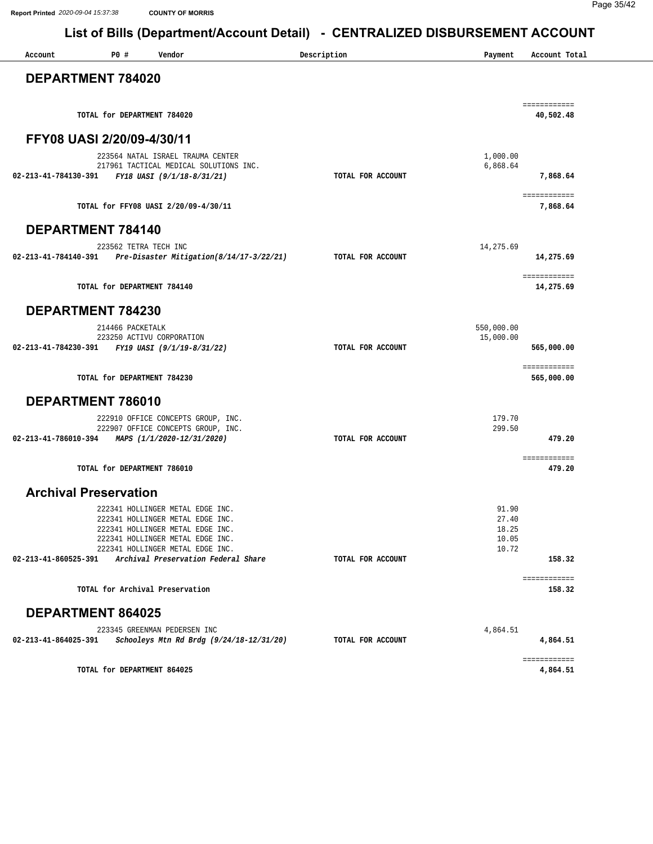| Account                                         | P0#                         | Vendor                                                                                                                                                                                                                  | Description       | Payment                                   | Account Total              |
|-------------------------------------------------|-----------------------------|-------------------------------------------------------------------------------------------------------------------------------------------------------------------------------------------------------------------------|-------------------|-------------------------------------------|----------------------------|
| DEPARTMENT 784020                               |                             |                                                                                                                                                                                                                         |                   |                                           |                            |
|                                                 | TOTAL for DEPARTMENT 784020 |                                                                                                                                                                                                                         |                   |                                           | ============<br>40,502.48  |
| FFY08 UASI 2/20/09-4/30/11                      |                             |                                                                                                                                                                                                                         |                   |                                           |                            |
| 02-213-41-784130-391                            |                             | 223564 NATAL ISRAEL TRAUMA CENTER<br>217961 TACTICAL MEDICAL SOLUTIONS INC.<br>FY18 UASI (9/1/18-8/31/21)                                                                                                               | TOTAL FOR ACCOUNT | 1,000.00<br>6,868.64                      | 7,868.64                   |
|                                                 |                             | TOTAL for FFY08 UASI 2/20/09-4/30/11                                                                                                                                                                                    |                   |                                           | ============<br>7,868.64   |
| <b>DEPARTMENT 784140</b>                        |                             |                                                                                                                                                                                                                         |                   |                                           |                            |
|                                                 | 223562 TETRA TECH INC       | 02-213-41-784140-391 Pre-Disaster Mitigation(8/14/17-3/22/21)                                                                                                                                                           | TOTAL FOR ACCOUNT | 14,275.69                                 | 14,275.69                  |
|                                                 | TOTAL for DEPARTMENT 784140 |                                                                                                                                                                                                                         |                   |                                           | ============<br>14,275.69  |
| DEPARTMENT 784230                               |                             |                                                                                                                                                                                                                         |                   |                                           |                            |
| 02-213-41-784230-391 FY19 UASI (9/1/19-8/31/22) | 214466 PACKETALK            | 223250 ACTIVU CORPORATION                                                                                                                                                                                               | TOTAL FOR ACCOUNT | 550,000.00<br>15,000.00                   | 565,000.00                 |
|                                                 | TOTAL for DEPARTMENT 784230 |                                                                                                                                                                                                                         |                   |                                           | ============<br>565,000.00 |
| DEPARTMENT 786010                               |                             |                                                                                                                                                                                                                         |                   |                                           |                            |
| 02-213-41-786010-394 MAPS (1/1/2020-12/31/2020) |                             | 222910 OFFICE CONCEPTS GROUP, INC.<br>222907 OFFICE CONCEPTS GROUP, INC.                                                                                                                                                | TOTAL FOR ACCOUNT | 179.70<br>299.50                          | 479.20                     |
|                                                 | TOTAL for DEPARTMENT 786010 |                                                                                                                                                                                                                         |                   |                                           | ============<br>479.20     |
| <b>Archival Preservation</b>                    |                             |                                                                                                                                                                                                                         |                   |                                           |                            |
| 02-213-41-860525-391                            |                             | 222341 HOLLINGER METAL EDGE INC.<br>222341 HOLLINGER METAL EDGE INC.<br>222341 HOLLINGER METAL EDGE INC.<br>222341 HOLLINGER METAL EDGE INC.<br>222341 HOLLINGER METAL EDGE INC.<br>Archival Preservation Federal Share | TOTAL FOR ACCOUNT | 91.90<br>27.40<br>18.25<br>10.05<br>10.72 | 158.32                     |
|                                                 |                             | TOTAL for Archival Preservation                                                                                                                                                                                         |                   |                                           | ============<br>158.32     |
| <b>DEPARTMENT 864025</b>                        |                             |                                                                                                                                                                                                                         |                   |                                           |                            |
| 02-213-41-864025-391                            |                             | 223345 GREENMAN PEDERSEN INC<br>Schooleys Mtn Rd Brdg (9/24/18-12/31/20)                                                                                                                                                | TOTAL FOR ACCOUNT | 4,864.51                                  | 4,864.51                   |
|                                                 |                             | TOTAL for DEPARTMENT 864025                                                                                                                                                                                             |                   |                                           | ============<br>4,864.51   |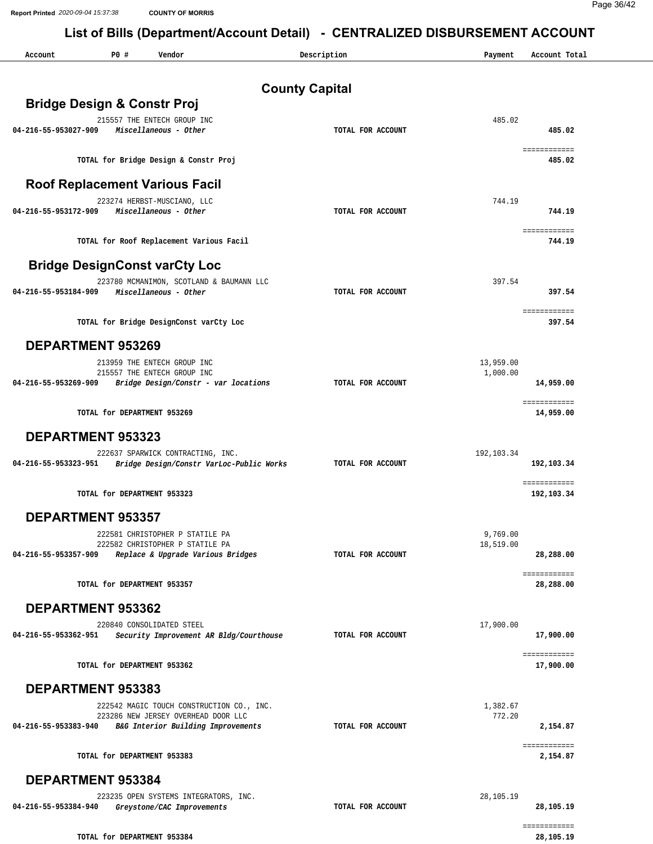| Account              | P0 #<br>Vendor                                                                | Description           | Payment     | Account Total             |
|----------------------|-------------------------------------------------------------------------------|-----------------------|-------------|---------------------------|
|                      |                                                                               | <b>County Capital</b> |             |                           |
|                      | <b>Bridge Design &amp; Constr Proj</b>                                        |                       |             |                           |
|                      | 215557 THE ENTECH GROUP INC                                                   |                       | 485.02      |                           |
| 04-216-55-953027-909 | Miscellaneous - Other                                                         | TOTAL FOR ACCOUNT     |             | 485.02                    |
|                      | TOTAL for Bridge Design & Constr Proj                                         |                       |             | ============<br>485.02    |
|                      | <b>Roof Replacement Various Facil</b>                                         |                       |             |                           |
|                      | 223274 HERBST-MUSCIANO, LLC                                                   |                       | 744.19      |                           |
| 04-216-55-953172-909 | Miscellaneous - Other                                                         | TOTAL FOR ACCOUNT     |             | 744.19                    |
|                      | TOTAL for Roof Replacement Various Facil                                      |                       |             | ============<br>744.19    |
|                      | <b>Bridge DesignConst varCty Loc</b>                                          |                       |             |                           |
|                      | 223780 MCMANIMON, SCOTLAND & BAUMANN LLC                                      |                       | 397.54      |                           |
| 04-216-55-953184-909 | Miscellaneous - Other                                                         | TOTAL FOR ACCOUNT     |             | 397.54                    |
|                      | TOTAL for Bridge DesignConst varCty Loc                                       |                       |             | ============<br>397.54    |
|                      | <b>DEPARTMENT 953269</b>                                                      |                       |             |                           |
|                      | 213959 THE ENTECH GROUP INC                                                   |                       | 13,959.00   |                           |
|                      | 215557 THE ENTECH GROUP INC                                                   |                       | 1,000.00    |                           |
| 04-216-55-953269-909 | Bridge Design/Constr - var locations                                          | TOTAL FOR ACCOUNT     |             | 14,959.00<br>============ |
|                      | TOTAL for DEPARTMENT 953269                                                   |                       |             | 14,959.00                 |
|                      | <b>DEPARTMENT 953323</b>                                                      |                       |             |                           |
| 04-216-55-953323-951 | 222637 SPARWICK CONTRACTING, INC.<br>Bridge Design/Constr VarLoc-Public Works | TOTAL FOR ACCOUNT     | 192, 103.34 | 192,103.34                |
|                      |                                                                               |                       |             | ============              |
|                      | TOTAL for DEPARTMENT 953323                                                   |                       |             | 192,103.34                |
|                      | <b>DEPARTMENT 953357</b>                                                      |                       |             |                           |
|                      | 222581 CHRISTOPHER P STATILE PA                                               |                       | 9,769.00    |                           |
| 04-216-55-953357-909 | 222582 CHRISTOPHER P STATILE PA<br>Replace & Upgrade Various Bridges          | TOTAL FOR ACCOUNT     | 18,519.00   | 28,288.00                 |
|                      |                                                                               |                       |             | ============              |
|                      | TOTAL for DEPARTMENT 953357                                                   |                       |             | 28,288.00                 |
|                      | DEPARTMENT 953362                                                             |                       |             |                           |
|                      | 220840 CONSOLIDATED STEEL                                                     |                       | 17,900.00   |                           |
| 04-216-55-953362-951 | Security Improvement AR Bldg/Courthouse                                       | TOTAL FOR ACCOUNT     |             | 17,900.00                 |
|                      | TOTAL for DEPARTMENT 953362                                                   |                       |             | ============<br>17,900.00 |
|                      | <b>DEPARTMENT 953383</b>                                                      |                       |             |                           |
|                      | 222542 MAGIC TOUCH CONSTRUCTION CO., INC.                                     |                       | 1,382.67    |                           |
| 04-216-55-953383-940 | 223286 NEW JERSEY OVERHEAD DOOR LLC<br>B&G Interior Building Improvements     | TOTAL FOR ACCOUNT     | 772.20      | 2,154.87                  |
|                      |                                                                               |                       |             | ============              |
|                      | TOTAL for DEPARTMENT 953383                                                   |                       |             | 2,154.87                  |
|                      | DEPARTMENT 953384                                                             |                       |             |                           |
|                      | 223235 OPEN SYSTEMS INTEGRATORS, INC.                                         |                       | 28,105.19   |                           |
| 04-216-55-953384-940 | Greystone/CAC Improvements                                                    | TOTAL FOR ACCOUNT     |             | 28,105.19                 |
|                      | TOTAL for DEPARTMENT 953384                                                   |                       |             | ============<br>28,105.19 |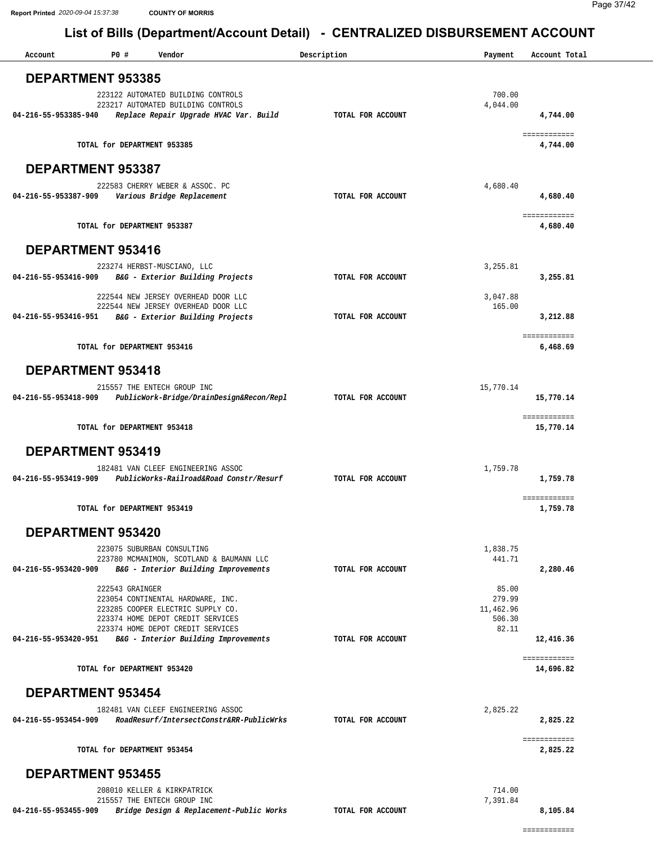| Account              | P0 #                        | Vendor                                                                         | Description       | Payment             | Account Total             |
|----------------------|-----------------------------|--------------------------------------------------------------------------------|-------------------|---------------------|---------------------------|
|                      | <b>DEPARTMENT 953385</b>    |                                                                                |                   |                     |                           |
|                      |                             | 223122 AUTOMATED BUILDING CONTROLS<br>223217 AUTOMATED BUILDING CONTROLS       |                   | 700.00<br>4,044.00  |                           |
| 04-216-55-953385-940 |                             | Replace Repair Upgrade HVAC Var. Build                                         | TOTAL FOR ACCOUNT |                     | 4,744.00                  |
|                      | TOTAL for DEPARTMENT 953385 |                                                                                |                   |                     | ============<br>4,744.00  |
|                      | <b>DEPARTMENT 953387</b>    |                                                                                |                   |                     |                           |
|                      |                             | 222583 CHERRY WEBER & ASSOC. PC                                                |                   | 4,680.40            |                           |
| 04-216-55-953387-909 |                             | Various Bridge Replacement                                                     | TOTAL FOR ACCOUNT |                     | 4,680.40<br>============  |
|                      | TOTAL for DEPARTMENT 953387 |                                                                                |                   |                     | 4,680.40                  |
|                      | <b>DEPARTMENT 953416</b>    |                                                                                |                   |                     |                           |
| 04-216-55-953416-909 |                             | 223274 HERBST-MUSCIANO, LLC<br>B&G - Exterior Building Projects                | TOTAL FOR ACCOUNT | 3,255.81            | 3,255.81                  |
|                      |                             | 222544 NEW JERSEY OVERHEAD DOOR LLC                                            |                   | 3,047.88            |                           |
| 04-216-55-953416-951 |                             | 222544 NEW JERSEY OVERHEAD DOOR LLC<br>B&G - Exterior Building Projects        | TOTAL FOR ACCOUNT | 165.00              | 3,212.88                  |
|                      |                             |                                                                                |                   |                     | ============              |
|                      | TOTAL for DEPARTMENT 953416 |                                                                                |                   |                     | 6,468.69                  |
|                      | <b>DEPARTMENT 953418</b>    |                                                                                |                   |                     |                           |
| 04-216-55-953418-909 |                             | 215557 THE ENTECH GROUP INC<br>PublicWork-Bridge/DrainDesign&Recon/Repl        | TOTAL FOR ACCOUNT | 15,770.14           | 15,770.14                 |
|                      | TOTAL for DEPARTMENT 953418 |                                                                                |                   |                     | ============<br>15,770.14 |
|                      | <b>DEPARTMENT 953419</b>    |                                                                                |                   |                     |                           |
| 04-216-55-953419-909 |                             | 182481 VAN CLEEF ENGINEERING ASSOC<br>PublicWorks-Railroad&Road Constr/Resurf  | TOTAL FOR ACCOUNT | 1,759.78            | 1,759.78                  |
|                      |                             |                                                                                |                   |                     | ============              |
|                      | TOTAL for DEPARTMENT 953419 |                                                                                |                   |                     | 1,759.78                  |
|                      | <b>DEPARTMENT 953420</b>    |                                                                                |                   |                     |                           |
|                      |                             | 223075 SUBURBAN CONSULTING<br>223780 MCMANIMON, SCOTLAND & BAUMANN LLC         |                   | 1,838.75<br>441.71  |                           |
| 04-216-55-953420-909 |                             | B&G - Interior Building Improvements                                           | TOTAL FOR ACCOUNT |                     | 2,280.46                  |
|                      | 222543 GRAINGER             | 223054 CONTINENTAL HARDWARE, INC.                                              |                   | 85.00<br>279.99     |                           |
|                      |                             | 223285 COOPER ELECTRIC SUPPLY CO.<br>223374 HOME DEPOT CREDIT SERVICES         |                   | 11,462.96<br>506.30 |                           |
| 04-216-55-953420-951 |                             | 223374 HOME DEPOT CREDIT SERVICES<br>B&G - Interior Building Improvements      | TOTAL FOR ACCOUNT | 82.11               | 12,416.36                 |
|                      |                             |                                                                                |                   |                     | ============              |
|                      | TOTAL for DEPARTMENT 953420 |                                                                                |                   |                     | 14,696.82                 |
|                      | <b>DEPARTMENT 953454</b>    |                                                                                |                   |                     |                           |
| 04-216-55-953454-909 |                             | 182481 VAN CLEEF ENGINEERING ASSOC<br>RoadResurf/IntersectConstr&RR-PublicWrks | TOTAL FOR ACCOUNT | 2,825.22            | 2,825.22                  |
|                      | TOTAL for DEPARTMENT 953454 |                                                                                |                   |                     | ============<br>2,825.22  |
|                      | <b>DEPARTMENT 953455</b>    |                                                                                |                   |                     |                           |
|                      |                             | 208010 KELLER & KIRKPATRICK<br>215557 THE ENTECH GROUP INC                     |                   | 714.00<br>7,391.84  |                           |
| 04-216-55-953455-909 |                             | Bridge Design & Replacement-Public Works                                       | TOTAL FOR ACCOUNT |                     | 8,105.84                  |

============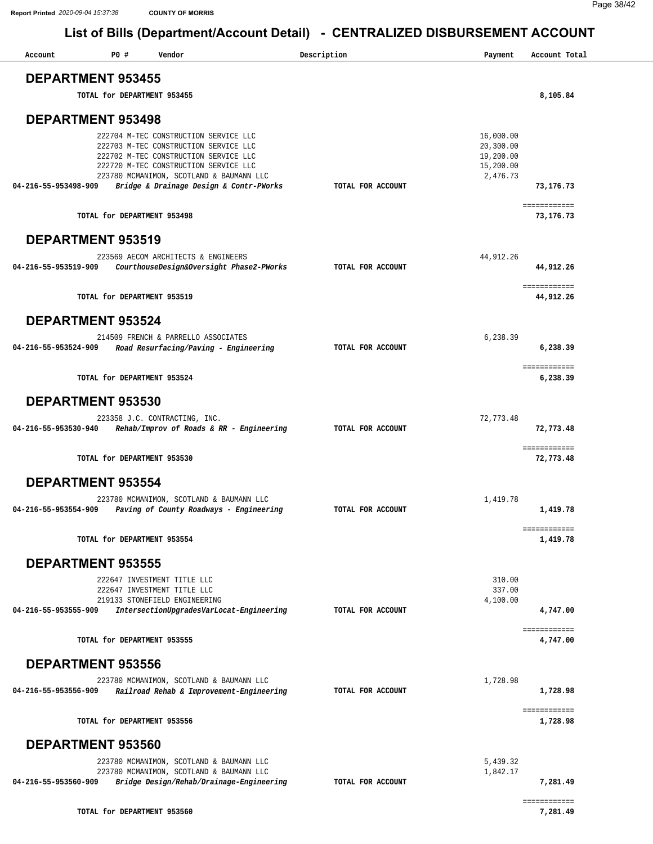| Account                  | P0 # | Vendor                                                                                                                                                                                                       | Description       | Payment                                                      | Account Total             |
|--------------------------|------|--------------------------------------------------------------------------------------------------------------------------------------------------------------------------------------------------------------|-------------------|--------------------------------------------------------------|---------------------------|
| <b>DEPARTMENT 953455</b> |      |                                                                                                                                                                                                              |                   |                                                              |                           |
|                          |      | TOTAL for DEPARTMENT 953455                                                                                                                                                                                  |                   |                                                              | 8,105.84                  |
| <b>DEPARTMENT 953498</b> |      |                                                                                                                                                                                                              |                   |                                                              |                           |
|                          |      | 222704 M-TEC CONSTRUCTION SERVICE LLC<br>222703 M-TEC CONSTRUCTION SERVICE LLC<br>222702 M-TEC CONSTRUCTION SERVICE LLC<br>222720 M-TEC CONSTRUCTION SERVICE LLC<br>223780 MCMANIMON, SCOTLAND & BAUMANN LLC |                   | 16,000.00<br>20,300.00<br>19,200.00<br>15,200.00<br>2,476.73 |                           |
| 04-216-55-953498-909     |      | Bridge & Drainage Design & Contr-PWorks                                                                                                                                                                      | TOTAL FOR ACCOUNT |                                                              | 73,176.73<br>============ |
|                          |      | TOTAL for DEPARTMENT 953498                                                                                                                                                                                  |                   |                                                              | 73,176.73                 |
| <b>DEPARTMENT 953519</b> |      |                                                                                                                                                                                                              |                   |                                                              |                           |
| 04-216-55-953519-909     |      | 223569 AECOM ARCHITECTS & ENGINEERS<br>CourthouseDesign&Oversight Phase2-PWorks                                                                                                                              | TOTAL FOR ACCOUNT | 44, 912. 26                                                  | 44,912.26<br>============ |
|                          |      | TOTAL for DEPARTMENT 953519                                                                                                                                                                                  |                   |                                                              | 44,912.26                 |
| <b>DEPARTMENT 953524</b> |      |                                                                                                                                                                                                              |                   |                                                              |                           |
| 04-216-55-953524-909     |      | 214509 FRENCH & PARRELLO ASSOCIATES<br>Road Resurfacing/Paving - Engineering                                                                                                                                 | TOTAL FOR ACCOUNT | 6,238.39                                                     | 6,238.39                  |
|                          |      | TOTAL for DEPARTMENT 953524                                                                                                                                                                                  |                   |                                                              | ============<br>6,238.39  |
| <b>DEPARTMENT 953530</b> |      |                                                                                                                                                                                                              |                   |                                                              |                           |
| 04-216-55-953530-940     |      | 223358 J.C. CONTRACTING, INC.<br>Rehab/Improv of Roads & RR - Engineering                                                                                                                                    | TOTAL FOR ACCOUNT | 72,773.48                                                    | 72,773.48                 |
|                          |      | TOTAL for DEPARTMENT 953530                                                                                                                                                                                  |                   |                                                              | ============<br>72,773.48 |
| <b>DEPARTMENT 953554</b> |      |                                                                                                                                                                                                              |                   |                                                              |                           |
| 04-216-55-953554-909     |      | 223780 MCMANIMON, SCOTLAND & BAUMANN LLC<br>Paving of County Roadways - Engineering                                                                                                                          | TOTAL FOR ACCOUNT | 1,419.78                                                     | 1,419.78<br>============  |
|                          |      | TOTAL for DEPARTMENT 953554                                                                                                                                                                                  |                   |                                                              | 1,419.78                  |
| <b>DEPARTMENT 953555</b> |      |                                                                                                                                                                                                              |                   |                                                              |                           |
| 04-216-55-953555-909     |      | 222647 INVESTMENT TITLE LLC<br>222647 INVESTMENT TITLE LLC<br>219133 STONEFIELD ENGINEERING<br>IntersectionUpgradesVarLocat-Engineering                                                                      | TOTAL FOR ACCOUNT | 310.00<br>337.00<br>4,100.00                                 | 4,747.00                  |
|                          |      |                                                                                                                                                                                                              |                   |                                                              | ============              |
|                          |      | TOTAL for DEPARTMENT 953555                                                                                                                                                                                  |                   |                                                              | 4,747.00                  |
| <b>DEPARTMENT 953556</b> |      |                                                                                                                                                                                                              |                   |                                                              |                           |
| 04-216-55-953556-909     |      | 223780 MCMANIMON, SCOTLAND & BAUMANN LLC<br>Railroad Rehab & Improvement-Engineering                                                                                                                         | TOTAL FOR ACCOUNT | 1,728.98                                                     | 1,728.98                  |
|                          |      | TOTAL for DEPARTMENT 953556                                                                                                                                                                                  |                   |                                                              | ============<br>1,728.98  |
| <b>DEPARTMENT 953560</b> |      |                                                                                                                                                                                                              |                   |                                                              |                           |
| 04-216-55-953560-909     |      | 223780 MCMANIMON, SCOTLAND & BAUMANN LLC<br>223780 MCMANIMON, SCOTLAND & BAUMANN LLC<br>Bridge Design/Rehab/Drainage-Engineering                                                                             | TOTAL FOR ACCOUNT | 5,439.32<br>1,842.17                                         | 7,281.49                  |
|                          |      | TOTAL for DEPARTMENT 953560                                                                                                                                                                                  |                   |                                                              | ============<br>7,281.49  |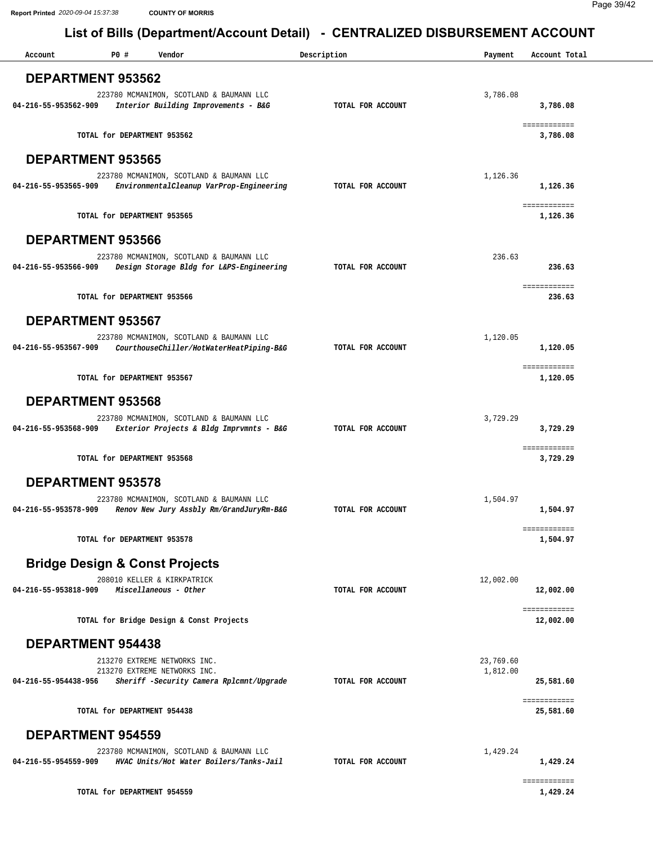| Account                  | P0 #                        | Vendor                                                                                                   | Description       | Payment               | Account Total             |
|--------------------------|-----------------------------|----------------------------------------------------------------------------------------------------------|-------------------|-----------------------|---------------------------|
| DEPARTMENT 953562        |                             |                                                                                                          |                   |                       |                           |
| 04-216-55-953562-909     |                             | 223780 MCMANIMON, SCOTLAND & BAUMANN LLC<br>Interior Building Improvements - B&G                         | TOTAL FOR ACCOUNT | 3,786.08              | 3,786.08                  |
|                          |                             | TOTAL for DEPARTMENT 953562                                                                              |                   |                       | ============<br>3,786.08  |
| <b>DEPARTMENT 953565</b> |                             |                                                                                                          |                   |                       |                           |
| 04-216-55-953565-909     |                             | 223780 MCMANIMON, SCOTLAND & BAUMANN LLC<br>EnvironmentalCleanup VarProp-Engineering                     | TOTAL FOR ACCOUNT | 1,126.36              | 1,126.36                  |
|                          |                             | TOTAL for DEPARTMENT 953565                                                                              |                   |                       | ============<br>1,126.36  |
| <b>DEPARTMENT 953566</b> |                             |                                                                                                          |                   |                       |                           |
| 04-216-55-953566-909     |                             | 223780 MCMANIMON, SCOTLAND & BAUMANN LLC<br>Design Storage Bldg for L&PS-Engineering                     | TOTAL FOR ACCOUNT | 236.63                | 236.63                    |
|                          |                             | TOTAL for DEPARTMENT 953566                                                                              |                   |                       | ============<br>236.63    |
| DEPARTMENT 953567        |                             |                                                                                                          |                   |                       |                           |
| 04-216-55-953567-909     |                             | 223780 MCMANIMON, SCOTLAND & BAUMANN LLC<br>CourthouseChiller/HotWaterHeatPiping-B&G                     | TOTAL FOR ACCOUNT | 1,120.05              | 1,120.05                  |
|                          | TOTAL for DEPARTMENT 953567 |                                                                                                          |                   |                       | ============<br>1,120.05  |
| <b>DEPARTMENT 953568</b> |                             |                                                                                                          |                   |                       |                           |
| 04-216-55-953568-909     |                             | 223780 MCMANIMON, SCOTLAND & BAUMANN LLC<br>Exterior Projects & Bldg Imprvmnts - B&G                     | TOTAL FOR ACCOUNT | 3,729.29              | 3,729.29                  |
|                          |                             | TOTAL for DEPARTMENT 953568                                                                              |                   |                       | ============<br>3,729.29  |
| <b>DEPARTMENT 953578</b> |                             |                                                                                                          |                   |                       |                           |
| 04-216-55-953578-909     |                             | 223780 MCMANIMON, SCOTLAND & BAUMANN LLC<br>Renov New Jury Assbly Rm/GrandJuryRm-B&G                     | TOTAL FOR ACCOUNT | 1,504.97              | 1,504.97                  |
|                          | TOTAL for DEPARTMENT 953578 |                                                                                                          |                   |                       | ============<br>1,504.97  |
|                          |                             | <b>Bridge Design &amp; Const Projects</b>                                                                |                   |                       |                           |
| 04-216-55-953818-909     |                             | 208010 KELLER & KIRKPATRICK<br>Miscellaneous - Other                                                     | TOTAL FOR ACCOUNT | 12,002.00             | 12,002.00                 |
|                          |                             | TOTAL for Bridge Design & Const Projects                                                                 |                   |                       | ============<br>12,002.00 |
| <b>DEPARTMENT 954438</b> |                             |                                                                                                          |                   |                       |                           |
| 04-216-55-954438-956     |                             | 213270 EXTREME NETWORKS INC.<br>213270 EXTREME NETWORKS INC.<br>Sheriff -Security Camera Rplcmnt/Upgrade | TOTAL FOR ACCOUNT | 23,769.60<br>1,812.00 | 25,581.60                 |
|                          | TOTAL for DEPARTMENT 954438 |                                                                                                          |                   |                       | ============<br>25,581.60 |
| <b>DEPARTMENT 954559</b> |                             |                                                                                                          |                   |                       |                           |
| 04-216-55-954559-909     |                             | 223780 MCMANIMON, SCOTLAND & BAUMANN LLC<br>HVAC Units/Hot Water Boilers/Tanks-Jail                      | TOTAL FOR ACCOUNT | 1,429.24              | 1,429.24                  |
|                          | TOTAL for DEPARTMENT 954559 |                                                                                                          |                   |                       | ============<br>1,429.24  |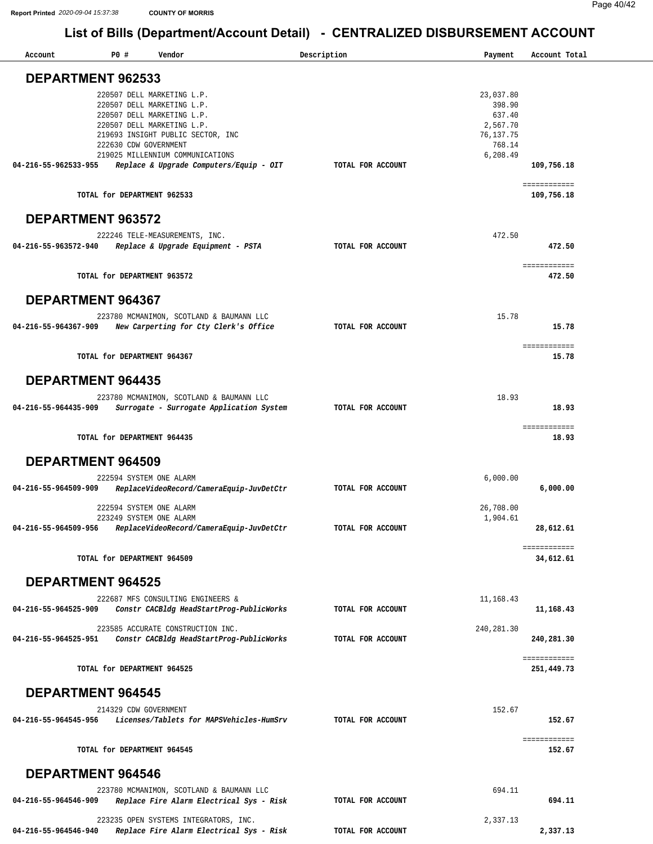| Account                  | P0 #<br>Vendor                                                   | Description       | Payment     | Account Total              |
|--------------------------|------------------------------------------------------------------|-------------------|-------------|----------------------------|
| DEPARTMENT 962533        |                                                                  |                   |             |                            |
|                          |                                                                  |                   |             |                            |
|                          | 220507 DELL MARKETING L.P.                                       |                   | 23,037.80   |                            |
|                          | 220507 DELL MARKETING L.P.                                       |                   | 398.90      |                            |
|                          | 220507 DELL MARKETING L.P.                                       |                   | 637.40      |                            |
|                          | 220507 DELL MARKETING L.P.                                       |                   | 2,567.70    |                            |
|                          | 219693 INSIGHT PUBLIC SECTOR, INC                                |                   | 76,137.75   |                            |
|                          | 222630 CDW GOVERNMENT                                            |                   | 768.14      |                            |
|                          | 219025 MILLENNIUM COMMUNICATIONS                                 |                   | 6,208.49    |                            |
| 04-216-55-962533-955     | Replace & Upgrade Computers/Equip - OIT                          | TOTAL FOR ACCOUNT |             | 109,756.18                 |
|                          | TOTAL for DEPARTMENT 962533                                      |                   |             | ============<br>109,756.18 |
| DEPARTMENT 963572        |                                                                  |                   |             |                            |
|                          | 222246 TELE-MEASUREMENTS, INC.                                   |                   | 472.50      |                            |
| 04-216-55-963572-940     | Replace & Upgrade Equipment - PSTA                               | TOTAL FOR ACCOUNT |             | 472.50                     |
|                          |                                                                  |                   |             |                            |
|                          |                                                                  |                   |             | ============               |
|                          | TOTAL for DEPARTMENT 963572                                      |                   |             | 472.50                     |
|                          |                                                                  |                   |             |                            |
| <b>DEPARTMENT 964367</b> |                                                                  |                   |             |                            |
|                          |                                                                  |                   |             |                            |
|                          | 223780 MCMANIMON, SCOTLAND & BAUMANN LLC                         |                   | 15.78       |                            |
| 04-216-55-964367-909     | New Carperting for Cty Clerk's Office                            | TOTAL FOR ACCOUNT |             | 15.78                      |
|                          |                                                                  |                   |             |                            |
|                          |                                                                  |                   |             | ============               |
|                          | TOTAL for DEPARTMENT 964367                                      |                   |             | 15.78                      |
|                          |                                                                  |                   |             |                            |
| <b>DEPARTMENT 964435</b> |                                                                  |                   |             |                            |
|                          |                                                                  |                   |             |                            |
|                          | 223780 MCMANIMON, SCOTLAND & BAUMANN LLC                         |                   | 18.93       |                            |
| 04-216-55-964435-909     | Surrogate - Surrogate Application System                         | TOTAL FOR ACCOUNT |             | 18.93                      |
|                          |                                                                  |                   |             |                            |
|                          |                                                                  |                   |             | ============               |
|                          | TOTAL for DEPARTMENT 964435                                      |                   |             | 18.93                      |
|                          |                                                                  |                   |             |                            |
| <b>DEPARTMENT 964509</b> |                                                                  |                   |             |                            |
|                          | 222594 SYSTEM ONE ALARM                                          |                   | 6,000.00    |                            |
| 04-216-55-964509-909     | ReplaceVideoRecord/CameraEquip-JuvDetCtr                         | TOTAL FOR ACCOUNT |             | 6,000.00                   |
|                          |                                                                  |                   |             |                            |
|                          | 222594 SYSTEM ONE ALARM                                          |                   | 26,708.00   |                            |
|                          | 223249 SYSTEM ONE ALARM                                          |                   | 1,904.61    |                            |
| 04-216-55-964509-956     | ReplaceVideoRecord/CameraEquip-JuvDetCtr                         | TOTAL FOR ACCOUNT |             | 28,612.61                  |
|                          |                                                                  |                   |             |                            |
|                          |                                                                  |                   |             | ============               |
|                          | TOTAL for DEPARTMENT 964509                                      |                   |             | 34,612.61                  |
|                          |                                                                  |                   |             |                            |
| <b>DEPARTMENT 964525</b> |                                                                  |                   |             |                            |
|                          |                                                                  |                   |             |                            |
|                          | 222687 MFS CONSULTING ENGINEERS &                                |                   | 11,168.43   |                            |
| 04-216-55-964525-909     | Constr CACBldg HeadStartProg-PublicWorks                         | TOTAL FOR ACCOUNT |             | 11,168.43                  |
|                          |                                                                  |                   |             |                            |
|                          | 223585 ACCURATE CONSTRUCTION INC.                                |                   | 240, 281.30 |                            |
|                          | 04-216-55-964525-951    Constr CACBldg HeadStartProg-PublicWorks | TOTAL FOR ACCOUNT |             | 240,281.30                 |
|                          |                                                                  |                   |             |                            |
|                          |                                                                  |                   |             | ============               |
|                          | TOTAL for DEPARTMENT 964525                                      |                   |             | 251,449.73                 |
|                          |                                                                  |                   |             |                            |
| <b>DEPARTMENT 964545</b> |                                                                  |                   |             |                            |
|                          | 214329 CDW GOVERNMENT                                            |                   | 152.67      |                            |
| 04-216-55-964545-956     | Licenses/Tablets for MAPSVehicles-HumSrv                         | TOTAL FOR ACCOUNT |             | 152.67                     |
|                          |                                                                  |                   |             |                            |
|                          |                                                                  |                   |             | ============               |
|                          | TOTAL for DEPARTMENT 964545                                      |                   |             | 152.67                     |
|                          |                                                                  |                   |             |                            |
|                          |                                                                  |                   |             |                            |
| <b>DEPARTMENT 964546</b> |                                                                  |                   |             |                            |
|                          | 223780 MCMANIMON, SCOTLAND & BAUMANN LLC                         |                   | 694.11      |                            |
| 04-216-55-964546-909     | Replace Fire Alarm Electrical Sys - Risk                         | TOTAL FOR ACCOUNT |             | 694.11                     |
|                          |                                                                  |                   |             |                            |
|                          | 223235 OPEN SYSTEMS INTEGRATORS, INC.                            |                   | 2,337.13    |                            |
| 04-216-55-964546-940     | Replace Fire Alarm Electrical Sys - Risk                         | TOTAL FOR ACCOUNT |             | 2,337.13                   |
|                          |                                                                  |                   |             |                            |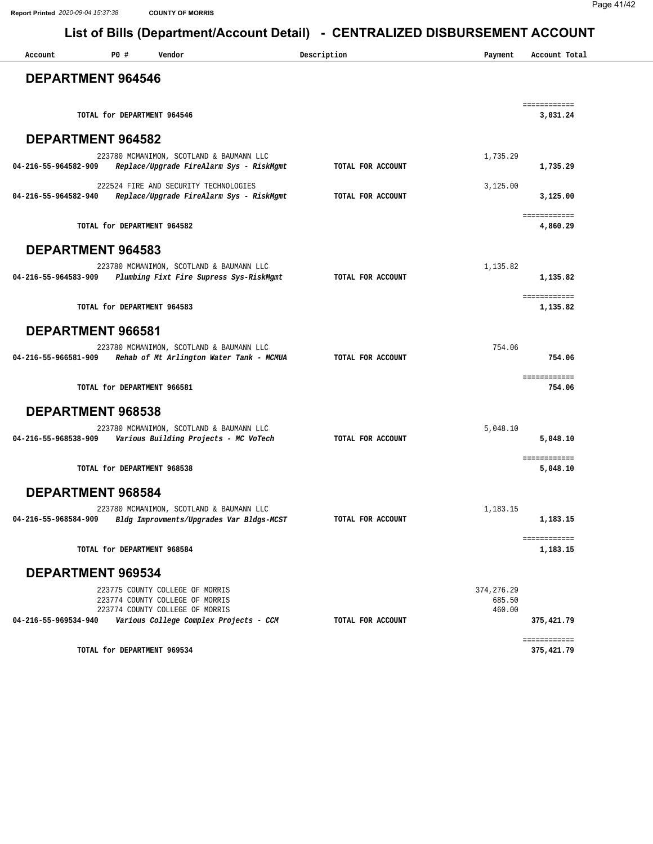| Account                  | P0 # | Vendor                                                                                                    | Description       | Payment          | Account Total            |
|--------------------------|------|-----------------------------------------------------------------------------------------------------------|-------------------|------------------|--------------------------|
| <b>DEPARTMENT 964546</b> |      |                                                                                                           |                   |                  |                          |
|                          |      | TOTAL for DEPARTMENT 964546                                                                               |                   |                  | ============<br>3,031.24 |
| DEPARTMENT 964582        |      |                                                                                                           |                   |                  |                          |
|                          |      | 223780 MCMANIMON, SCOTLAND & BAUMANN LLC                                                                  |                   | 1,735.29         |                          |
| 04-216-55-964582-909     |      | Replace/Upgrade FireAlarm Sys - RiskMgmt                                                                  | TOTAL FOR ACCOUNT |                  | 1,735.29                 |
|                          |      | 222524 FIRE AND SECURITY TECHNOLOGIES                                                                     |                   | 3,125.00         |                          |
| 04-216-55-964582-940     |      | Replace/Upgrade FireAlarm Sys - RiskMgmt                                                                  | TOTAL FOR ACCOUNT |                  | 3,125.00                 |
|                          |      | TOTAL for DEPARTMENT 964582                                                                               |                   |                  | ============<br>4,860.29 |
| <b>DEPARTMENT 964583</b> |      |                                                                                                           |                   |                  |                          |
|                          |      | 223780 MCMANIMON, SCOTLAND & BAUMANN LLC                                                                  |                   | 1,135.82         |                          |
| 04-216-55-964583-909     |      | Plumbing Fixt Fire Supress Sys-RiskMgmt                                                                   | TOTAL FOR ACCOUNT |                  | 1,135.82                 |
|                          |      | TOTAL for DEPARTMENT 964583                                                                               |                   |                  | ============<br>1,135.82 |
| DEPARTMENT 966581        |      |                                                                                                           |                   |                  |                          |
|                          |      | 223780 MCMANIMON, SCOTLAND & BAUMANN LLC<br>04-216-55-966581-909 Rehab of Mt Arlington Water Tank - MCMUA | TOTAL FOR ACCOUNT | 754.06           | 754.06                   |
|                          |      |                                                                                                           |                   |                  |                          |
|                          |      | TOTAL for DEPARTMENT 966581                                                                               |                   |                  | ============<br>754.06   |
| DEPARTMENT 968538        |      |                                                                                                           |                   |                  |                          |
| 04-216-55-968538-909     |      | 223780 MCMANIMON, SCOTLAND & BAUMANN LLC                                                                  | TOTAL FOR ACCOUNT | 5,048.10         |                          |
|                          |      | Various Building Projects - MC VoTech                                                                     |                   |                  | 5,048.10                 |
|                          |      | TOTAL for DEPARTMENT 968538                                                                               |                   |                  | ============<br>5,048.10 |
| DEPARTMENT 968584        |      |                                                                                                           |                   |                  |                          |
|                          |      | 223780 MCMANIMON, SCOTLAND & BAUMANN LLC                                                                  |                   | 1,183.15         |                          |
| 04-216-55-968584-909     |      | Bldg Improvments/Upgrades Var Bldgs-MCST                                                                  | TOTAL FOR ACCOUNT |                  | 1,183.15                 |
|                          |      | TOTAL for DEPARTMENT 968584                                                                               |                   |                  | ============<br>1,183.15 |
| DEPARTMENT 969534        |      |                                                                                                           |                   |                  |                          |
|                          |      | 223775 COUNTY COLLEGE OF MORRIS                                                                           |                   | 374, 276.29      |                          |
|                          |      | 223774 COUNTY COLLEGE OF MORRIS<br>223774 COUNTY COLLEGE OF MORRIS                                        |                   | 685.50<br>460.00 |                          |
| 04-216-55-969534-940     |      | Various College Complex Projects - CCM                                                                    | TOTAL FOR ACCOUNT |                  | 375,421.79               |
|                          |      |                                                                                                           |                   |                  | ============             |
|                          |      | TOTAL for DEPARTMENT 969534                                                                               |                   |                  | 375,421.79               |